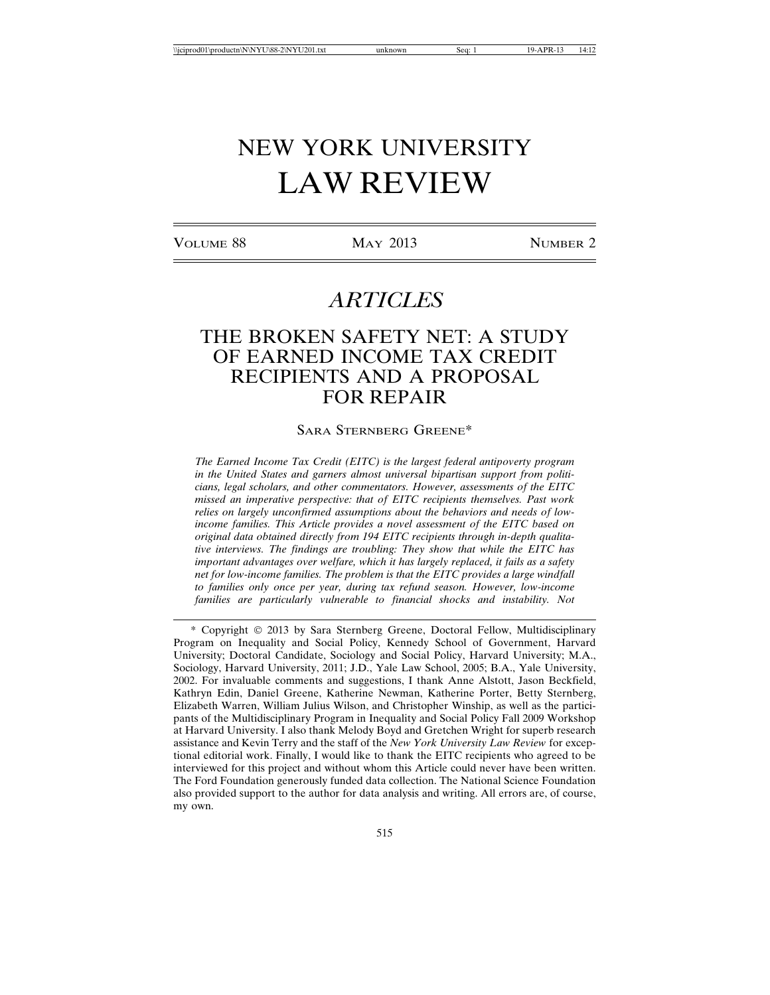# NEW YORK UNIVERSITY LAW REVIEW

VOLUME 88 MAY 2013 NUMBER 2

# *ARTICLES*

# THE BROKEN SAFETY NET: A STUDY OF EARNED INCOME TAX CREDIT RECIPIENTS AND A PROPOSAL FOR REPAIR

SARA STERNBERG GREENE\*

*The Earned Income Tax Credit (EITC) is the largest federal antipoverty program in the United States and garners almost universal bipartisan support from politicians, legal scholars, and other commentators. However, assessments of the EITC missed an imperative perspective: that of EITC recipients themselves. Past work relies on largely unconfirmed assumptions about the behaviors and needs of lowincome families. This Article provides a novel assessment of the EITC based on original data obtained directly from 194 EITC recipients through in-depth qualitative interviews. The findings are troubling: They show that while the EITC has important advantages over welfare, which it has largely replaced, it fails as a safety net for low-income families. The problem is that the EITC provides a large windfall to families only once per year, during tax refund season. However, low-income families are particularly vulnerable to financial shocks and instability. Not*

\* Copyright 2013 by Sara Sternberg Greene, Doctoral Fellow, Multidisciplinary Program on Inequality and Social Policy, Kennedy School of Government, Harvard University; Doctoral Candidate, Sociology and Social Policy, Harvard University; M.A., Sociology, Harvard University, 2011; J.D., Yale Law School, 2005; B.A., Yale University, 2002. For invaluable comments and suggestions, I thank Anne Alstott, Jason Beckfield, Kathryn Edin, Daniel Greene, Katherine Newman, Katherine Porter, Betty Sternberg, Elizabeth Warren, William Julius Wilson, and Christopher Winship, as well as the participants of the Multidisciplinary Program in Inequality and Social Policy Fall 2009 Workshop at Harvard University. I also thank Melody Boyd and Gretchen Wright for superb research assistance and Kevin Terry and the staff of the *New York University Law Review* for exceptional editorial work. Finally, I would like to thank the EITC recipients who agreed to be interviewed for this project and without whom this Article could never have been written. The Ford Foundation generously funded data collection. The National Science Foundation also provided support to the author for data analysis and writing. All errors are, of course, my own.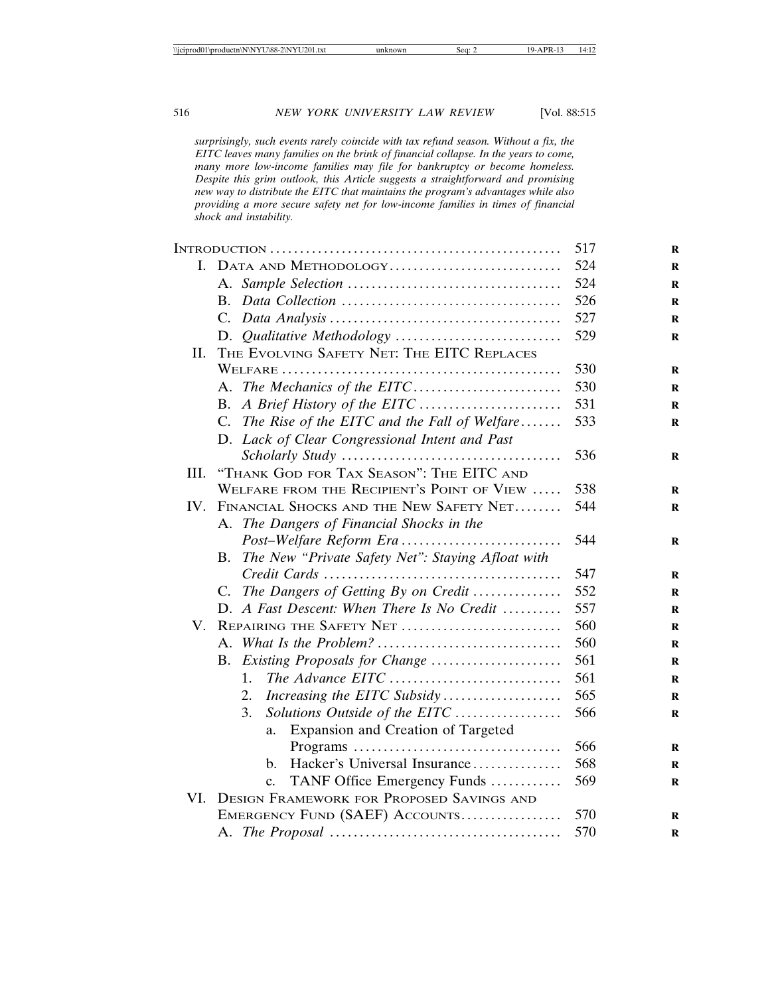*surprisingly, such events rarely coincide with tax refund season. Without a fix, the EITC leaves many families on the brink of financial collapse. In the years to come, many more low-income families may file for bankruptcy or become homeless. Despite this grim outlook, this Article suggests a straightforward and promising new way to distribute the EITC that maintains the program's advantages while also providing a more secure safety net for low-income families in times of financial shock and instability.*

|      |                                                         | 517 |
|------|---------------------------------------------------------|-----|
|      | I. DATA AND METHODOLOGY                                 | 524 |
|      |                                                         | 524 |
|      | B.                                                      | 526 |
|      |                                                         | 527 |
|      |                                                         | 529 |
| II.  | THE EVOLVING SAFETY NET: THE EITC REPLACES              |     |
|      |                                                         | 530 |
|      |                                                         | 530 |
|      | В.                                                      | 531 |
|      | The Rise of the EITC and the Fall of Welfare<br>C.      | 533 |
|      | D. Lack of Clear Congressional Intent and Past          |     |
|      |                                                         | 536 |
| III. | "THANK GOD FOR TAX SEASON": THE EITC AND                |     |
|      | WELFARE FROM THE RECIPIENT'S POINT OF VIEW              | 538 |
| IV.  | FINANCIAL SHOCKS AND THE NEW SAFETY NET                 | 544 |
|      | A. The Dangers of Financial Shocks in the               |     |
|      |                                                         | 544 |
|      | The New "Private Safety Net": Staying Afloat with<br>В. |     |
|      |                                                         | 547 |
|      | C. The Dangers of Getting By on Credit                  | 552 |
|      | D. A Fast Descent: When There Is No Credit              | 557 |
| V.   | REPAIRING THE SAFETY NET                                | 560 |
|      |                                                         | 560 |
|      | Existing Proposals for Change<br>В.                     | 561 |
|      | The Advance EITC<br>$1_{-}$                             | 561 |
|      | Increasing the EITC Subsidy<br>2.                       | 565 |
|      | Solutions Outside of the EITC<br>3.                     | 566 |
|      | Expansion and Creation of Targeted<br>a.                |     |
|      |                                                         | 566 |
|      | Hacker's Universal Insurance<br>b.                      | 568 |
|      | TANF Office Emergency Funds<br>c.                       | 569 |
| VI.  | <b>DESIGN FRAMEWORK FOR PROPOSED SAVINGS AND</b>        |     |
|      | EMERGENCY FUND (SAEF) ACCOUNTS                          | 570 |
|      |                                                         | 570 |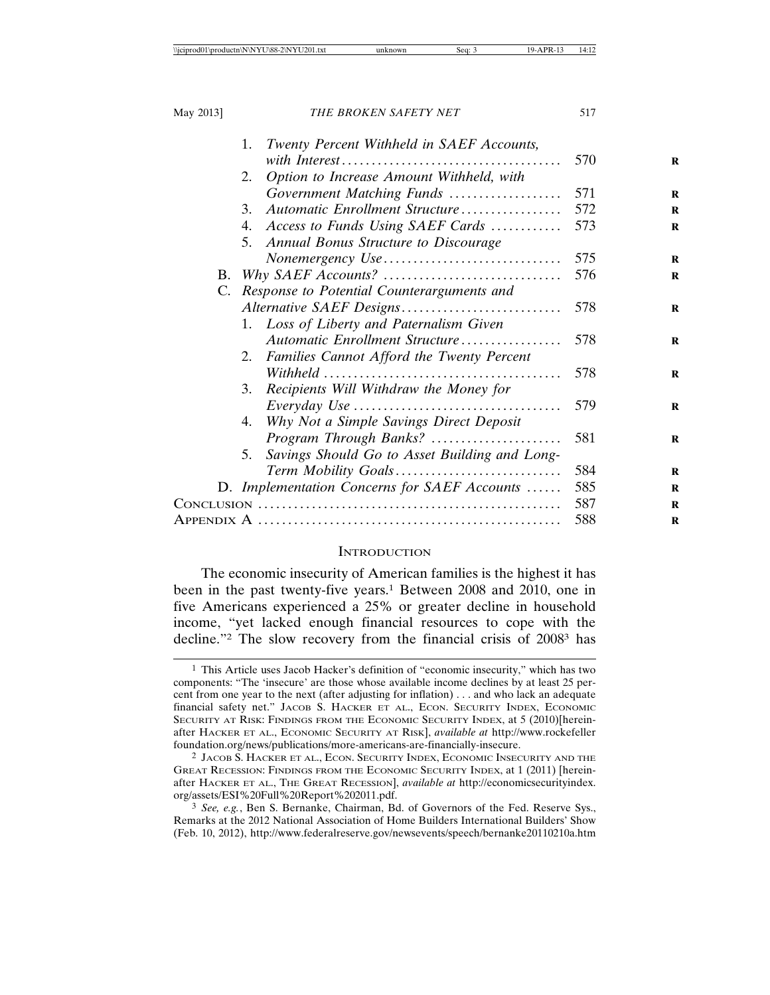|    | Twenty Percent Withheld in SAEF Accounts,<br>1.                                          |     |
|----|------------------------------------------------------------------------------------------|-----|
|    |                                                                                          | 570 |
|    | Option to Increase Amount Withheld, with<br>2.                                           |     |
|    | Government Matching Funds                                                                | 571 |
|    | Automatic Enrollment Structure<br>3.                                                     | 572 |
|    | Access to Funds Using SAEF Cards<br>4.                                                   | 573 |
|    | 5. Annual Bonus Structure to Discourage                                                  |     |
|    | Nonemergency Use                                                                         | 575 |
| B. |                                                                                          | 576 |
| C. | Response to Potential Counterarguments and                                               |     |
|    | Alternative SAEF Designs                                                                 | 578 |
|    | 1. Loss of Liberty and Paternalism Given                                                 |     |
|    | Automatic Enrollment Structure                                                           | 578 |
|    | 2. Families Cannot Afford the Twenty Percent                                             |     |
|    | $Withheld \dots \dots \dots \dots \dots \dots \dots \dots \dots \dots \dots \dots \dots$ | 578 |
|    | 3. Recipients Will Withdraw the Money for                                                |     |
|    | $Every day Use \ldots \ldots \ldots \ldots \ldots \ldots \ldots \ldots \ldots \ldots$    | 579 |
|    | Why Not a Simple Savings Direct Deposit<br>4.                                            |     |
|    | Program Through Banks?                                                                   | 581 |
|    | Savings Should Go to Asset Building and Long-<br>5.                                      |     |
|    | Term Mobility Goals                                                                      | 584 |
|    | D. Implementation Concerns for SAEF Accounts                                             | 585 |
|    |                                                                                          | 587 |
|    |                                                                                          | 588 |

#### **INTRODUCTION**

The economic insecurity of American families is the highest it has been in the past twenty-five years.<sup>1</sup> Between 2008 and 2010, one in five Americans experienced a 25% or greater decline in household income, "yet lacked enough financial resources to cope with the decline."2 The slow recovery from the financial crisis of 20083 has

<sup>1</sup> This Article uses Jacob Hacker's definition of "economic insecurity," which has two components: "The 'insecure' are those whose available income declines by at least 25 percent from one year to the next (after adjusting for inflation) . . . and who lack an adequate financial safety net." JACOB S. HACKER ET AL., ECON. SECURITY INDEX, ECONOMIC SECURITY AT RISK: FINDINGS FROM THE ECONOMIC SECURITY INDEX, at 5 (2010)[hereinafter HACKER ET AL., ECONOMIC SECURITY AT RISK], *available at* http://www.rockefeller foundation.org/news/publications/more-americans-are-financially-insecure.

<sup>2</sup> JACOB S. HACKER ET AL., ECON. SECURITY INDEX, ECONOMIC INSECURITY AND THE GREAT RECESSION: FINDINGS FROM THE ECONOMIC SECURITY INDEX, at 1 (2011) [hereinafter HACKER ET AL., THE GREAT RECESSION], *available at* http://economicsecurityindex. org/assets/ESI%20Full%20Report%202011.pdf.

<sup>3</sup> *See, e.g.*, Ben S. Bernanke, Chairman, Bd. of Governors of the Fed. Reserve Sys., Remarks at the 2012 National Association of Home Builders International Builders' Show (Feb. 10, 2012), http://www.federalreserve.gov/newsevents/speech/bernanke20110210a.htm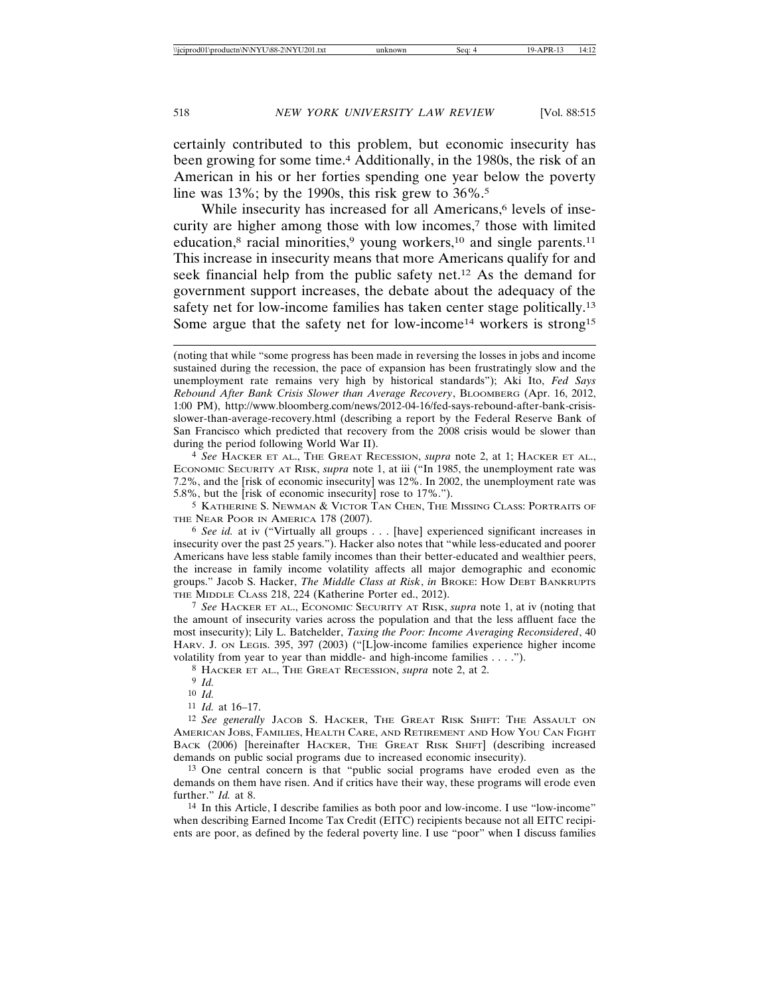certainly contributed to this problem, but economic insecurity has been growing for some time.4 Additionally, in the 1980s, the risk of an American in his or her forties spending one year below the poverty line was  $13\%$ ; by the 1990s, this risk grew to  $36\%$ <sup>5</sup>.

While insecurity has increased for all Americans,<sup>6</sup> levels of insecurity are higher among those with low incomes,<sup>7</sup> those with limited education, $8$  racial minorities, $9$  young workers, $10$  and single parents. $11$ This increase in insecurity means that more Americans qualify for and seek financial help from the public safety net.12 As the demand for government support increases, the debate about the adequacy of the safety net for low-income families has taken center stage politically.13 Some argue that the safety net for low-income<sup>14</sup> workers is strong<sup>15</sup>

4 *See* HACKER ET AL., THE GREAT RECESSION, *supra* note 2, at 1; HACKER ET AL., ECONOMIC SECURITY AT RISK, *supra* note 1, at iii ("In 1985, the unemployment rate was 7.2%, and the [risk of economic insecurity] was 12%. In 2002, the unemployment rate was 5.8%, but the [risk of economic insecurity] rose to 17%.").

5 KATHERINE S. NEWMAN & VICTOR TAN CHEN, THE MISSING CLASS: PORTRAITS OF THE NEAR POOR IN AMERICA 178 (2007).

6 *See id.* at iv ("Virtually all groups . . . [have] experienced significant increases in insecurity over the past 25 years."). Hacker also notes that "while less-educated and poorer Americans have less stable family incomes than their better-educated and wealthier peers, the increase in family income volatility affects all major demographic and economic groups." Jacob S. Hacker, *The Middle Class at Risk*, *in* BROKE: HOW DEBT BANKRUPTS THE MIDDLE CLASS 218, 224 (Katherine Porter ed., 2012).

7 *See* HACKER ET AL., ECONOMIC SECURITY AT RISK, *supra* note 1, at iv (noting that the amount of insecurity varies across the population and that the less affluent face the most insecurity); Lily L. Batchelder, *Taxing the Poor: Income Averaging Reconsidered*, 40 HARV. J. ON LEGIS. 395, 397 (2003) ("[L]ow-income families experience higher income volatility from year to year than middle- and high-income families . . . .").

8 HACKER ET AL., THE GREAT RECESSION, *supra* note 2, at 2.

9 *Id.*

10 *Id.*

12 *See generally* JACOB S. HACKER, THE GREAT RISK SHIFT: THE ASSAULT ON AMERICAN JOBS, FAMILIES, HEALTH CARE, AND RETIREMENT AND HOW YOU CAN FIGHT BACK (2006) [hereinafter HACKER, THE GREAT RISK SHIFT] (describing increased demands on public social programs due to increased economic insecurity).

13 One central concern is that "public social programs have eroded even as the demands on them have risen. And if critics have their way, these programs will erode even further." *Id.* at 8.

14 In this Article, I describe families as both poor and low-income. I use "low-income" when describing Earned Income Tax Credit (EITC) recipients because not all EITC recipients are poor, as defined by the federal poverty line. I use "poor" when I discuss families

<sup>(</sup>noting that while "some progress has been made in reversing the losses in jobs and income sustained during the recession, the pace of expansion has been frustratingly slow and the unemployment rate remains very high by historical standards"); Aki Ito, *Fed Says Rebound After Bank Crisis Slower than Average Recovery*, BLOOMBERG (Apr. 16, 2012, 1:00 PM), http://www.bloomberg.com/news/2012-04-16/fed-says-rebound-after-bank-crisisslower-than-average-recovery.html (describing a report by the Federal Reserve Bank of San Francisco which predicted that recovery from the 2008 crisis would be slower than during the period following World War II).

<sup>11</sup> *Id.* at 16–17.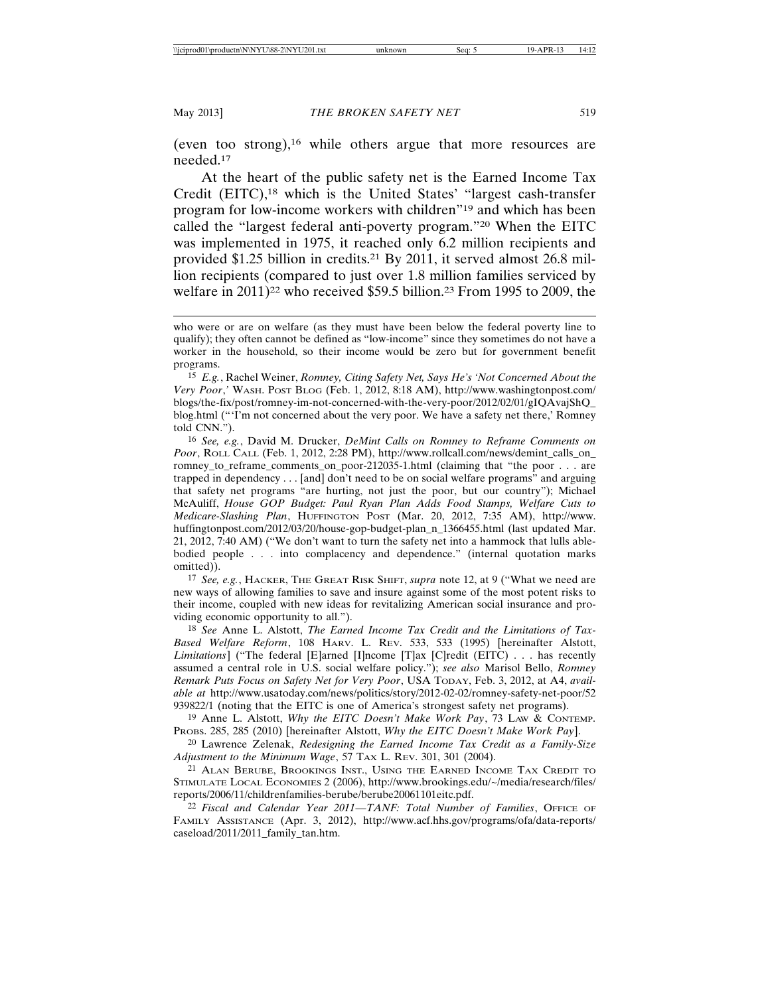(even too strong),<sup>16</sup> while others argue that more resources are needed.17

At the heart of the public safety net is the Earned Income Tax Credit (EITC),18 which is the United States' "largest cash-transfer program for low-income workers with children"19 and which has been called the "largest federal anti-poverty program."20 When the EITC was implemented in 1975, it reached only 6.2 million recipients and provided \$1.25 billion in credits.21 By 2011, it served almost 26.8 million recipients (compared to just over 1.8 million families serviced by welfare in 2011)<sup>22</sup> who received \$59.5 billion.<sup>23</sup> From 1995 to 2009, the

15 *E.g.*, Rachel Weiner, *Romney, Citing Safety Net, Says He's 'Not Concerned About the Very Poor*,*'* WASH. POST BLOG (Feb. 1, 2012, 8:18 AM), http://www.washingtonpost.com/ blogs/the-fix/post/romney-im-not-concerned-with-the-very-poor/2012/02/01/gIQAvajShQ\_ blog.html ("'I'm not concerned about the very poor. We have a safety net there,' Romney told CNN.").

16 *See, e.g.*, David M. Drucker, *DeMint Calls on Romney to Reframe Comments on Poor*, ROLL CALL (Feb. 1, 2012, 2:28 PM), http://www.rollcall.com/news/demint\_calls\_on\_ romney to reframe comments on poor-212035-1.html (claiming that "the poor . . . are trapped in dependency . . . [and] don't need to be on social welfare programs" and arguing that safety net programs "are hurting, not just the poor, but our country"); Michael McAuliff, *House GOP Budget: Paul Ryan Plan Adds Food Stamps, Welfare Cuts to Medicare-Slashing Plan*, HUFFINGTON POST (Mar. 20, 2012, 7:35 AM), http://www. huffingtonpost.com/2012/03/20/house-gop-budget-plan\_n\_1366455.html (last updated Mar. 21, 2012, 7:40 AM) ("We don't want to turn the safety net into a hammock that lulls ablebodied people . . . into complacency and dependence." (internal quotation marks omitted)).

17 *See, e.g.*, HACKER, THE GREAT RISK SHIFT, *supra* note 12, at 9 ("What we need are new ways of allowing families to save and insure against some of the most potent risks to their income, coupled with new ideas for revitalizing American social insurance and providing economic opportunity to all.").

18 *See* Anne L. Alstott, *The Earned Income Tax Credit and the Limitations of Tax-Based Welfare Reform*, 108 HARV. L. REV. 533, 533 (1995) [hereinafter Alstott, *Limitations*] ("The federal [E]arned [I]ncome [T]ax [C]redit (EITC) . . . has recently assumed a central role in U.S. social welfare policy."); *see also* Marisol Bello, *Romney Remark Puts Focus on Safety Net for Very Poor*, USA TODAY, Feb. 3, 2012, at A4, *available at* http://www.usatoday.com/news/politics/story/2012-02-02/romney-safety-net-poor/52 939822/1 (noting that the EITC is one of America's strongest safety net programs).

19 Anne L. Alstott, *Why the EITC Doesn't Make Work Pay*, 73 LAW & CONTEMP. PROBS. 285, 285 (2010) [hereinafter Alstott, *Why the EITC Doesn't Make Work Pay*].

20 Lawrence Zelenak, *Redesigning the Earned Income Tax Credit as a Family-Size Adjustment to the Minimum Wage*, 57 TAX L. REV. 301, 301 (2004).

21 ALAN BERUBE, BROOKINGS INST., USING THE EARNED INCOME TAX CREDIT TO STIMULATE LOCAL ECONOMIES 2 (2006), http://www.brookings.edu/~/media/research/files/ reports/2006/11/childrenfamilies-berube/berube20061101eitc.pdf.

22 *Fiscal and Calendar Year 2011—TANF: Total Number of Families*, OFFICE OF FAMILY ASSISTANCE (Apr. 3, 2012), http://www.acf.hhs.gov/programs/ofa/data-reports/ caseload/2011/2011\_family\_tan.htm.

who were or are on welfare (as they must have been below the federal poverty line to qualify); they often cannot be defined as "low-income" since they sometimes do not have a worker in the household, so their income would be zero but for government benefit programs.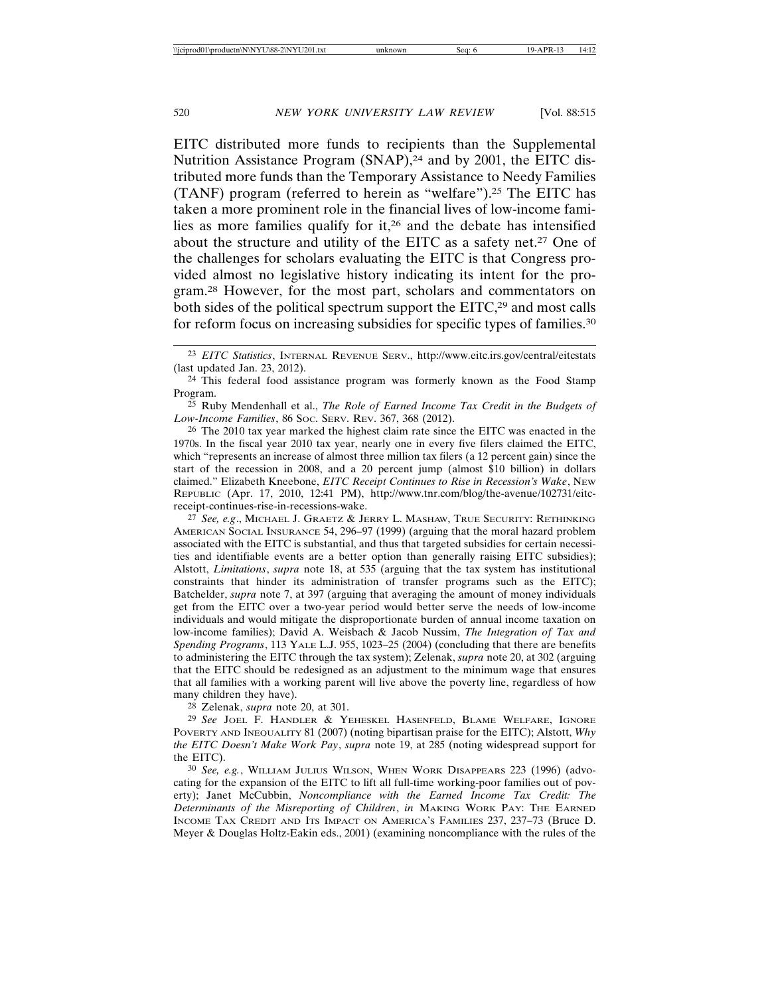EITC distributed more funds to recipients than the Supplemental Nutrition Assistance Program (SNAP),<sup>24</sup> and by 2001, the EITC distributed more funds than the Temporary Assistance to Needy Families (TANF) program (referred to herein as "welfare").25 The EITC has taken a more prominent role in the financial lives of low-income families as more families qualify for it,26 and the debate has intensified about the structure and utility of the EITC as a safety net.27 One of the challenges for scholars evaluating the EITC is that Congress provided almost no legislative history indicating its intent for the program.28 However, for the most part, scholars and commentators on both sides of the political spectrum support the EITC,<sup>29</sup> and most calls for reform focus on increasing subsidies for specific types of families.30

27 *See, e.g*., MICHAEL J. GRAETZ & JERRY L. MASHAW, TRUE SECURITY: RETHINKING AMERICAN SOCIAL INSURANCE 54, 296–97 (1999) (arguing that the moral hazard problem associated with the EITC is substantial, and thus that targeted subsidies for certain necessities and identifiable events are a better option than generally raising EITC subsidies); Alstott, *Limitations*, *supra* note 18, at 535 (arguing that the tax system has institutional constraints that hinder its administration of transfer programs such as the EITC); Batchelder, *supra* note 7, at 397 (arguing that averaging the amount of money individuals get from the EITC over a two-year period would better serve the needs of low-income individuals and would mitigate the disproportionate burden of annual income taxation on low-income families); David A. Weisbach & Jacob Nussim, *The Integration of Tax and Spending Programs*, 113 YALE L.J. 955, 1023–25 (2004) (concluding that there are benefits to administering the EITC through the tax system); Zelenak, *supra* note 20, at 302 (arguing that the EITC should be redesigned as an adjustment to the minimum wage that ensures that all families with a working parent will live above the poverty line, regardless of how many children they have).

28 Zelenak, *supra* note 20, at 301.

29 *See* JOEL F. HANDLER & YEHESKEL HASENFELD, BLAME WELFARE, IGNORE POVERTY AND INEQUALITY 81 (2007) (noting bipartisan praise for the EITC); Alstott, *Why the EITC Doesn't Make Work Pay*, *supra* note 19, at 285 (noting widespread support for the EITC).

30 *See, e.g.*, WILLIAM JULIUS WILSON, WHEN WORK DISAPPEARS 223 (1996) (advocating for the expansion of the EITC to lift all full-time working-poor families out of poverty); Janet McCubbin, *Noncompliance with the Earned Income Tax Credit: The Determinants of the Misreporting of Children*, *in* MAKING WORK PAY: THE EARNED INCOME TAX CREDIT AND ITS IMPACT ON AMERICA'S FAMILIES 237, 237–73 (Bruce D. Meyer & Douglas Holtz-Eakin eds., 2001) (examining noncompliance with the rules of the

<sup>23</sup> *EITC Statistics*, INTERNAL REVENUE SERV., http://www.eitc.irs.gov/central/eitcstats (last updated Jan. 23, 2012).

<sup>24</sup> This federal food assistance program was formerly known as the Food Stamp Program.

<sup>25</sup> Ruby Mendenhall et al., *The Role of Earned Income Tax Credit in the Budgets of Low-Income Families*, 86 SOC. SERV. REV. 367, 368 (2012).

<sup>26</sup> The 2010 tax year marked the highest claim rate since the EITC was enacted in the 1970s. In the fiscal year 2010 tax year, nearly one in every five filers claimed the EITC, which "represents an increase of almost three million tax filers (a 12 percent gain) since the start of the recession in 2008, and a 20 percent jump (almost \$10 billion) in dollars claimed." Elizabeth Kneebone, *EITC Receipt Continues to Rise in Recession's Wake*, NEW REPUBLIC (Apr. 17, 2010, 12:41 PM), http://www.tnr.com/blog/the-avenue/102731/eitcreceipt-continues-rise-in-recessions-wake.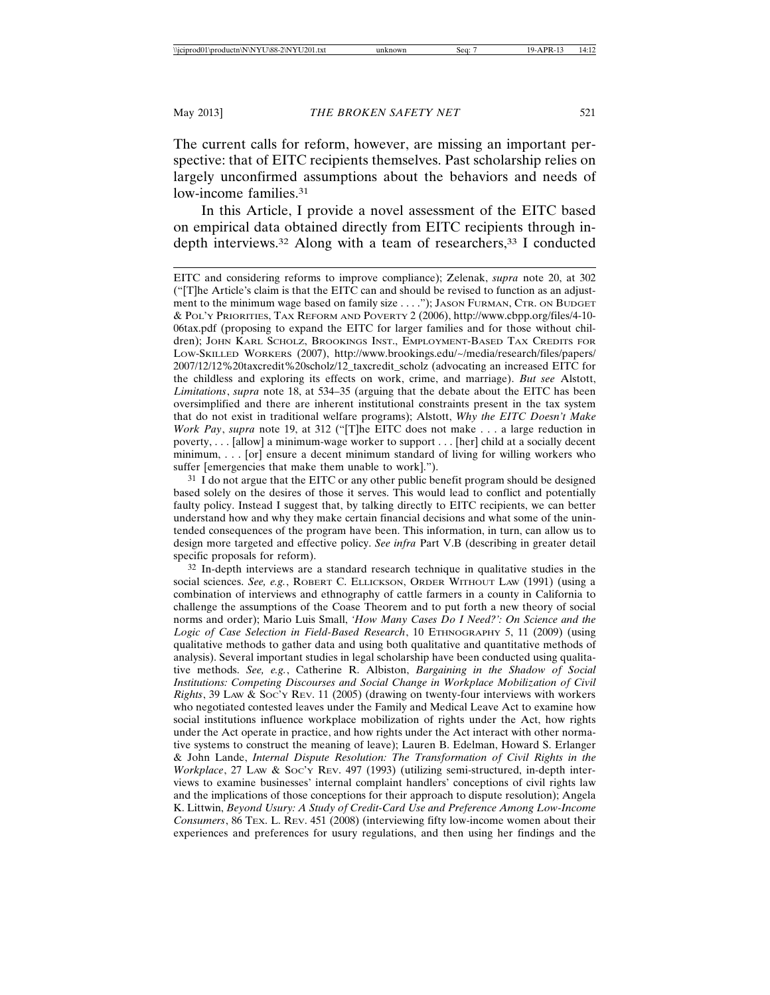The current calls for reform, however, are missing an important perspective: that of EITC recipients themselves. Past scholarship relies on largely unconfirmed assumptions about the behaviors and needs of low-income families.<sup>31</sup>

In this Article, I provide a novel assessment of the EITC based on empirical data obtained directly from EITC recipients through indepth interviews.<sup>32</sup> Along with a team of researchers,<sup>33</sup> I conducted

EITC and considering reforms to improve compliance); Zelenak, *supra* note 20, at 302 ("[T]he Article's claim is that the EITC can and should be revised to function as an adjustment to the minimum wage based on family size . . . ."); JASON FURMAN, CTR. ON BUDGET & POL'Y PRIORITIES, TAX REFORM AND POVERTY 2 (2006), http://www.cbpp.org/files/4-10- 06tax.pdf (proposing to expand the EITC for larger families and for those without children); JOHN KARL SCHOLZ, BROOKINGS INST., EMPLOYMENT-BASED TAX CREDITS FOR LOW-SKILLED WORKERS (2007), http://www.brookings.edu/~/media/research/files/papers/ 2007/12/12%20taxcredit%20scholz/12\_taxcredit\_scholz (advocating an increased EITC for the childless and exploring its effects on work, crime, and marriage). *But see* Alstott, *Limitations*, *supra* note 18, at 534–35 (arguing that the debate about the EITC has been oversimplified and there are inherent institutional constraints present in the tax system that do not exist in traditional welfare programs); Alstott, *Why the EITC Doesn't Make Work Pay*, *supra* note 19, at 312 ("[T]he EITC does not make . . . a large reduction in poverty, . . . [allow] a minimum-wage worker to support . . . [her] child at a socially decent minimum, . . . [or] ensure a decent minimum standard of living for willing workers who suffer [emergencies that make them unable to work].").

<sup>31</sup> I do not argue that the EITC or any other public benefit program should be designed based solely on the desires of those it serves. This would lead to conflict and potentially faulty policy. Instead I suggest that, by talking directly to EITC recipients, we can better understand how and why they make certain financial decisions and what some of the unintended consequences of the program have been. This information, in turn, can allow us to design more targeted and effective policy. *See infra* Part V.B (describing in greater detail specific proposals for reform).

32 In-depth interviews are a standard research technique in qualitative studies in the social sciences. *See, e.g.*, ROBERT C. ELLICKSON, ORDER WITHOUT LAW (1991) (using a combination of interviews and ethnography of cattle farmers in a county in California to challenge the assumptions of the Coase Theorem and to put forth a new theory of social norms and order); Mario Luis Small, *'How Many Cases Do I Need?': On Science and the Logic of Case Selection in Field-Based Research*, 10 ETHNOGRAPHY 5, 11 (2009) (using qualitative methods to gather data and using both qualitative and quantitative methods of analysis). Several important studies in legal scholarship have been conducted using qualitative methods. *See, e.g.*, Catherine R. Albiston, *Bargaining in the Shadow of Social Institutions: Competing Discourses and Social Change in Workplace Mobilization of Civil Rights*, 39 LAW & Soc'y Rev. 11 (2005) (drawing on twenty-four interviews with workers who negotiated contested leaves under the Family and Medical Leave Act to examine how social institutions influence workplace mobilization of rights under the Act, how rights under the Act operate in practice, and how rights under the Act interact with other normative systems to construct the meaning of leave); Lauren B. Edelman, Howard S. Erlanger & John Lande, *Internal Dispute Resolution: The Transformation of Civil Rights in the Workplace*, 27 LAW & Soc'y REV. 497 (1993) (utilizing semi-structured, in-depth interviews to examine businesses' internal complaint handlers' conceptions of civil rights law and the implications of those conceptions for their approach to dispute resolution); Angela K. Littwin, *Beyond Usury: A Study of Credit-Card Use and Preference Among Low-Income Consumers*, 86 TEX. L. REV. 451 (2008) (interviewing fifty low-income women about their experiences and preferences for usury regulations, and then using her findings and the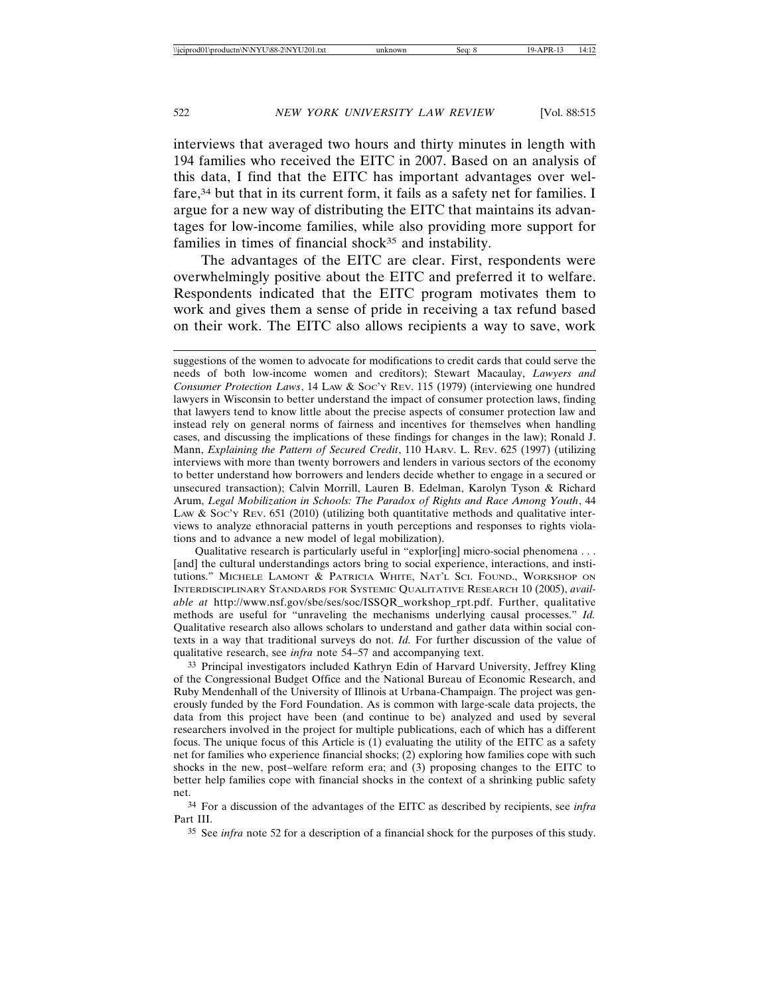interviews that averaged two hours and thirty minutes in length with 194 families who received the EITC in 2007. Based on an analysis of this data, I find that the EITC has important advantages over welfare,34 but that in its current form, it fails as a safety net for families. I argue for a new way of distributing the EITC that maintains its advantages for low-income families, while also providing more support for families in times of financial shock<sup>35</sup> and instability.

The advantages of the EITC are clear. First, respondents were overwhelmingly positive about the EITC and preferred it to welfare. Respondents indicated that the EITC program motivates them to work and gives them a sense of pride in receiving a tax refund based on their work. The EITC also allows recipients a way to save, work

Qualitative research is particularly useful in "explor[ing] micro-social phenomena . . . [and] the cultural understandings actors bring to social experience, interactions, and institutions." MICHELE LAMONT & PATRICIA WHITE, NAT'L SCI. FOUND., WORKSHOP ON INTERDISCIPLINARY STANDARDS FOR SYSTEMIC QUALITATIVE RESEARCH 10 (2005), *available at* http://www.nsf.gov/sbe/ses/soc/ISSQR\_workshop\_rpt.pdf. Further, qualitative methods are useful for "unraveling the mechanisms underlying causal processes." *Id.* Qualitative research also allows scholars to understand and gather data within social contexts in a way that traditional surveys do not. *Id.* For further discussion of the value of qualitative research, see *infra* note 54–57 and accompanying text.

33 Principal investigators included Kathryn Edin of Harvard University, Jeffrey Kling of the Congressional Budget Office and the National Bureau of Economic Research, and Ruby Mendenhall of the University of Illinois at Urbana-Champaign. The project was generously funded by the Ford Foundation. As is common with large-scale data projects, the data from this project have been (and continue to be) analyzed and used by several researchers involved in the project for multiple publications, each of which has a different focus. The unique focus of this Article is (1) evaluating the utility of the EITC as a safety net for families who experience financial shocks; (2) exploring how families cope with such shocks in the new, post–welfare reform era; and (3) proposing changes to the EITC to better help families cope with financial shocks in the context of a shrinking public safety net.

34 For a discussion of the advantages of the EITC as described by recipients, see *infra* Part III.

35 See *infra* note 52 for a description of a financial shock for the purposes of this study.

suggestions of the women to advocate for modifications to credit cards that could serve the needs of both low-income women and creditors); Stewart Macaulay, *Lawyers and Consumer Protection Laws*, 14 LAW & SOC'Y REV. 115 (1979) (interviewing one hundred lawyers in Wisconsin to better understand the impact of consumer protection laws, finding that lawyers tend to know little about the precise aspects of consumer protection law and instead rely on general norms of fairness and incentives for themselves when handling cases, and discussing the implications of these findings for changes in the law); Ronald J. Mann, *Explaining the Pattern of Secured Credit*, 110 HARV. L. REV. 625 (1997) (utilizing interviews with more than twenty borrowers and lenders in various sectors of the economy to better understand how borrowers and lenders decide whether to engage in a secured or unsecured transaction); Calvin Morrill, Lauren B. Edelman, Karolyn Tyson & Richard Arum, *Legal Mobilization in Schools: The Paradox of Rights and Race Among Youth*, 44 LAW & Soc'y Rev.  $651$  (2010) (utilizing both quantitative methods and qualitative interviews to analyze ethnoracial patterns in youth perceptions and responses to rights violations and to advance a new model of legal mobilization).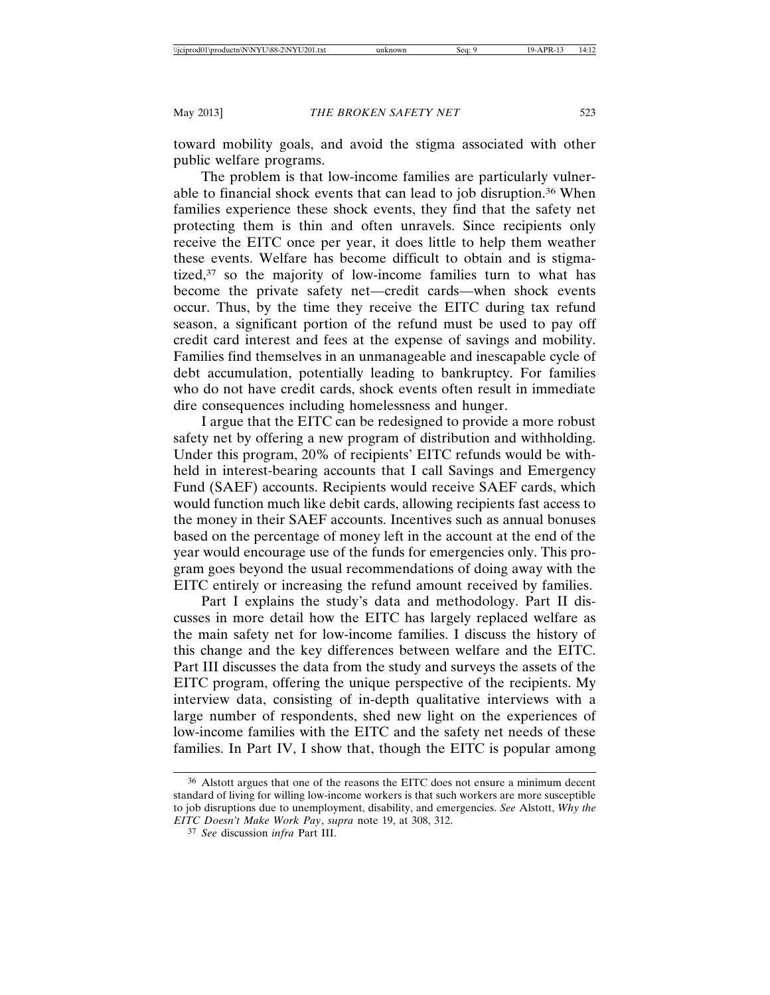toward mobility goals, and avoid the stigma associated with other public welfare programs.

The problem is that low-income families are particularly vulnerable to financial shock events that can lead to job disruption.36 When families experience these shock events, they find that the safety net protecting them is thin and often unravels. Since recipients only receive the EITC once per year, it does little to help them weather these events. Welfare has become difficult to obtain and is stigmatized,<sup>37</sup> so the majority of low-income families turn to what has become the private safety net—credit cards—when shock events occur. Thus, by the time they receive the EITC during tax refund season, a significant portion of the refund must be used to pay off credit card interest and fees at the expense of savings and mobility. Families find themselves in an unmanageable and inescapable cycle of debt accumulation, potentially leading to bankruptcy. For families who do not have credit cards, shock events often result in immediate dire consequences including homelessness and hunger.

I argue that the EITC can be redesigned to provide a more robust safety net by offering a new program of distribution and withholding. Under this program, 20% of recipients' EITC refunds would be withheld in interest-bearing accounts that I call Savings and Emergency Fund (SAEF) accounts. Recipients would receive SAEF cards, which would function much like debit cards, allowing recipients fast access to the money in their SAEF accounts. Incentives such as annual bonuses based on the percentage of money left in the account at the end of the year would encourage use of the funds for emergencies only. This program goes beyond the usual recommendations of doing away with the EITC entirely or increasing the refund amount received by families.

Part I explains the study's data and methodology. Part II discusses in more detail how the EITC has largely replaced welfare as the main safety net for low-income families. I discuss the history of this change and the key differences between welfare and the EITC. Part III discusses the data from the study and surveys the assets of the EITC program, offering the unique perspective of the recipients. My interview data, consisting of in-depth qualitative interviews with a large number of respondents, shed new light on the experiences of low-income families with the EITC and the safety net needs of these families. In Part IV, I show that, though the EITC is popular among

<sup>36</sup> Alstott argues that one of the reasons the EITC does not ensure a minimum decent standard of living for willing low-income workers is that such workers are more susceptible to job disruptions due to unemployment, disability, and emergencies. *See* Alstott, *Why the EITC Doesn't Make Work Pay*, *supra* note 19, at 308, 312.

<sup>37</sup> *See* discussion *infra* Part III.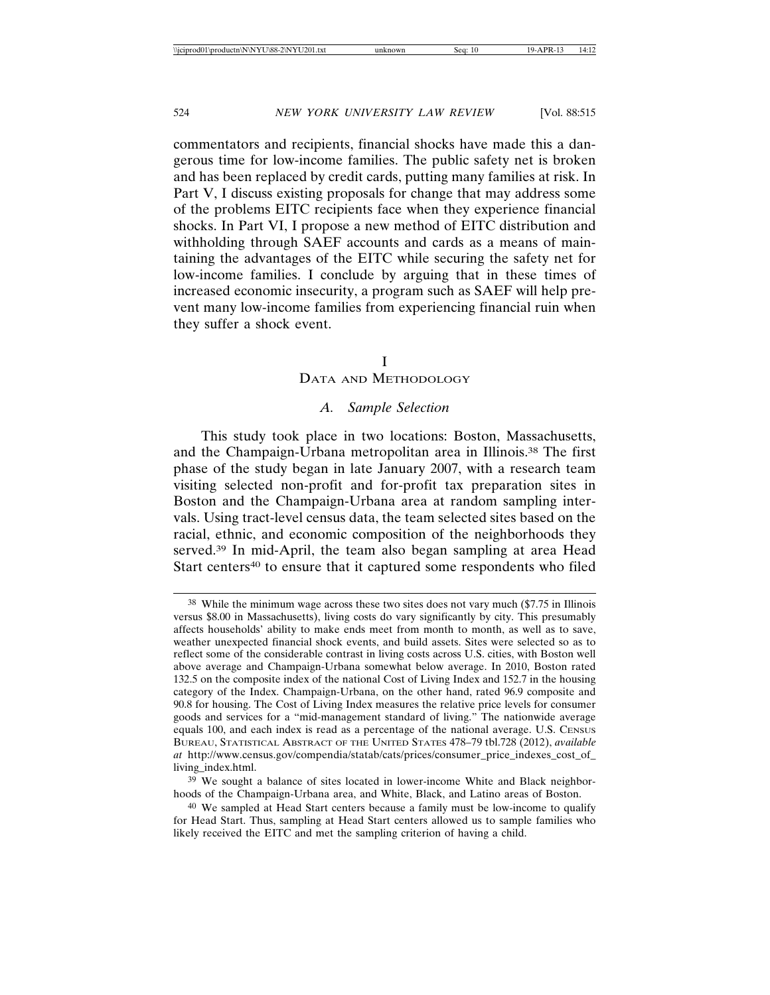commentators and recipients, financial shocks have made this a dangerous time for low-income families. The public safety net is broken and has been replaced by credit cards, putting many families at risk. In Part V, I discuss existing proposals for change that may address some of the problems EITC recipients face when they experience financial shocks. In Part VI, I propose a new method of EITC distribution and withholding through SAEF accounts and cards as a means of maintaining the advantages of the EITC while securing the safety net for low-income families. I conclude by arguing that in these times of increased economic insecurity, a program such as SAEF will help prevent many low-income families from experiencing financial ruin when they suffer a shock event.

#### I

#### DATA AND METHODOLOGY

#### *A. Sample Selection*

This study took place in two locations: Boston, Massachusetts, and the Champaign-Urbana metropolitan area in Illinois.38 The first phase of the study began in late January 2007, with a research team visiting selected non-profit and for-profit tax preparation sites in Boston and the Champaign-Urbana area at random sampling intervals. Using tract-level census data, the team selected sites based on the racial, ethnic, and economic composition of the neighborhoods they served.39 In mid-April, the team also began sampling at area Head Start centers<sup>40</sup> to ensure that it captured some respondents who filed

<sup>38</sup> While the minimum wage across these two sites does not vary much (\$7.75 in Illinois versus \$8.00 in Massachusetts), living costs do vary significantly by city. This presumably affects households' ability to make ends meet from month to month, as well as to save, weather unexpected financial shock events, and build assets. Sites were selected so as to reflect some of the considerable contrast in living costs across U.S. cities, with Boston well above average and Champaign-Urbana somewhat below average. In 2010, Boston rated 132.5 on the composite index of the national Cost of Living Index and 152.7 in the housing category of the Index. Champaign-Urbana, on the other hand, rated 96.9 composite and 90.8 for housing. The Cost of Living Index measures the relative price levels for consumer goods and services for a "mid-management standard of living." The nationwide average equals 100, and each index is read as a percentage of the national average. U.S. CENSUS BUREAU, STATISTICAL ABSTRACT OF THE UNITED STATES 478–79 tbl.728 (2012), *available at* http://www.census.gov/compendia/statab/cats/prices/consumer\_price\_indexes\_cost\_of\_ living\_index.html.

<sup>39</sup> We sought a balance of sites located in lower-income White and Black neighborhoods of the Champaign-Urbana area, and White, Black, and Latino areas of Boston.

<sup>40</sup> We sampled at Head Start centers because a family must be low-income to qualify for Head Start. Thus, sampling at Head Start centers allowed us to sample families who likely received the EITC and met the sampling criterion of having a child.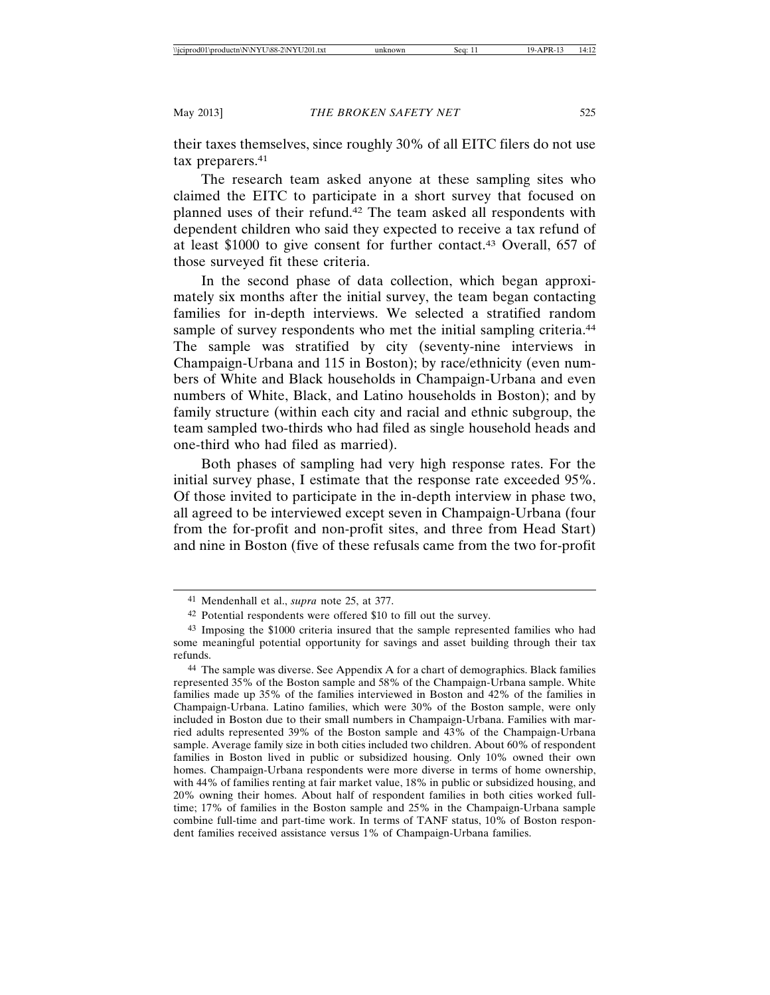their taxes themselves, since roughly 30% of all EITC filers do not use tax preparers.<sup>41</sup>

The research team asked anyone at these sampling sites who claimed the EITC to participate in a short survey that focused on planned uses of their refund.42 The team asked all respondents with dependent children who said they expected to receive a tax refund of at least \$1000 to give consent for further contact.43 Overall, 657 of those surveyed fit these criteria.

In the second phase of data collection, which began approximately six months after the initial survey, the team began contacting families for in-depth interviews. We selected a stratified random sample of survey respondents who met the initial sampling criteria.<sup>44</sup> The sample was stratified by city (seventy-nine interviews in Champaign-Urbana and 115 in Boston); by race/ethnicity (even numbers of White and Black households in Champaign-Urbana and even numbers of White, Black, and Latino households in Boston); and by family structure (within each city and racial and ethnic subgroup, the team sampled two-thirds who had filed as single household heads and one-third who had filed as married).

Both phases of sampling had very high response rates. For the initial survey phase, I estimate that the response rate exceeded 95%. Of those invited to participate in the in-depth interview in phase two, all agreed to be interviewed except seven in Champaign-Urbana (four from the for-profit and non-profit sites, and three from Head Start) and nine in Boston (five of these refusals came from the two for-profit

<sup>41</sup> Mendenhall et al., *supra* note 25, at 377.

<sup>42</sup> Potential respondents were offered \$10 to fill out the survey.

<sup>43</sup> Imposing the \$1000 criteria insured that the sample represented families who had some meaningful potential opportunity for savings and asset building through their tax refunds.

<sup>44</sup> The sample was diverse. See Appendix A for a chart of demographics. Black families represented 35% of the Boston sample and 58% of the Champaign-Urbana sample. White families made up 35% of the families interviewed in Boston and 42% of the families in Champaign-Urbana. Latino families, which were 30% of the Boston sample, were only included in Boston due to their small numbers in Champaign-Urbana. Families with married adults represented 39% of the Boston sample and 43% of the Champaign-Urbana sample. Average family size in both cities included two children. About 60% of respondent families in Boston lived in public or subsidized housing. Only 10% owned their own homes. Champaign-Urbana respondents were more diverse in terms of home ownership, with 44% of families renting at fair market value, 18% in public or subsidized housing, and 20% owning their homes. About half of respondent families in both cities worked fulltime; 17% of families in the Boston sample and 25% in the Champaign-Urbana sample combine full-time and part-time work. In terms of TANF status, 10% of Boston respondent families received assistance versus 1% of Champaign-Urbana families.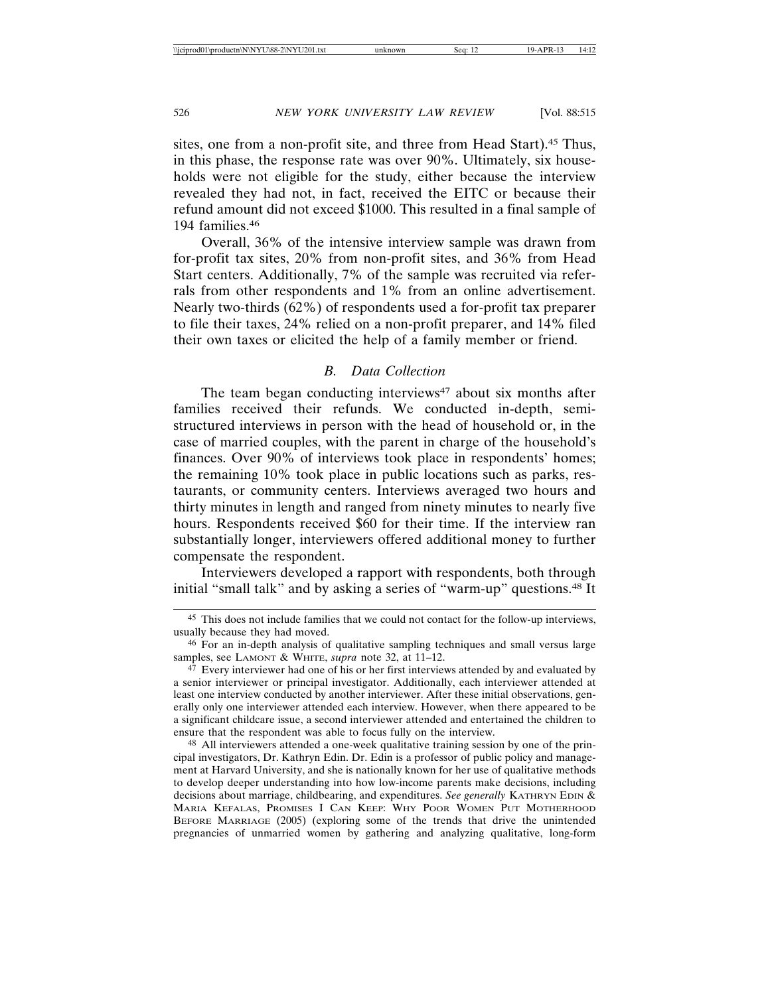sites, one from a non-profit site, and three from Head Start).45 Thus, in this phase, the response rate was over 90%. Ultimately, six households were not eligible for the study, either because the interview revealed they had not, in fact, received the EITC or because their refund amount did not exceed \$1000. This resulted in a final sample of 194 families.46

Overall, 36% of the intensive interview sample was drawn from for-profit tax sites, 20% from non-profit sites, and 36% from Head Start centers. Additionally, 7% of the sample was recruited via referrals from other respondents and 1% from an online advertisement. Nearly two-thirds (62%) of respondents used a for-profit tax preparer to file their taxes, 24% relied on a non-profit preparer, and 14% filed their own taxes or elicited the help of a family member or friend.

#### *B. Data Collection*

The team began conducting interviews $47$  about six months after families received their refunds. We conducted in-depth, semistructured interviews in person with the head of household or, in the case of married couples, with the parent in charge of the household's finances. Over 90% of interviews took place in respondents' homes; the remaining 10% took place in public locations such as parks, restaurants, or community centers. Interviews averaged two hours and thirty minutes in length and ranged from ninety minutes to nearly five hours. Respondents received \$60 for their time. If the interview ran substantially longer, interviewers offered additional money to further compensate the respondent.

Interviewers developed a rapport with respondents, both through initial "small talk" and by asking a series of "warm-up" questions.<sup>48</sup> It

48 All interviewers attended a one-week qualitative training session by one of the principal investigators, Dr. Kathryn Edin. Dr. Edin is a professor of public policy and management at Harvard University, and she is nationally known for her use of qualitative methods to develop deeper understanding into how low-income parents make decisions, including decisions about marriage, childbearing, and expenditures. *See generally* KATHRYN EDIN & MARIA KEFALAS, PROMISES I CAN KEEP: WHY POOR WOMEN PUT MOTHERHOOD BEFORE MARRIAGE (2005) (exploring some of the trends that drive the unintended pregnancies of unmarried women by gathering and analyzing qualitative, long-form

<sup>45</sup> This does not include families that we could not contact for the follow-up interviews, usually because they had moved.

<sup>46</sup> For an in-depth analysis of qualitative sampling techniques and small versus large samples, see LAMONT & WHITE, *supra* note 32, at 11–12.

<sup>&</sup>lt;sup>47</sup> Every interviewer had one of his or her first interviews attended by and evaluated by a senior interviewer or principal investigator. Additionally, each interviewer attended at least one interview conducted by another interviewer. After these initial observations, generally only one interviewer attended each interview. However, when there appeared to be a significant childcare issue, a second interviewer attended and entertained the children to ensure that the respondent was able to focus fully on the interview.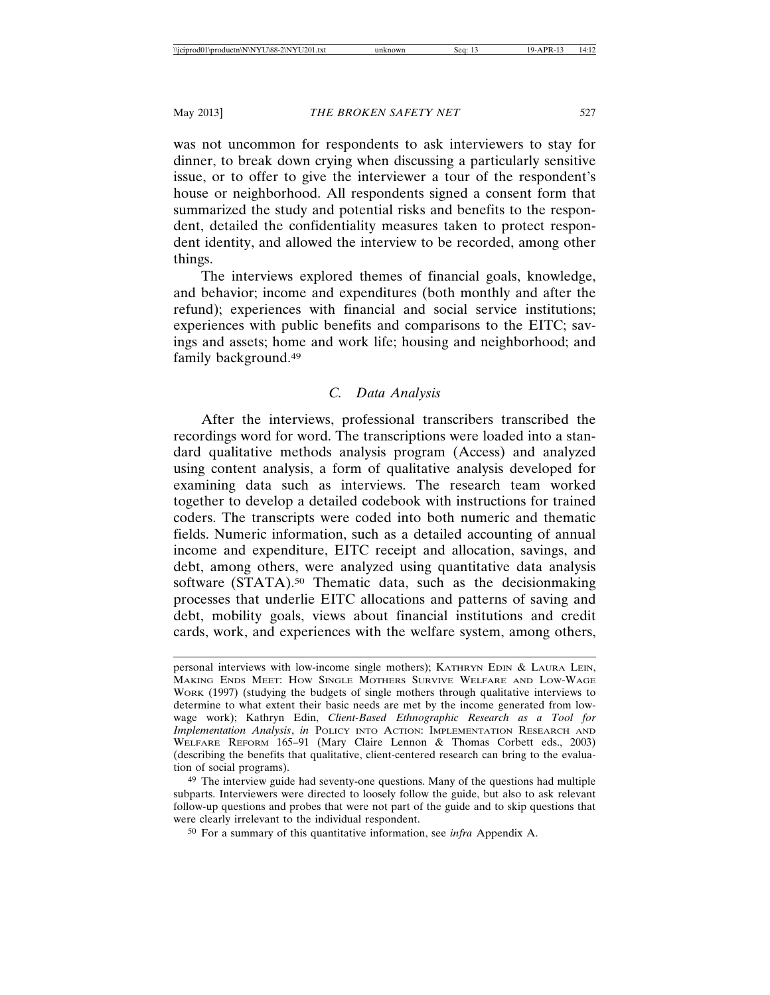was not uncommon for respondents to ask interviewers to stay for dinner, to break down crying when discussing a particularly sensitive issue, or to offer to give the interviewer a tour of the respondent's house or neighborhood. All respondents signed a consent form that summarized the study and potential risks and benefits to the respondent, detailed the confidentiality measures taken to protect respondent identity, and allowed the interview to be recorded, among other things.

The interviews explored themes of financial goals, knowledge, and behavior; income and expenditures (both monthly and after the refund); experiences with financial and social service institutions; experiences with public benefits and comparisons to the EITC; savings and assets; home and work life; housing and neighborhood; and family background.49

#### *C. Data Analysis*

After the interviews, professional transcribers transcribed the recordings word for word. The transcriptions were loaded into a standard qualitative methods analysis program (Access) and analyzed using content analysis, a form of qualitative analysis developed for examining data such as interviews. The research team worked together to develop a detailed codebook with instructions for trained coders. The transcripts were coded into both numeric and thematic fields. Numeric information, such as a detailed accounting of annual income and expenditure, EITC receipt and allocation, savings, and debt, among others, were analyzed using quantitative data analysis software (STATA).<sup>50</sup> Thematic data, such as the decisionmaking processes that underlie EITC allocations and patterns of saving and debt, mobility goals, views about financial institutions and credit cards, work, and experiences with the welfare system, among others,

personal interviews with low-income single mothers); KATHRYN EDIN & LAURA LEIN, MAKING ENDS MEET: HOW SINGLE MOTHERS SURVIVE WELFARE AND LOW-WAGE WORK (1997) (studying the budgets of single mothers through qualitative interviews to determine to what extent their basic needs are met by the income generated from lowwage work); Kathryn Edin, *Client-Based Ethnographic Research as a Tool for Implementation Analysis*, *in* POLICY INTO ACTION: IMPLEMENTATION RESEARCH AND WELFARE REFORM 165–91 (Mary Claire Lennon & Thomas Corbett eds., 2003) (describing the benefits that qualitative, client-centered research can bring to the evaluation of social programs).

<sup>49</sup> The interview guide had seventy-one questions. Many of the questions had multiple subparts. Interviewers were directed to loosely follow the guide, but also to ask relevant follow-up questions and probes that were not part of the guide and to skip questions that were clearly irrelevant to the individual respondent.

<sup>50</sup> For a summary of this quantitative information, see *infra* Appendix A.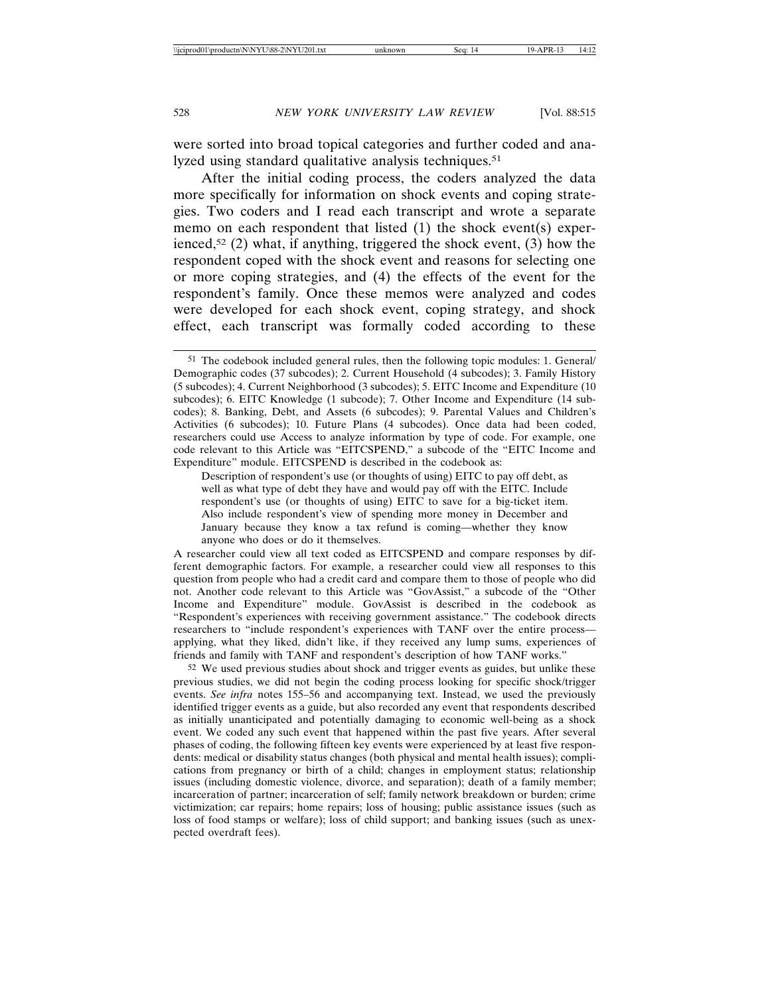were sorted into broad topical categories and further coded and analyzed using standard qualitative analysis techniques.<sup>51</sup>

After the initial coding process, the coders analyzed the data more specifically for information on shock events and coping strategies. Two coders and I read each transcript and wrote a separate memo on each respondent that listed (1) the shock event(s) experienced,<sup>52</sup> (2) what, if anything, triggered the shock event, (3) how the respondent coped with the shock event and reasons for selecting one or more coping strategies, and (4) the effects of the event for the respondent's family. Once these memos were analyzed and codes were developed for each shock event, coping strategy, and shock effect, each transcript was formally coded according to these

Description of respondent's use (or thoughts of using) EITC to pay off debt, as well as what type of debt they have and would pay off with the EITC. Include respondent's use (or thoughts of using) EITC to save for a big-ticket item. Also include respondent's view of spending more money in December and January because they know a tax refund is coming—whether they know anyone who does or do it themselves.

A researcher could view all text coded as EITCSPEND and compare responses by different demographic factors. For example, a researcher could view all responses to this question from people who had a credit card and compare them to those of people who did not. Another code relevant to this Article was "GovAssist," a subcode of the "Other Income and Expenditure" module. GovAssist is described in the codebook as "Respondent's experiences with receiving government assistance." The codebook directs researchers to "include respondent's experiences with TANF over the entire process applying, what they liked, didn't like, if they received any lump sums, experiences of friends and family with TANF and respondent's description of how TANF works."

52 We used previous studies about shock and trigger events as guides, but unlike these previous studies, we did not begin the coding process looking for specific shock/trigger events. *See infra* notes 155–56 and accompanying text. Instead, we used the previously identified trigger events as a guide, but also recorded any event that respondents described as initially unanticipated and potentially damaging to economic well-being as a shock event. We coded any such event that happened within the past five years. After several phases of coding, the following fifteen key events were experienced by at least five respondents: medical or disability status changes (both physical and mental health issues); complications from pregnancy or birth of a child; changes in employment status; relationship issues (including domestic violence, divorce, and separation); death of a family member; incarceration of partner; incarceration of self; family network breakdown or burden; crime victimization; car repairs; home repairs; loss of housing; public assistance issues (such as loss of food stamps or welfare); loss of child support; and banking issues (such as unexpected overdraft fees).

<sup>51</sup> The codebook included general rules, then the following topic modules: 1. General/ Demographic codes (37 subcodes); 2. Current Household (4 subcodes); 3. Family History (5 subcodes); 4. Current Neighborhood (3 subcodes); 5. EITC Income and Expenditure (10 subcodes); 6. EITC Knowledge (1 subcode); 7. Other Income and Expenditure (14 subcodes); 8. Banking, Debt, and Assets (6 subcodes); 9. Parental Values and Children's Activities (6 subcodes); 10. Future Plans (4 subcodes). Once data had been coded, researchers could use Access to analyze information by type of code. For example, one code relevant to this Article was "EITCSPEND," a subcode of the "EITC Income and Expenditure" module. EITCSPEND is described in the codebook as: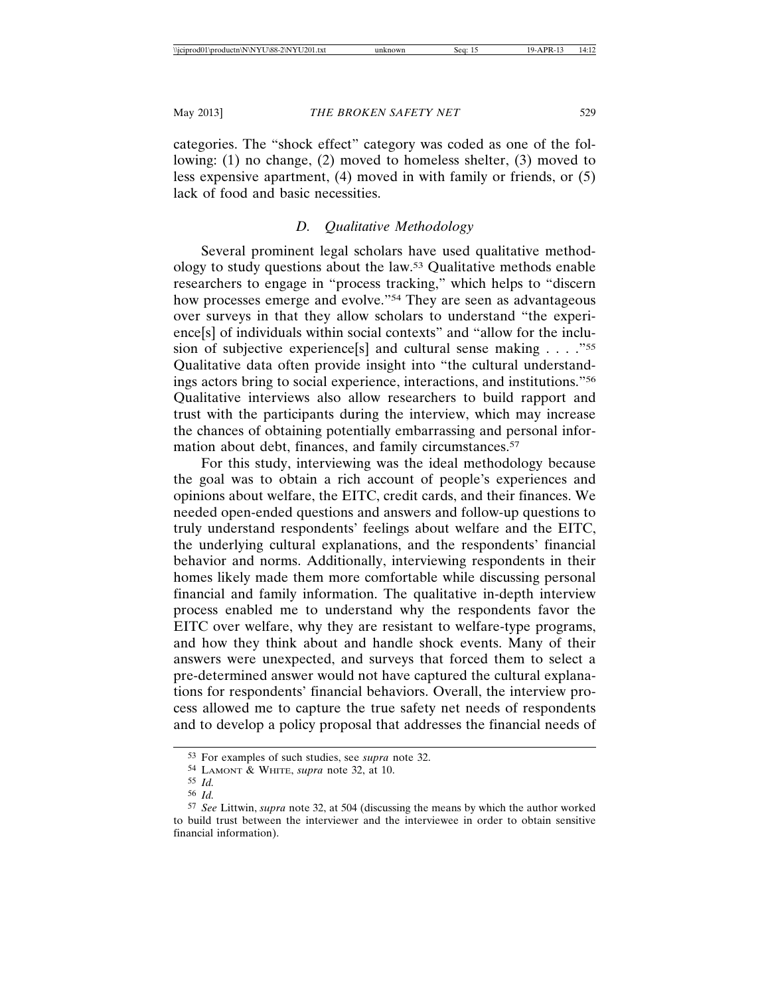categories. The "shock effect" category was coded as one of the following: (1) no change, (2) moved to homeless shelter, (3) moved to less expensive apartment, (4) moved in with family or friends, or (5) lack of food and basic necessities.

## *D. Qualitative Methodology*

Several prominent legal scholars have used qualitative methodology to study questions about the law.53 Qualitative methods enable researchers to engage in "process tracking," which helps to "discern how processes emerge and evolve."54 They are seen as advantageous over surveys in that they allow scholars to understand "the experience[s] of individuals within social contexts" and "allow for the inclusion of subjective experience[s] and cultural sense making . . . . "55 Qualitative data often provide insight into "the cultural understandings actors bring to social experience, interactions, and institutions."56 Qualitative interviews also allow researchers to build rapport and trust with the participants during the interview, which may increase the chances of obtaining potentially embarrassing and personal information about debt, finances, and family circumstances.<sup>57</sup>

For this study, interviewing was the ideal methodology because the goal was to obtain a rich account of people's experiences and opinions about welfare, the EITC, credit cards, and their finances. We needed open-ended questions and answers and follow-up questions to truly understand respondents' feelings about welfare and the EITC, the underlying cultural explanations, and the respondents' financial behavior and norms. Additionally, interviewing respondents in their homes likely made them more comfortable while discussing personal financial and family information. The qualitative in-depth interview process enabled me to understand why the respondents favor the EITC over welfare, why they are resistant to welfare-type programs, and how they think about and handle shock events. Many of their answers were unexpected, and surveys that forced them to select a pre-determined answer would not have captured the cultural explanations for respondents' financial behaviors. Overall, the interview process allowed me to capture the true safety net needs of respondents and to develop a policy proposal that addresses the financial needs of

<sup>53</sup> For examples of such studies, see *supra* note 32.

<sup>54</sup> LAMONT & WHITE, *supra* note 32, at 10.

<sup>55</sup> *Id.*

<sup>56</sup> *Id.*

<sup>57</sup> *See* Littwin, *supra* note 32, at 504 (discussing the means by which the author worked to build trust between the interviewer and the interviewee in order to obtain sensitive financial information).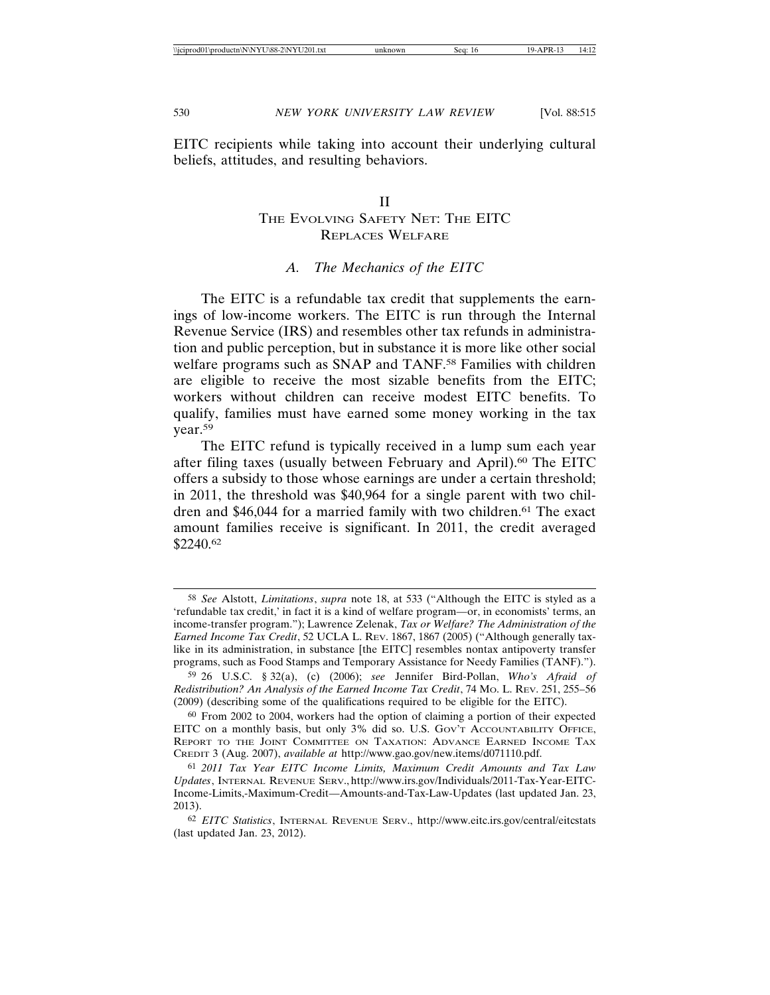EITC recipients while taking into account their underlying cultural beliefs, attitudes, and resulting behaviors.

#### II

## THE EVOLVING SAFETY NET: THE EITC REPLACES WELFARE

#### *A. The Mechanics of the EITC*

The EITC is a refundable tax credit that supplements the earnings of low-income workers. The EITC is run through the Internal Revenue Service (IRS) and resembles other tax refunds in administration and public perception, but in substance it is more like other social welfare programs such as SNAP and TANF.<sup>58</sup> Families with children are eligible to receive the most sizable benefits from the EITC; workers without children can receive modest EITC benefits. To qualify, families must have earned some money working in the tax year.59

The EITC refund is typically received in a lump sum each year after filing taxes (usually between February and April).<sup>60</sup> The EITC offers a subsidy to those whose earnings are under a certain threshold; in 2011, the threshold was \$40,964 for a single parent with two children and \$46,044 for a married family with two children.<sup>61</sup> The exact amount families receive is significant. In 2011, the credit averaged \$2240.62

<sup>58</sup> *See* Alstott, *Limitations*, *supra* note 18, at 533 ("Although the EITC is styled as a 'refundable tax credit,' in fact it is a kind of welfare program—or, in economists' terms, an income-transfer program."); Lawrence Zelenak, *Tax or Welfare? The Administration of the Earned Income Tax Credit*, 52 UCLA L. REV. 1867, 1867 (2005) ("Although generally taxlike in its administration, in substance [the EITC] resembles nontax antipoverty transfer programs, such as Food Stamps and Temporary Assistance for Needy Families (TANF).").

<sup>59</sup> 26 U.S.C. § 32(a), (c) (2006); *see* Jennifer Bird-Pollan, *Who's Afraid of Redistribution? An Analysis of the Earned Income Tax Credit*, 74 MO. L. REV. 251, 255–56 (2009) (describing some of the qualifications required to be eligible for the EITC).

<sup>60</sup> From 2002 to 2004, workers had the option of claiming a portion of their expected EITC on a monthly basis, but only 3% did so. U.S. GOV'T ACCOUNTABILITY OFFICE, REPORT TO THE JOINT COMMITTEE ON TAXATION: ADVANCE EARNED INCOME TAX CREDIT 3 (Aug. 2007), *available at* http://www.gao.gov/new.items/d071110.pdf.

<sup>61</sup> *2011 Tax Year EITC Income Limits, Maximum Credit Amounts and Tax Law Updates*, INTERNAL REVENUE SERV., http://www.irs.gov/Individuals/2011-Tax-Year-EITC-Income-Limits,-Maximum-Credit—Amounts-and-Tax-Law-Updates (last updated Jan. 23, 2013).

<sup>62</sup> *EITC Statistics*, INTERNAL REVENUE SERV., http://www.eitc.irs.gov/central/eitcstats (last updated Jan. 23, 2012).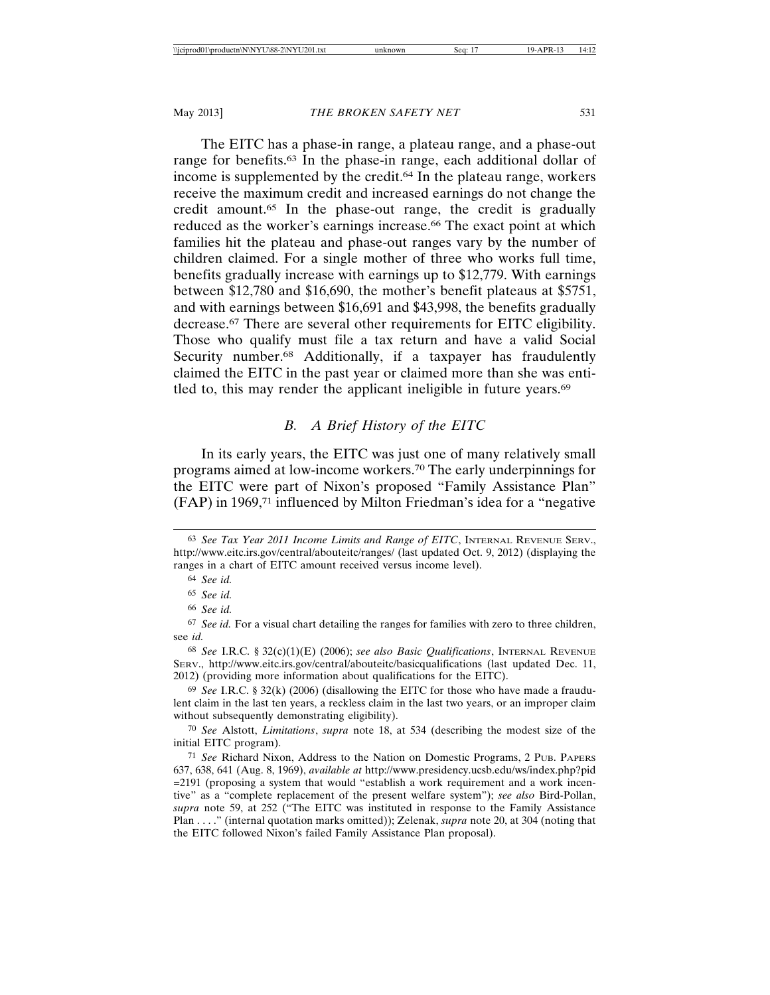The EITC has a phase-in range, a plateau range, and a phase-out range for benefits.63 In the phase-in range, each additional dollar of income is supplemented by the credit.64 In the plateau range, workers receive the maximum credit and increased earnings do not change the credit amount.65 In the phase-out range, the credit is gradually reduced as the worker's earnings increase.<sup>66</sup> The exact point at which families hit the plateau and phase-out ranges vary by the number of children claimed. For a single mother of three who works full time, benefits gradually increase with earnings up to \$12,779. With earnings between \$12,780 and \$16,690, the mother's benefit plateaus at \$5751, and with earnings between \$16,691 and \$43,998, the benefits gradually decrease.67 There are several other requirements for EITC eligibility. Those who qualify must file a tax return and have a valid Social Security number.<sup>68</sup> Additionally, if a taxpayer has fraudulently claimed the EITC in the past year or claimed more than she was entitled to, this may render the applicant ineligible in future years.69

# *B. A Brief History of the EITC*

In its early years, the EITC was just one of many relatively small programs aimed at low-income workers.70 The early underpinnings for the EITC were part of Nixon's proposed "Family Assistance Plan" (FAP) in 1969,71 influenced by Milton Friedman's idea for a "negative

<sup>63</sup> *See Tax Year 2011 Income Limits and Range of EITC*, INTERNAL REVENUE SERV., http://www.eitc.irs.gov/central/abouteitc/ranges/ (last updated Oct. 9, 2012) (displaying the ranges in a chart of EITC amount received versus income level).

<sup>64</sup> *See id.*

<sup>65</sup> *See id.*

<sup>66</sup> *See id.*

<sup>67</sup> *See id.* For a visual chart detailing the ranges for families with zero to three children, see *id.*

<sup>68</sup> *See* I.R.C. § 32(c)(1)(E) (2006); *see also Basic Qualifications*, INTERNAL REVENUE SERV., http://www.eitc.irs.gov/central/abouteitc/basicqualifications (last updated Dec. 11, 2012) (providing more information about qualifications for the EITC).

<sup>69</sup> *See* I.R.C. § 32(k) (2006) (disallowing the EITC for those who have made a fraudulent claim in the last ten years, a reckless claim in the last two years, or an improper claim without subsequently demonstrating eligibility).

<sup>70</sup> *See* Alstott, *Limitations*, *supra* note 18, at 534 (describing the modest size of the initial EITC program).

<sup>71</sup> *See* Richard Nixon, Address to the Nation on Domestic Programs, 2 PUB. PAPERS 637, 638, 641 (Aug. 8, 1969), *available at* http://www.presidency.ucsb.edu/ws/index.php?pid =2191 (proposing a system that would "establish a work requirement and a work incentive" as a "complete replacement of the present welfare system"); *see also* Bird-Pollan, *supra* note 59, at 252 ("The EITC was instituted in response to the Family Assistance Plan . . . ." (internal quotation marks omitted)); Zelenak, *supra* note 20, at 304 (noting that the EITC followed Nixon's failed Family Assistance Plan proposal).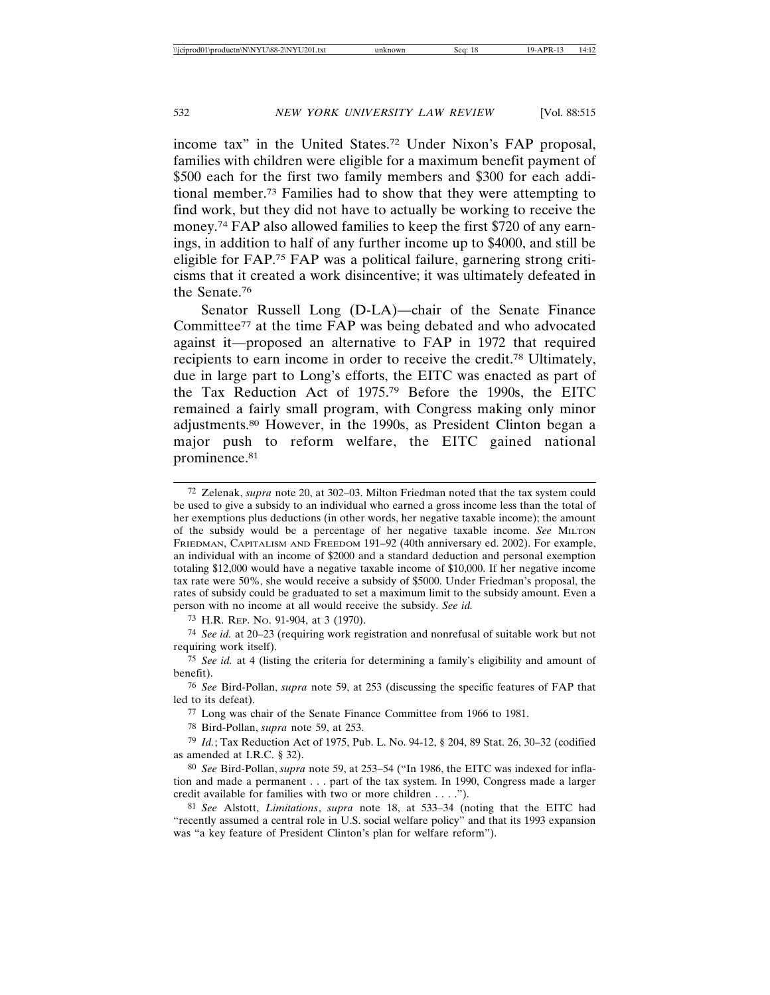income tax" in the United States.72 Under Nixon's FAP proposal, families with children were eligible for a maximum benefit payment of \$500 each for the first two family members and \$300 for each additional member.73 Families had to show that they were attempting to find work, but they did not have to actually be working to receive the money.74 FAP also allowed families to keep the first \$720 of any earnings, in addition to half of any further income up to \$4000, and still be eligible for FAP.75 FAP was a political failure, garnering strong criticisms that it created a work disincentive; it was ultimately defeated in the Senate.76

Senator Russell Long (D-LA)—chair of the Senate Finance Committee77 at the time FAP was being debated and who advocated against it—proposed an alternative to FAP in 1972 that required recipients to earn income in order to receive the credit.78 Ultimately, due in large part to Long's efforts, the EITC was enacted as part of the Tax Reduction Act of 1975.79 Before the 1990s, the EITC remained a fairly small program, with Congress making only minor adjustments.80 However, in the 1990s, as President Clinton began a major push to reform welfare, the EITC gained national prominence.<sup>81</sup>

<sup>72</sup> Zelenak, *supra* note 20, at 302–03. Milton Friedman noted that the tax system could be used to give a subsidy to an individual who earned a gross income less than the total of her exemptions plus deductions (in other words, her negative taxable income); the amount of the subsidy would be a percentage of her negative taxable income. *See* MILTON FRIEDMAN, CAPITALISM AND FREEDOM 191–92 (40th anniversary ed. 2002). For example, an individual with an income of \$2000 and a standard deduction and personal exemption totaling \$12,000 would have a negative taxable income of \$10,000. If her negative income tax rate were 50%, she would receive a subsidy of \$5000. Under Friedman's proposal, the rates of subsidy could be graduated to set a maximum limit to the subsidy amount. Even a person with no income at all would receive the subsidy. *See id.*

<sup>73</sup> H.R. REP. NO. 91-904, at 3 (1970).

<sup>74</sup> *See id.* at 20–23 (requiring work registration and nonrefusal of suitable work but not requiring work itself).

<sup>75</sup> *See id.* at 4 (listing the criteria for determining a family's eligibility and amount of benefit).

<sup>76</sup> *See* Bird-Pollan, *supra* note 59, at 253 (discussing the specific features of FAP that led to its defeat).

<sup>77</sup> Long was chair of the Senate Finance Committee from 1966 to 1981.

<sup>78</sup> Bird-Pollan, *supra* note 59, at 253.

<sup>79</sup> *Id.*; Tax Reduction Act of 1975, Pub. L. No. 94-12, § 204, 89 Stat. 26, 30–32 (codified as amended at I.R.C. § 32).

<sup>80</sup> *See* Bird-Pollan, *supra* note 59, at 253–54 ("In 1986, the EITC was indexed for inflation and made a permanent . . . part of the tax system. In 1990, Congress made a larger credit available for families with two or more children . . . .").

<sup>81</sup> *See* Alstott, *Limitations*, *supra* note 18, at 533–34 (noting that the EITC had "recently assumed a central role in U.S. social welfare policy" and that its 1993 expansion was "a key feature of President Clinton's plan for welfare reform").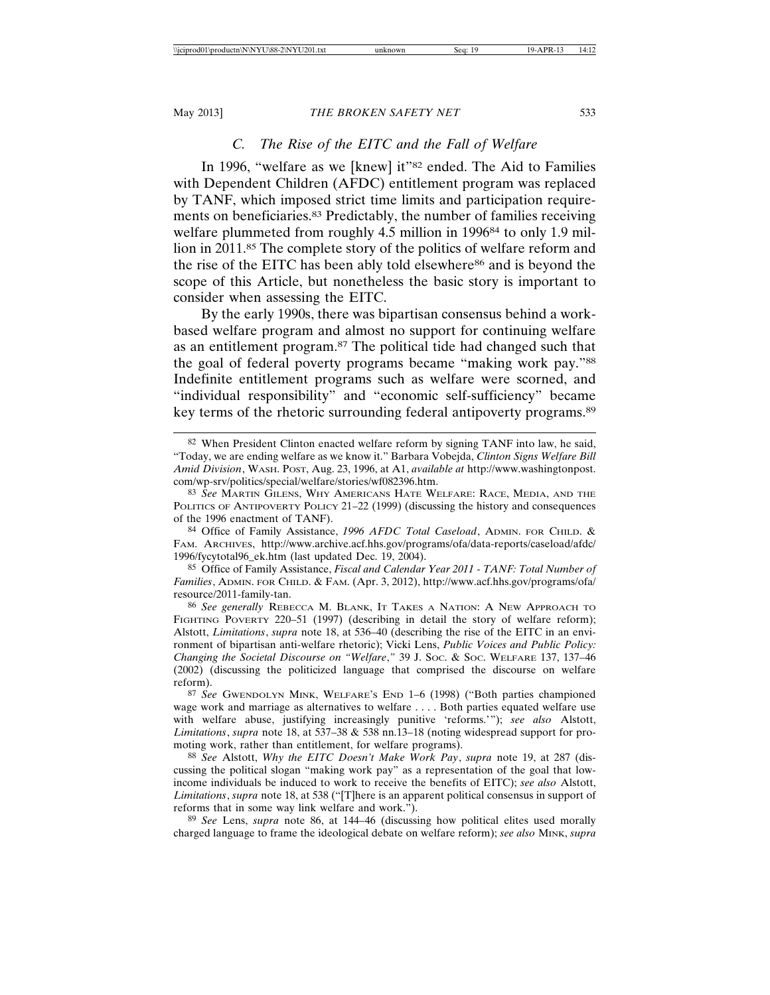#### *C. The Rise of the EITC and the Fall of Welfare*

In 1996, "welfare as we [knew] it"<sup>82</sup> ended. The Aid to Families with Dependent Children (AFDC) entitlement program was replaced by TANF, which imposed strict time limits and participation requirements on beneficiaries.83 Predictably, the number of families receiving welfare plummeted from roughly 4.5 million in 1996<sup>84</sup> to only 1.9 million in 2011.85 The complete story of the politics of welfare reform and the rise of the EITC has been ably told elsewhere86 and is beyond the scope of this Article, but nonetheless the basic story is important to consider when assessing the EITC.

By the early 1990s, there was bipartisan consensus behind a workbased welfare program and almost no support for continuing welfare as an entitlement program.87 The political tide had changed such that the goal of federal poverty programs became "making work pay."88 Indefinite entitlement programs such as welfare were scorned, and "individual responsibility" and "economic self-sufficiency" became key terms of the rhetoric surrounding federal antipoverty programs.89

84 Office of Family Assistance, *1996 AFDC Total Caseload*, ADMIN. FOR CHILD. & FAM. ARCHIVES, http://www.archive.acf.hhs.gov/programs/ofa/data-reports/caseload/afdc/ 1996/fycytotal96\_ek.htm (last updated Dec. 19, 2004).

85 Office of Family Assistance, *Fiscal and Calendar Year 2011 - TANF: Total Number of Families*, ADMIN. FOR CHILD. & FAM. (Apr. 3, 2012), http://www.acf.hhs.gov/programs/ofa/ resource/2011-family-tan.

86 *See generally* REBECCA M. BLANK, IT TAKES A NATION: A NEW APPROACH TO FIGHTING POVERTY 220–51 (1997) (describing in detail the story of welfare reform); Alstott, *Limitations*, *supra* note 18, at 536–40 (describing the rise of the EITC in an environment of bipartisan anti-welfare rhetoric); Vicki Lens, *Public Voices and Public Policy: Changing the Societal Discourse on "Welfare*,*"* 39 J. SOC. & SOC. WELFARE 137, 137–46 (2002) (discussing the politicized language that comprised the discourse on welfare reform).

87 *See* GWENDOLYN MINK, WELFARE'S END 1–6 (1998) ("Both parties championed wage work and marriage as alternatives to welfare . . . . Both parties equated welfare use with welfare abuse, justifying increasingly punitive 'reforms.'"); *see also* Alstott, *Limitations*, *supra* note 18, at 537–38 & 538 nn.13–18 (noting widespread support for promoting work, rather than entitlement, for welfare programs).

88 *See* Alstott, *Why the EITC Doesn't Make Work Pay*, *supra* note 19, at 287 (discussing the political slogan "making work pay" as a representation of the goal that lowincome individuals be induced to work to receive the benefits of EITC); *see also* Alstott, *Limitations*, *supra* note 18, at 538 ("[T]here is an apparent political consensus in support of reforms that in some way link welfare and work.").

89 *See* Lens, *supra* note 86, at 144–46 (discussing how political elites used morally charged language to frame the ideological debate on welfare reform); *see also* MINK, *supra*

<sup>82</sup> When President Clinton enacted welfare reform by signing TANF into law, he said, "Today, we are ending welfare as we know it." Barbara Vobejda, *Clinton Signs Welfare Bill Amid Division*, WASH. POST, Aug. 23, 1996, at A1, *available at* http://www.washingtonpost. com/wp-srv/politics/special/welfare/stories/wf082396.htm.

<sup>83</sup> *See* MARTIN GILENS, WHY AMERICANS HATE WELFARE: RACE, MEDIA, AND THE POLITICS OF ANTIPOVERTY POLICY 21–22 (1999) (discussing the history and consequences of the 1996 enactment of TANF).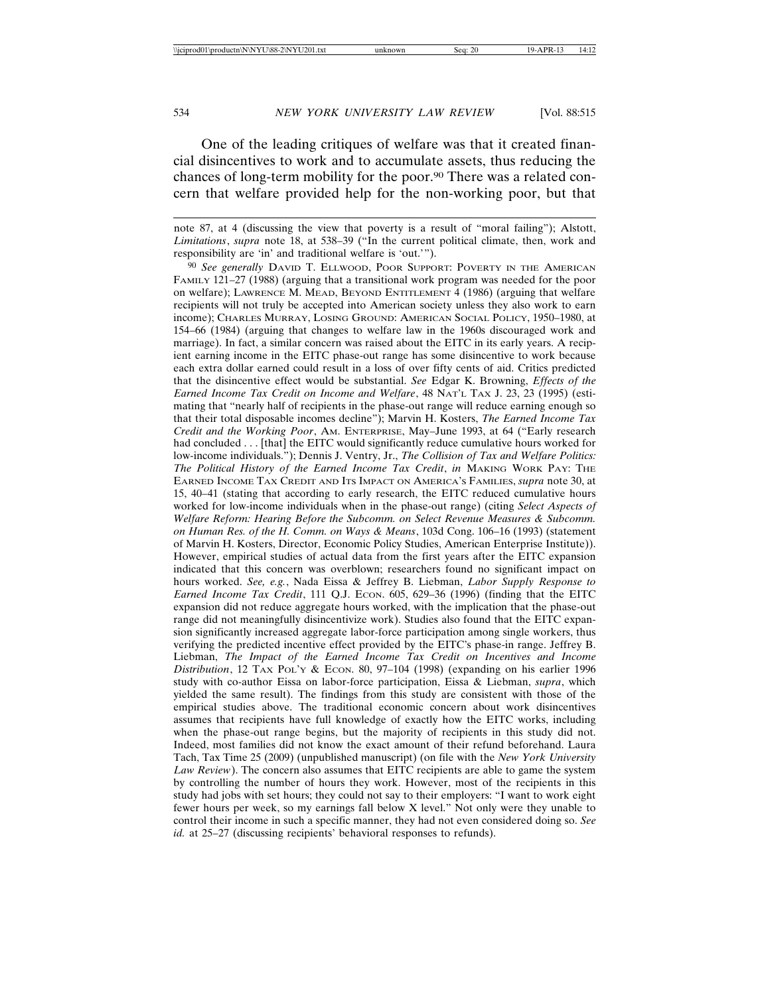One of the leading critiques of welfare was that it created financial disincentives to work and to accumulate assets, thus reducing the chances of long-term mobility for the poor.90 There was a related concern that welfare provided help for the non-working poor, but that

note 87, at 4 (discussing the view that poverty is a result of "moral failing"); Alstott, *Limitations*, *supra* note 18, at 538–39 ("In the current political climate, then, work and responsibility are 'in' and traditional welfare is 'out.'").

90 *See generally* DAVID T. ELLWOOD, POOR SUPPORT: POVERTY IN THE AMERICAN FAMILY 121–27 (1988) (arguing that a transitional work program was needed for the poor on welfare); LAWRENCE M. MEAD, BEYOND ENTITLEMENT 4 (1986) (arguing that welfare recipients will not truly be accepted into American society unless they also work to earn income); CHARLES MURRAY, LOSING GROUND: AMERICAN SOCIAL POLICY, 1950–1980, at 154–66 (1984) (arguing that changes to welfare law in the 1960s discouraged work and marriage). In fact, a similar concern was raised about the EITC in its early years. A recipient earning income in the EITC phase-out range has some disincentive to work because each extra dollar earned could result in a loss of over fifty cents of aid. Critics predicted that the disincentive effect would be substantial. *See* Edgar K. Browning, *Effects of the Earned Income Tax Credit on Income and Welfare*, 48 NAT'L TAX J. 23, 23 (1995) (estimating that "nearly half of recipients in the phase-out range will reduce earning enough so that their total disposable incomes decline"); Marvin H. Kosters, *The Earned Income Tax Credit and the Working Poor*, AM. ENTERPRISE, May–June 1993, at 64 ("Early research had concluded . . . [that] the EITC would significantly reduce cumulative hours worked for low-income individuals."); Dennis J. Ventry, Jr., *The Collision of Tax and Welfare Politics: The Political History of the Earned Income Tax Credit*, *in* MAKING WORK PAY: THE EARNED INCOME TAX CREDIT AND ITS IMPACT ON AMERICA'S FAMILIES, *supra* note 30, at 15, 40–41 (stating that according to early research, the EITC reduced cumulative hours worked for low-income individuals when in the phase-out range) (citing *Select Aspects of Welfare Reform: Hearing Before the Subcomm. on Select Revenue Measures & Subcomm. on Human Res. of the H. Comm. on Ways & Means*, 103d Cong. 106–16 (1993) (statement of Marvin H. Kosters, Director, Economic Policy Studies, American Enterprise Institute)). However, empirical studies of actual data from the first years after the EITC expansion indicated that this concern was overblown; researchers found no significant impact on hours worked. *See, e.g.*, Nada Eissa & Jeffrey B. Liebman, *Labor Supply Response to Earned Income Tax Credit*, 111 Q.J. ECON. 605, 629–36 (1996) (finding that the EITC expansion did not reduce aggregate hours worked, with the implication that the phase-out range did not meaningfully disincentivize work). Studies also found that the EITC expansion significantly increased aggregate labor-force participation among single workers, thus verifying the predicted incentive effect provided by the EITC's phase-in range. Jeffrey B. Liebman, *The Impact of the Earned Income Tax Credit on Incentives and Income Distribution*, 12 TAX POL'Y & ECON. 80, 97-104 (1998) (expanding on his earlier 1996 study with co-author Eissa on labor-force participation, Eissa & Liebman, *supra*, which yielded the same result). The findings from this study are consistent with those of the empirical studies above. The traditional economic concern about work disincentives assumes that recipients have full knowledge of exactly how the EITC works, including when the phase-out range begins, but the majority of recipients in this study did not. Indeed, most families did not know the exact amount of their refund beforehand. Laura Tach, Tax Time 25 (2009) (unpublished manuscript) (on file with the *New York University Law Review*). The concern also assumes that EITC recipients are able to game the system by controlling the number of hours they work. However, most of the recipients in this study had jobs with set hours; they could not say to their employers: "I want to work eight fewer hours per week, so my earnings fall below X level." Not only were they unable to control their income in such a specific manner, they had not even considered doing so. *See id.* at 25–27 (discussing recipients' behavioral responses to refunds).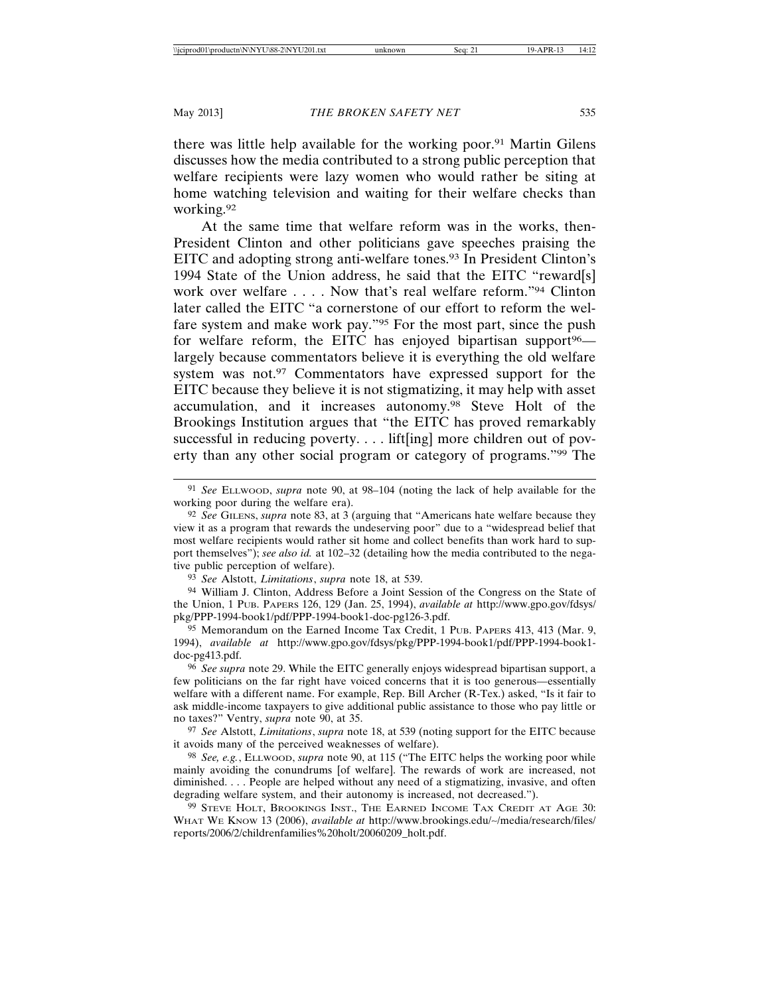there was little help available for the working poor.91 Martin Gilens discusses how the media contributed to a strong public perception that welfare recipients were lazy women who would rather be siting at home watching television and waiting for their welfare checks than working.92

At the same time that welfare reform was in the works, then-President Clinton and other politicians gave speeches praising the EITC and adopting strong anti-welfare tones.93 In President Clinton's 1994 State of the Union address, he said that the EITC "reward[s] work over welfare . . . . Now that's real welfare reform."94 Clinton later called the EITC "a cornerstone of our effort to reform the welfare system and make work pay."95 For the most part, since the push for welfare reform, the EITC has enjoyed bipartisan support<sup>96</sup> largely because commentators believe it is everything the old welfare system was not.<sup>97</sup> Commentators have expressed support for the EITC because they believe it is not stigmatizing, it may help with asset accumulation, and it increases autonomy.98 Steve Holt of the Brookings Institution argues that "the EITC has proved remarkably successful in reducing poverty. . . . lift[ing] more children out of poverty than any other social program or category of programs."99 The

93 *See* Alstott, *Limitations*, *supra* note 18, at 539.

94 William J. Clinton, Address Before a Joint Session of the Congress on the State of the Union, 1 PUB. PAPERS 126, 129 (Jan. 25, 1994), *available at* http://www.gpo.gov/fdsys/ pkg/PPP-1994-book1/pdf/PPP-1994-book1-doc-pg126-3.pdf.

95 Memorandum on the Earned Income Tax Credit, 1 PUB. PAPERS 413, 413 (Mar. 9, 1994), *available at* http://www.gpo.gov/fdsys/pkg/PPP-1994-book1/pdf/PPP-1994-book1 doc-pg413.pdf.

96 *See supra* note 29. While the EITC generally enjoys widespread bipartisan support, a few politicians on the far right have voiced concerns that it is too generous—essentially welfare with a different name. For example, Rep. Bill Archer (R-Tex.) asked, "Is it fair to ask middle-income taxpayers to give additional public assistance to those who pay little or no taxes?" Ventry, *supra* note 90, at 35.

97 *See* Alstott, *Limitations*, *supra* note 18, at 539 (noting support for the EITC because it avoids many of the perceived weaknesses of welfare).

98 *See, e.g.*, ELLWOOD, *supra* note 90, at 115 ("The EITC helps the working poor while mainly avoiding the conundrums [of welfare]. The rewards of work are increased, not diminished. . . . People are helped without any need of a stigmatizing, invasive, and often degrading welfare system, and their autonomy is increased, not decreased.").

99 STEVE HOLT, BROOKINGS INST., THE EARNED INCOME TAX CREDIT AT AGE 30: WHAT WE KNOW 13 (2006), *available at* http://www.brookings.edu/∼/media/research/files/ reports/2006/2/childrenfamilies%20holt/20060209\_holt.pdf.

<sup>91</sup> *See* ELLWOOD, *supra* note 90, at 98–104 (noting the lack of help available for the working poor during the welfare era).

<sup>92</sup> *See* GILENS, *supra* note 83, at 3 (arguing that "Americans hate welfare because they view it as a program that rewards the undeserving poor" due to a "widespread belief that most welfare recipients would rather sit home and collect benefits than work hard to support themselves"); *see also id.* at 102–32 (detailing how the media contributed to the negative public perception of welfare).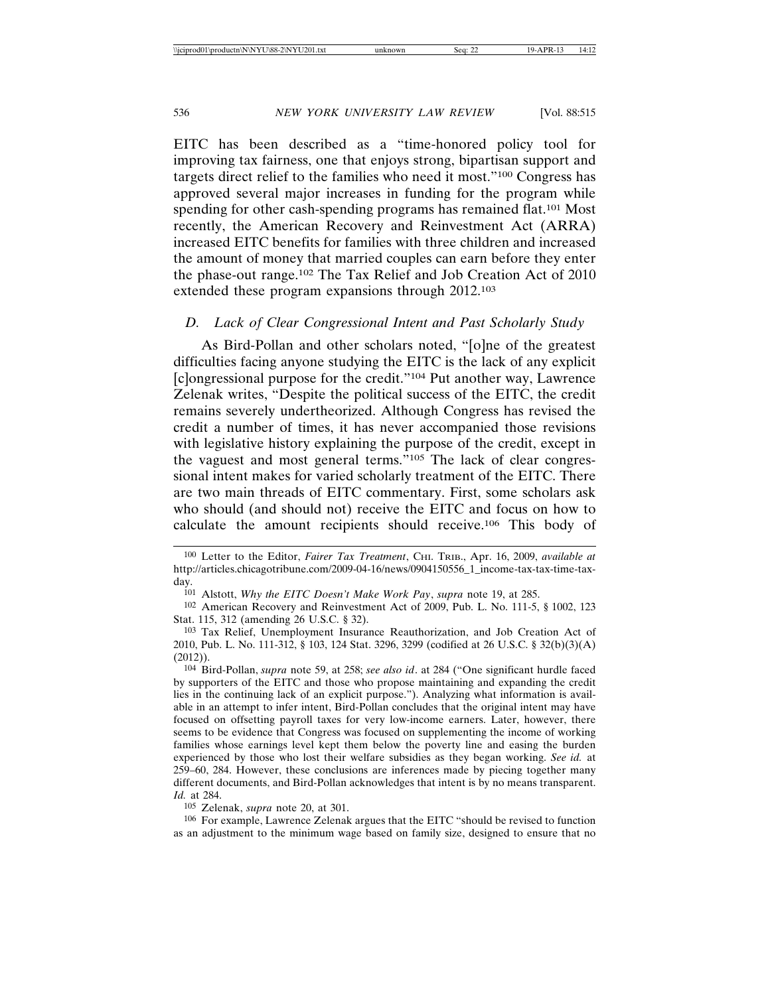EITC has been described as a "time-honored policy tool for improving tax fairness, one that enjoys strong, bipartisan support and targets direct relief to the families who need it most."100 Congress has approved several major increases in funding for the program while spending for other cash-spending programs has remained flat.<sup>101</sup> Most recently, the American Recovery and Reinvestment Act (ARRA) increased EITC benefits for families with three children and increased the amount of money that married couples can earn before they enter the phase-out range.102 The Tax Relief and Job Creation Act of 2010 extended these program expansions through 2012.103

#### *D. Lack of Clear Congressional Intent and Past Scholarly Study*

As Bird-Pollan and other scholars noted, "[o]ne of the greatest difficulties facing anyone studying the EITC is the lack of any explicit [c]ongressional purpose for the credit."104 Put another way, Lawrence Zelenak writes, "Despite the political success of the EITC, the credit remains severely undertheorized. Although Congress has revised the credit a number of times, it has never accompanied those revisions with legislative history explaining the purpose of the credit, except in the vaguest and most general terms."105 The lack of clear congressional intent makes for varied scholarly treatment of the EITC. There are two main threads of EITC commentary. First, some scholars ask who should (and should not) receive the EITC and focus on how to calculate the amount recipients should receive.106 This body of

105 Zelenak, *supra* note 20, at 301.

106 For example, Lawrence Zelenak argues that the EITC "should be revised to function as an adjustment to the minimum wage based on family size, designed to ensure that no

<sup>100</sup> Letter to the Editor, *Fairer Tax Treatment*, CHI. TRIB., Apr. 16, 2009, *available at* http://articles.chicagotribune.com/2009-04-16/news/0904150556\_1\_income-tax-tax-time-taxday.

<sup>101</sup> Alstott, *Why the EITC Doesn't Make Work Pay*, *supra* note 19, at 285.

<sup>102</sup> American Recovery and Reinvestment Act of 2009, Pub. L. No. 111-5, § 1002, 123 Stat. 115, 312 (amending 26 U.S.C. § 32).

<sup>103</sup> Tax Relief, Unemployment Insurance Reauthorization, and Job Creation Act of 2010, Pub. L. No. 111-312, § 103, 124 Stat. 3296, 3299 (codified at 26 U.S.C. § 32(b)(3)(A) (2012)).

<sup>104</sup> Bird-Pollan, *supra* note 59, at 258; *see also id*. at 284 ("One significant hurdle faced by supporters of the EITC and those who propose maintaining and expanding the credit lies in the continuing lack of an explicit purpose."). Analyzing what information is available in an attempt to infer intent, Bird-Pollan concludes that the original intent may have focused on offsetting payroll taxes for very low-income earners. Later, however, there seems to be evidence that Congress was focused on supplementing the income of working families whose earnings level kept them below the poverty line and easing the burden experienced by those who lost their welfare subsidies as they began working. *See id.* at 259–60, 284. However, these conclusions are inferences made by piecing together many different documents, and Bird-Pollan acknowledges that intent is by no means transparent. *Id.* at 284.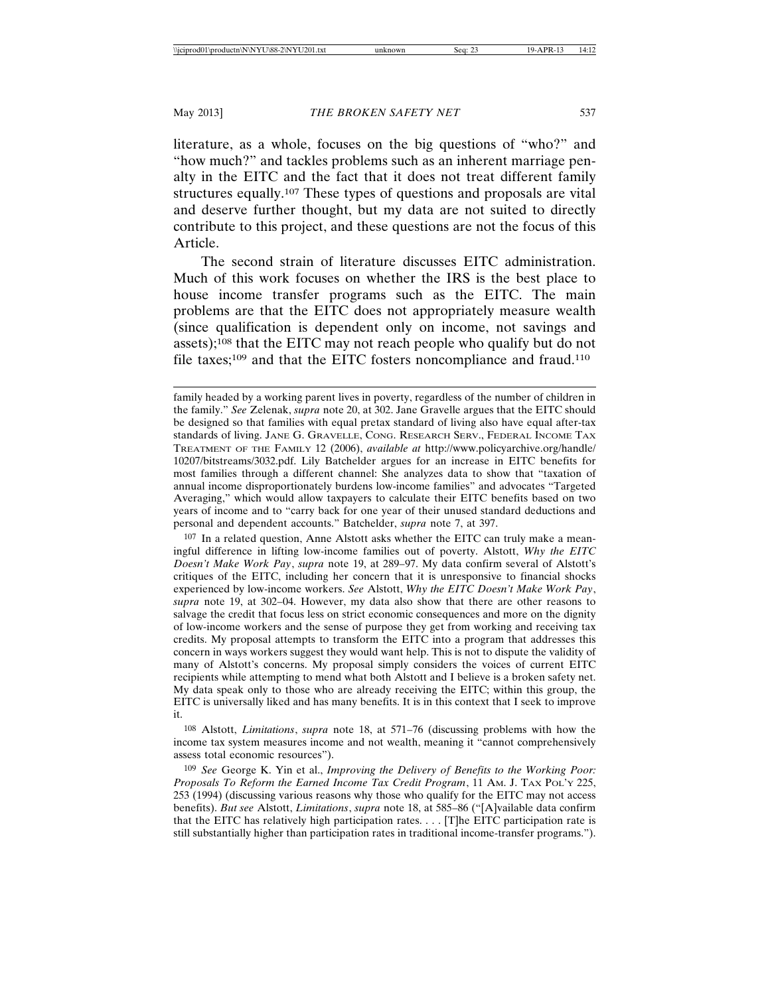literature, as a whole, focuses on the big questions of "who?" and "how much?" and tackles problems such as an inherent marriage penalty in the EITC and the fact that it does not treat different family structures equally.107 These types of questions and proposals are vital and deserve further thought, but my data are not suited to directly contribute to this project, and these questions are not the focus of this Article.

The second strain of literature discusses EITC administration. Much of this work focuses on whether the IRS is the best place to house income transfer programs such as the EITC. The main problems are that the EITC does not appropriately measure wealth (since qualification is dependent only on income, not savings and assets);108 that the EITC may not reach people who qualify but do not file taxes;<sup>109</sup> and that the EITC fosters noncompliance and fraud.<sup>110</sup>

107 In a related question, Anne Alstott asks whether the EITC can truly make a meaningful difference in lifting low-income families out of poverty. Alstott, *Why the EITC Doesn't Make Work Pay*, *supra* note 19, at 289–97. My data confirm several of Alstott's critiques of the EITC, including her concern that it is unresponsive to financial shocks experienced by low-income workers. *See* Alstott, *Why the EITC Doesn't Make Work Pay*, *supra* note 19, at 302–04. However, my data also show that there are other reasons to salvage the credit that focus less on strict economic consequences and more on the dignity of low-income workers and the sense of purpose they get from working and receiving tax credits. My proposal attempts to transform the EITC into a program that addresses this concern in ways workers suggest they would want help. This is not to dispute the validity of many of Alstott's concerns. My proposal simply considers the voices of current EITC recipients while attempting to mend what both Alstott and I believe is a broken safety net. My data speak only to those who are already receiving the EITC; within this group, the EITC is universally liked and has many benefits. It is in this context that I seek to improve it.

108 Alstott, *Limitations*, *supra* note 18, at 571–76 (discussing problems with how the income tax system measures income and not wealth, meaning it "cannot comprehensively assess total economic resources").

109 *See* George K. Yin et al., *Improving the Delivery of Benefits to the Working Poor: Proposals To Reform the Earned Income Tax Credit Program*, 11 AM. J. TAX POL'Y 225, 253 (1994) (discussing various reasons why those who qualify for the EITC may not access benefits). *But see* Alstott, *Limitations*, *supra* note 18, at 585–86 ("[A]vailable data confirm that the EITC has relatively high participation rates.  $\ldots$  [T]he EITC participation rate is still substantially higher than participation rates in traditional income-transfer programs.").

family headed by a working parent lives in poverty, regardless of the number of children in the family." *See* Zelenak, *supra* note 20, at 302. Jane Gravelle argues that the EITC should be designed so that families with equal pretax standard of living also have equal after-tax standards of living. JANE G. GRAVELLE, CONG. RESEARCH SERV., FEDERAL INCOME TAX TREATMENT OF THE FAMILY 12 (2006), *available at* http://www.policyarchive.org/handle/ 10207/bitstreams/3032.pdf. Lily Batchelder argues for an increase in EITC benefits for most families through a different channel: She analyzes data to show that "taxation of annual income disproportionately burdens low-income families" and advocates "Targeted Averaging," which would allow taxpayers to calculate their EITC benefits based on two years of income and to "carry back for one year of their unused standard deductions and personal and dependent accounts." Batchelder, *supra* note 7, at 397.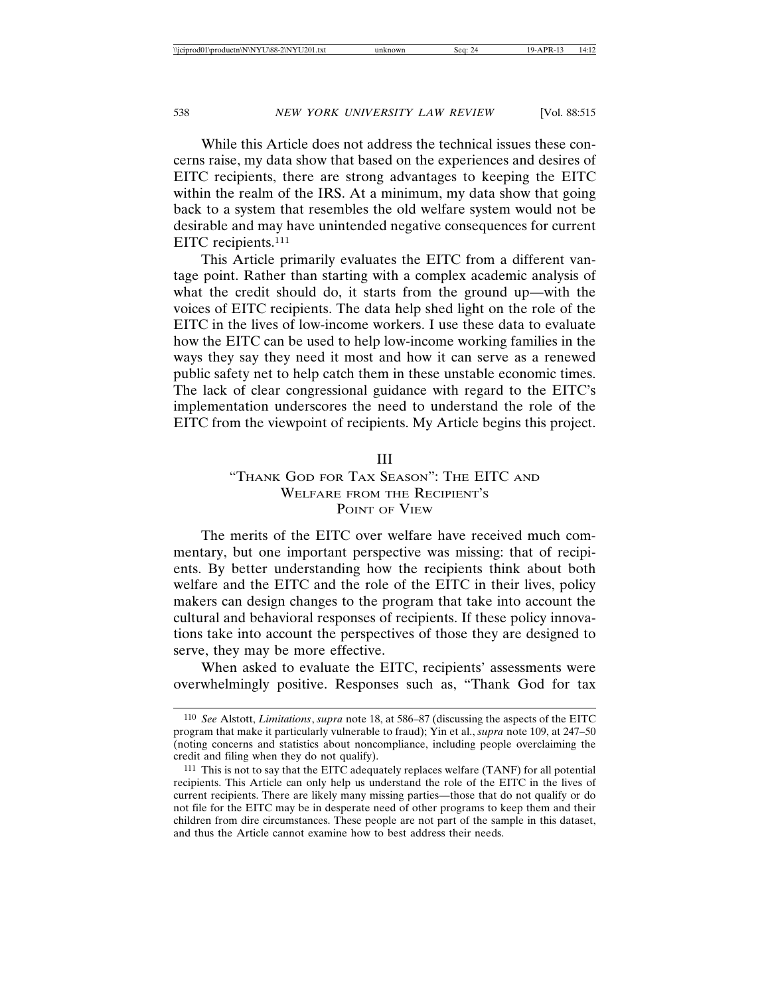While this Article does not address the technical issues these concerns raise, my data show that based on the experiences and desires of EITC recipients, there are strong advantages to keeping the EITC within the realm of the IRS. At a minimum, my data show that going back to a system that resembles the old welfare system would not be desirable and may have unintended negative consequences for current EITC recipients.111

This Article primarily evaluates the EITC from a different vantage point. Rather than starting with a complex academic analysis of what the credit should do, it starts from the ground up—with the voices of EITC recipients. The data help shed light on the role of the EITC in the lives of low-income workers. I use these data to evaluate how the EITC can be used to help low-income working families in the ways they say they need it most and how it can serve as a renewed public safety net to help catch them in these unstable economic times. The lack of clear congressional guidance with regard to the EITC's implementation underscores the need to understand the role of the EITC from the viewpoint of recipients. My Article begins this project.

#### III

### "THANK GOD FOR TAX SEASON": THE EITC AND WELFARE FROM THE RECIPIENT'S POINT OF VIEW

The merits of the EITC over welfare have received much commentary, but one important perspective was missing: that of recipients. By better understanding how the recipients think about both welfare and the EITC and the role of the EITC in their lives, policy makers can design changes to the program that take into account the cultural and behavioral responses of recipients. If these policy innovations take into account the perspectives of those they are designed to serve, they may be more effective.

When asked to evaluate the EITC, recipients' assessments were overwhelmingly positive. Responses such as, "Thank God for tax

<sup>110</sup> *See* Alstott, *Limitations*, *supra* note 18, at 586–87 (discussing the aspects of the EITC program that make it particularly vulnerable to fraud); Yin et al., *supra* note 109, at 247–50 (noting concerns and statistics about noncompliance, including people overclaiming the credit and filing when they do not qualify).

<sup>111</sup> This is not to say that the EITC adequately replaces welfare (TANF) for all potential recipients. This Article can only help us understand the role of the EITC in the lives of current recipients. There are likely many missing parties—those that do not qualify or do not file for the EITC may be in desperate need of other programs to keep them and their children from dire circumstances. These people are not part of the sample in this dataset, and thus the Article cannot examine how to best address their needs.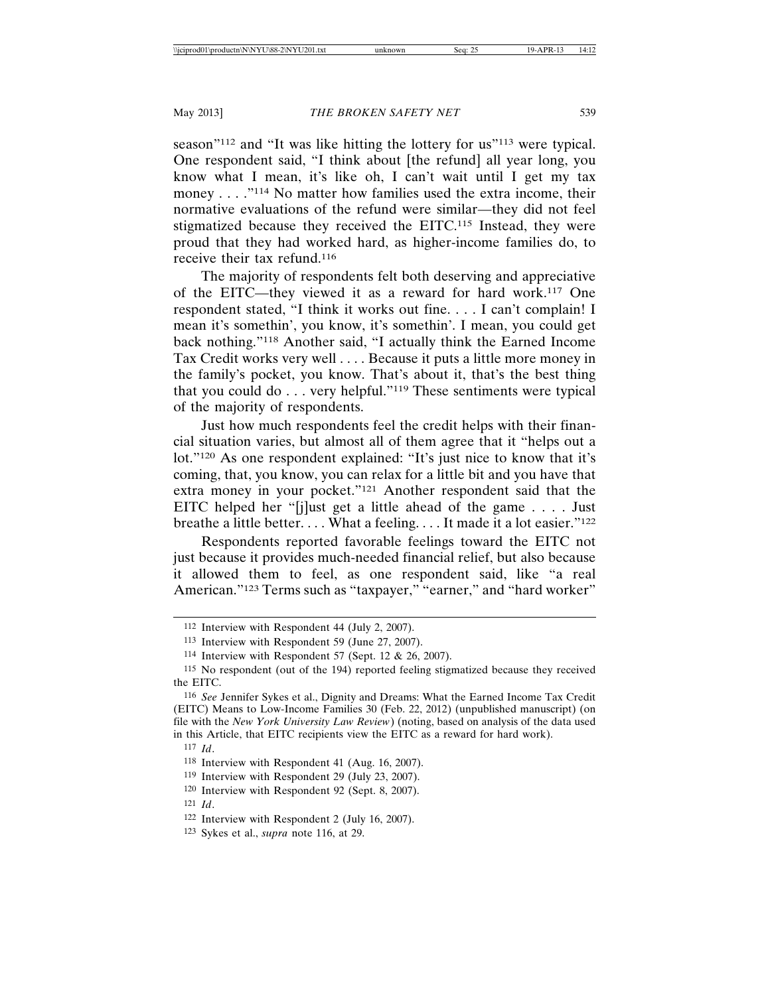season<sup>"112</sup> and "It was like hitting the lottery for us<sup>"113</sup> were typical. One respondent said, "I think about [the refund] all year long, you know what I mean, it's like oh, I can't wait until I get my tax money . . . ."114 No matter how families used the extra income, their normative evaluations of the refund were similar—they did not feel stigmatized because they received the EITC.115 Instead, they were proud that they had worked hard, as higher-income families do, to receive their tax refund.116

The majority of respondents felt both deserving and appreciative of the EITC—they viewed it as a reward for hard work.117 One respondent stated, "I think it works out fine. . . . I can't complain! I mean it's somethin', you know, it's somethin'. I mean, you could get back nothing."118 Another said, "I actually think the Earned Income Tax Credit works very well . . . . Because it puts a little more money in the family's pocket, you know. That's about it, that's the best thing that you could do . . . very helpful."119 These sentiments were typical of the majority of respondents.

Just how much respondents feel the credit helps with their financial situation varies, but almost all of them agree that it "helps out a lot."120 As one respondent explained: "It's just nice to know that it's coming, that, you know, you can relax for a little bit and you have that extra money in your pocket."121 Another respondent said that the EITC helped her "[j]ust get a little ahead of the game . . . . Just breathe a little better.... What a feeling.... It made it a lot easier." $122$ 

Respondents reported favorable feelings toward the EITC not just because it provides much-needed financial relief, but also because it allowed them to feel, as one respondent said, like "a real American."123 Terms such as "taxpayer," "earner," and "hard worker"

- 119 Interview with Respondent 29 (July 23, 2007).
- 120 Interview with Respondent 92 (Sept. 8, 2007).
- 121 *Id*.

123 Sykes et al., *supra* note 116, at 29.

<sup>112</sup> Interview with Respondent 44 (July 2, 2007).

<sup>113</sup> Interview with Respondent 59 (June 27, 2007).

<sup>114</sup> Interview with Respondent 57 (Sept. 12 & 26, 2007).

<sup>115</sup> No respondent (out of the 194) reported feeling stigmatized because they received the EITC.

<sup>116</sup> *See* Jennifer Sykes et al., Dignity and Dreams: What the Earned Income Tax Credit (EITC) Means to Low-Income Families 30 (Feb. 22, 2012) (unpublished manuscript) (on file with the *New York University Law Review*) (noting, based on analysis of the data used in this Article, that EITC recipients view the EITC as a reward for hard work).

<sup>117</sup> *Id*.

<sup>118</sup> Interview with Respondent 41 (Aug. 16, 2007).

<sup>122</sup> Interview with Respondent 2 (July 16, 2007).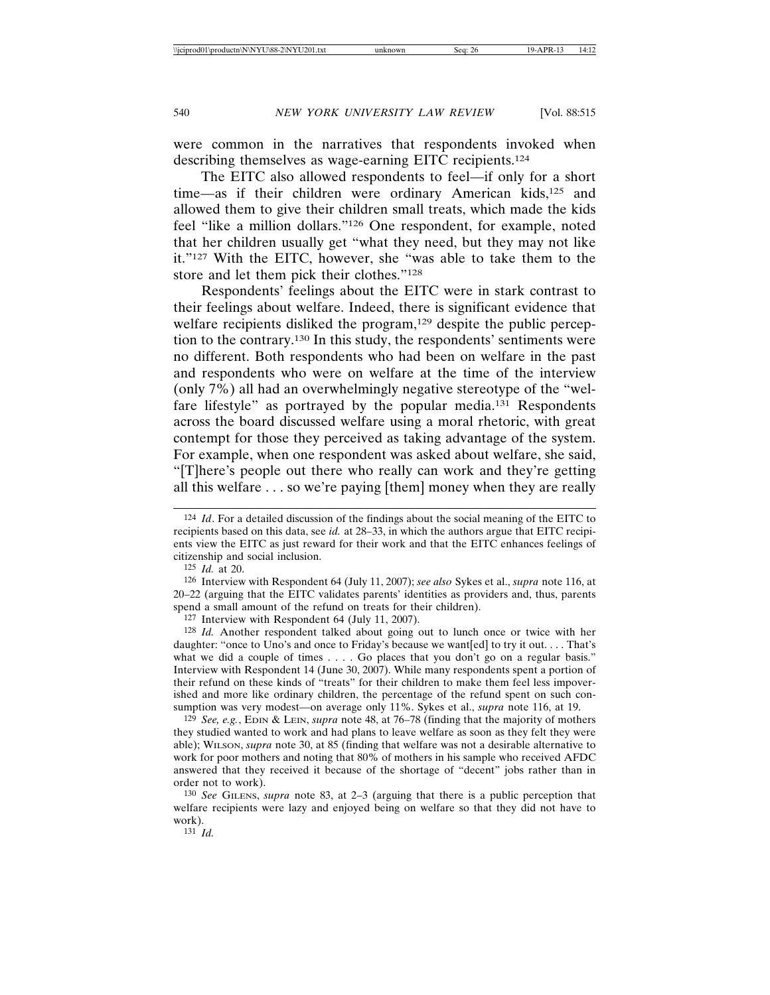were common in the narratives that respondents invoked when describing themselves as wage-earning EITC recipients.124

The EITC also allowed respondents to feel—if only for a short time—as if their children were ordinary American kids,<sup>125</sup> and allowed them to give their children small treats, which made the kids feel "like a million dollars."126 One respondent, for example, noted that her children usually get "what they need, but they may not like it."127 With the EITC, however, she "was able to take them to the store and let them pick their clothes."128

Respondents' feelings about the EITC were in stark contrast to their feelings about welfare. Indeed, there is significant evidence that welfare recipients disliked the program,<sup>129</sup> despite the public perception to the contrary.130 In this study, the respondents' sentiments were no different. Both respondents who had been on welfare in the past and respondents who were on welfare at the time of the interview (only 7%) all had an overwhelmingly negative stereotype of the "welfare lifestyle" as portrayed by the popular media.131 Respondents across the board discussed welfare using a moral rhetoric, with great contempt for those they perceived as taking advantage of the system. For example, when one respondent was asked about welfare, she said, "[T]here's people out there who really can work and they're getting all this welfare . . . so we're paying [them] money when they are really

126 Interview with Respondent 64 (July 11, 2007); *see also* Sykes et al., *supra* note 116, at 20–22 (arguing that the EITC validates parents' identities as providers and, thus, parents spend a small amount of the refund on treats for their children).

127 Interview with Respondent 64 (July 11, 2007).

128 *Id.* Another respondent talked about going out to lunch once or twice with her daughter: "once to Uno's and once to Friday's because we want [ed] to try it out.... That's what we did a couple of times . . . . Go places that you don't go on a regular basis." Interview with Respondent 14 (June 30, 2007). While many respondents spent a portion of their refund on these kinds of "treats" for their children to make them feel less impoverished and more like ordinary children, the percentage of the refund spent on such consumption was very modest—on average only 11%. Sykes et al., *supra* note 116, at 19.

129 *See, e.g.*, EDIN & LEIN, *supra* note 48, at 76–78 (finding that the majority of mothers they studied wanted to work and had plans to leave welfare as soon as they felt they were able); WILSON, *supra* note 30, at 85 (finding that welfare was not a desirable alternative to work for poor mothers and noting that 80% of mothers in his sample who received AFDC answered that they received it because of the shortage of "decent" jobs rather than in order not to work).

130 *See* GILENS, *supra* note 83, at 2–3 (arguing that there is a public perception that welfare recipients were lazy and enjoyed being on welfare so that they did not have to work).

131 *Id.*

<sup>124</sup> *Id*. For a detailed discussion of the findings about the social meaning of the EITC to recipients based on this data, see *id.* at 28–33, in which the authors argue that EITC recipients view the EITC as just reward for their work and that the EITC enhances feelings of citizenship and social inclusion.

<sup>125</sup> *Id.* at 20.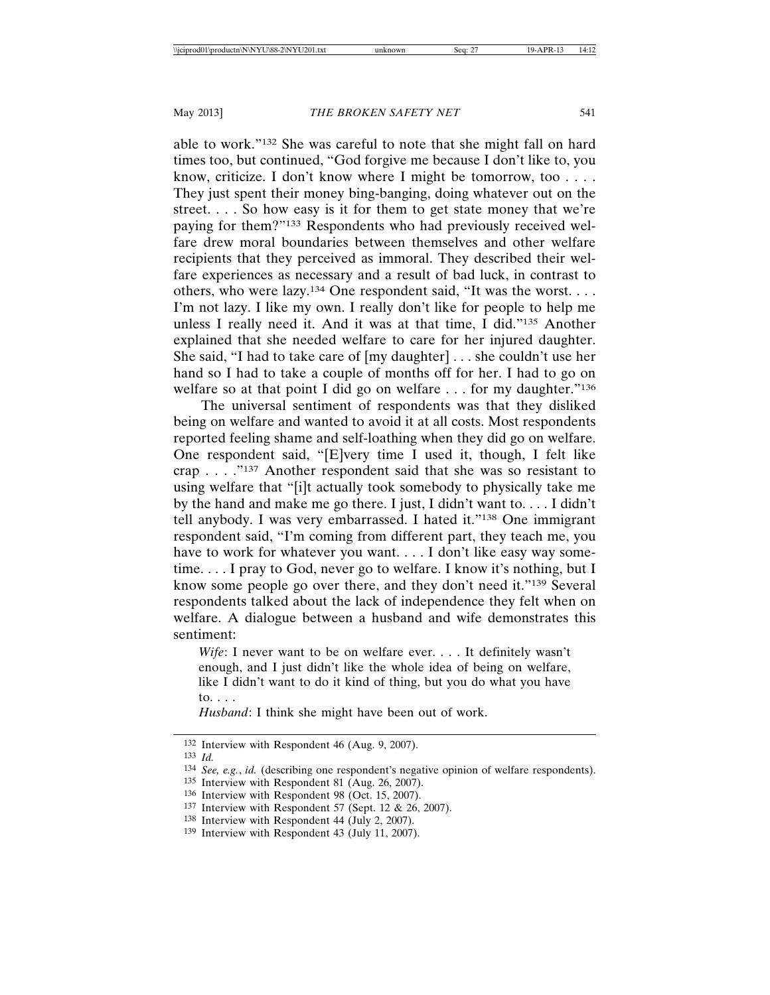able to work."132 She was careful to note that she might fall on hard times too, but continued, "God forgive me because I don't like to, you know, criticize. I don't know where I might be tomorrow, too . . . . They just spent their money bing-banging, doing whatever out on the street. . . . So how easy is it for them to get state money that we're paying for them?"133 Respondents who had previously received welfare drew moral boundaries between themselves and other welfare recipients that they perceived as immoral. They described their welfare experiences as necessary and a result of bad luck, in contrast to others, who were lazy.134 One respondent said, "It was the worst. . . . I'm not lazy. I like my own. I really don't like for people to help me unless I really need it. And it was at that time, I did."135 Another explained that she needed welfare to care for her injured daughter. She said, "I had to take care of [my daughter] . . . she couldn't use her hand so I had to take a couple of months off for her. I had to go on welfare so at that point I did go on welfare . . . for my daughter."<sup>136</sup>

The universal sentiment of respondents was that they disliked being on welfare and wanted to avoid it at all costs. Most respondents reported feeling shame and self-loathing when they did go on welfare. One respondent said, "[E]very time I used it, though, I felt like crap . . . ."137 Another respondent said that she was so resistant to using welfare that "[i]t actually took somebody to physically take me by the hand and make me go there. I just, I didn't want to. . . . I didn't tell anybody. I was very embarrassed. I hated it."138 One immigrant respondent said, "I'm coming from different part, they teach me, you have to work for whatever you want.... I don't like easy way sometime. . . . I pray to God, never go to welfare. I know it's nothing, but I know some people go over there, and they don't need it."139 Several respondents talked about the lack of independence they felt when on welfare. A dialogue between a husband and wife demonstrates this sentiment:

*Wife*: I never want to be on welfare ever. . . . It definitely wasn't enough, and I just didn't like the whole idea of being on welfare, like I didn't want to do it kind of thing, but you do what you have to. . . .

*Husband*: I think she might have been out of work.

- 135 Interview with Respondent 81 (Aug. 26, 2007).
- 136 Interview with Respondent 98 (Oct. 15, 2007).
- 137 Interview with Respondent 57 (Sept. 12 & 26, 2007).
- 138 Interview with Respondent 44 (July 2, 2007).

<sup>132</sup> Interview with Respondent 46 (Aug. 9, 2007).

<sup>133</sup> *Id.* 

<sup>134</sup> *See, e.g.*, *id.* (describing one respondent's negative opinion of welfare respondents).

<sup>139</sup> Interview with Respondent 43 (July 11, 2007).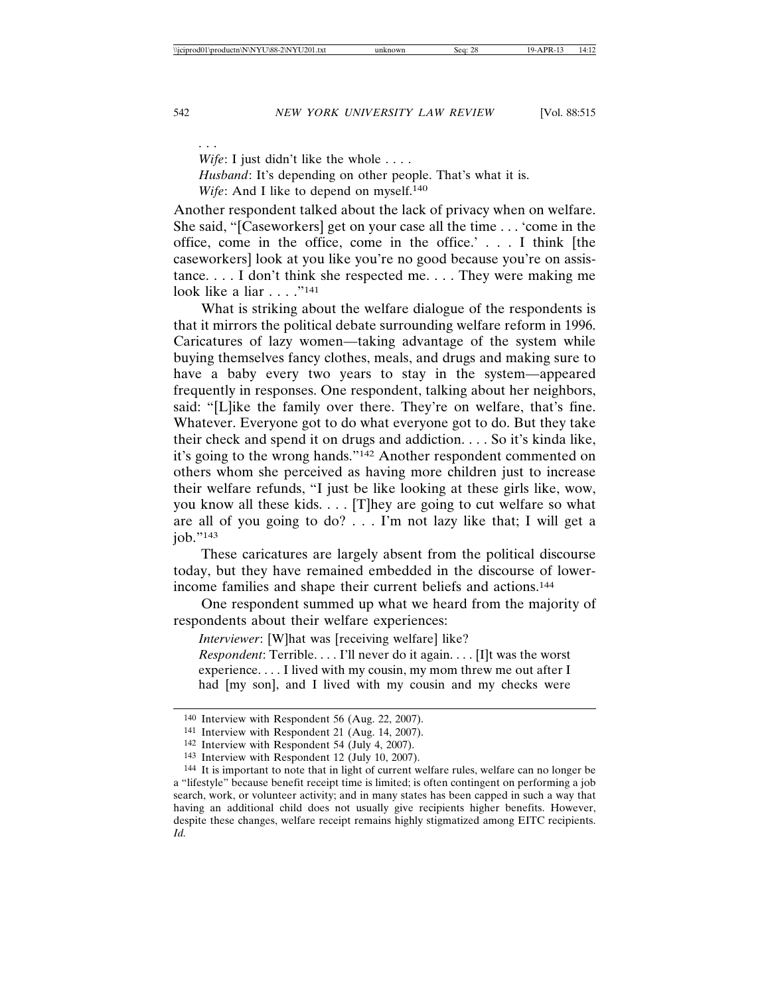*Wife*: I just didn't like the whole . . . . *Husband*: It's depending on other people. That's what it is. *Wife*: And I like to depend on myself.<sup>140</sup>

Another respondent talked about the lack of privacy when on welfare. She said, "[Caseworkers] get on your case all the time . . . 'come in the office, come in the office, come in the office.' . . . I think [the caseworkers] look at you like you're no good because you're on assistance. . . . I don't think she respected me. . . . They were making me  $\log k$  like a liar  $\log n$  .  $\log n$  .  $\log n$ 

What is striking about the welfare dialogue of the respondents is that it mirrors the political debate surrounding welfare reform in 1996. Caricatures of lazy women—taking advantage of the system while buying themselves fancy clothes, meals, and drugs and making sure to have a baby every two years to stay in the system—appeared frequently in responses. One respondent, talking about her neighbors, said: "[L]ike the family over there. They're on welfare, that's fine. Whatever. Everyone got to do what everyone got to do. But they take their check and spend it on drugs and addiction. . . . So it's kinda like, it's going to the wrong hands."142 Another respondent commented on others whom she perceived as having more children just to increase their welfare refunds, "I just be like looking at these girls like, wow, you know all these kids. . . . [T]hey are going to cut welfare so what are all of you going to do? . . . I'm not lazy like that; I will get a job."143

These caricatures are largely absent from the political discourse today, but they have remained embedded in the discourse of lowerincome families and shape their current beliefs and actions.144

One respondent summed up what we heard from the majority of respondents about their welfare experiences:

*Interviewer*: [W]hat was [receiving welfare] like?

*Respondent*: Terrible. . . . I'll never do it again. . . . [I]t was the worst experience. . . . I lived with my cousin, my mom threw me out after I had [my son], and I lived with my cousin and my checks were

. . .

<sup>140</sup> Interview with Respondent 56 (Aug. 22, 2007).

<sup>141</sup> Interview with Respondent 21 (Aug. 14, 2007).

<sup>142</sup> Interview with Respondent 54 (July 4, 2007).

<sup>143</sup> Interview with Respondent 12 (July 10, 2007).

<sup>144</sup> It is important to note that in light of current welfare rules, welfare can no longer be a "lifestyle" because benefit receipt time is limited; is often contingent on performing a job search, work, or volunteer activity; and in many states has been capped in such a way that having an additional child does not usually give recipients higher benefits. However, despite these changes, welfare receipt remains highly stigmatized among EITC recipients. *Id.*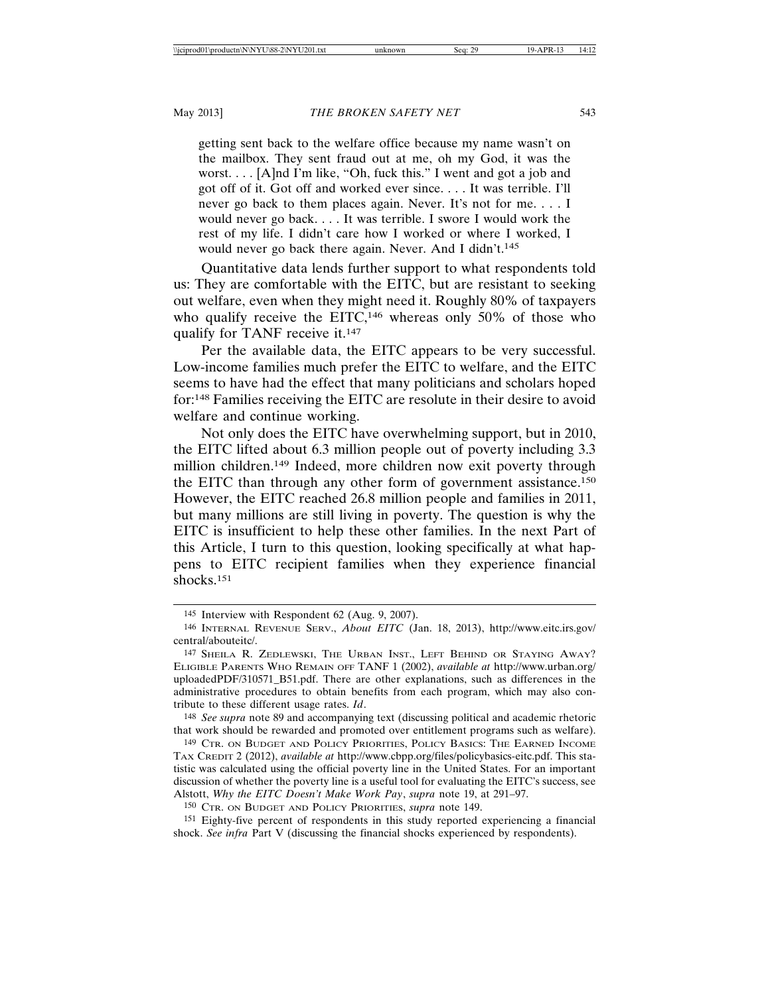getting sent back to the welfare office because my name wasn't on the mailbox. They sent fraud out at me, oh my God, it was the worst. . . . [A]nd I'm like, "Oh, fuck this." I went and got a job and got off of it. Got off and worked ever since. . . . It was terrible. I'll never go back to them places again. Never. It's not for me. . . . I would never go back. . . . It was terrible. I swore I would work the rest of my life. I didn't care how I worked or where I worked, I would never go back there again. Never. And I didn't.<sup>145</sup>

Quantitative data lends further support to what respondents told us: They are comfortable with the EITC, but are resistant to seeking out welfare, even when they might need it. Roughly 80% of taxpayers who qualify receive the EITC,<sup>146</sup> whereas only 50% of those who qualify for TANF receive it.147

Per the available data, the EITC appears to be very successful. Low-income families much prefer the EITC to welfare, and the EITC seems to have had the effect that many politicians and scholars hoped for:148 Families receiving the EITC are resolute in their desire to avoid welfare and continue working.

Not only does the EITC have overwhelming support, but in 2010, the EITC lifted about 6.3 million people out of poverty including 3.3 million children.149 Indeed, more children now exit poverty through the EITC than through any other form of government assistance.150 However, the EITC reached 26.8 million people and families in 2011, but many millions are still living in poverty. The question is why the EITC is insufficient to help these other families. In the next Part of this Article, I turn to this question, looking specifically at what happens to EITC recipient families when they experience financial shocks.151

148 *See supra* note 89 and accompanying text (discussing political and academic rhetoric that work should be rewarded and promoted over entitlement programs such as welfare).

149 CTR. ON BUDGET AND POLICY PRIORITIES, POLICY BASICS: THE EARNED INCOME TAX CREDIT 2 (2012), *available at* http://www.cbpp.org/files/policybasics-eitc.pdf. This statistic was calculated using the official poverty line in the United States. For an important discussion of whether the poverty line is a useful tool for evaluating the EITC's success, see Alstott, *Why the EITC Doesn't Make Work Pay*, *supra* note 19, at 291–97.

150 CTR. ON BUDGET AND POLICY PRIORITIES, *supra* note 149.

151 Eighty-five percent of respondents in this study reported experiencing a financial shock. *See infra* Part V (discussing the financial shocks experienced by respondents).

<sup>145</sup> Interview with Respondent 62 (Aug. 9, 2007).

<sup>146</sup> INTERNAL REVENUE SERV., *About EITC* (Jan. 18, 2013), http://www.eitc.irs.gov/ central/abouteitc/.

<sup>147</sup> SHEILA R. ZEDLEWSKI, THE URBAN INST., LEFT BEHIND OR STAYING AWAY? ELIGIBLE PARENTS WHO REMAIN OFF TANF 1 (2002), *available at* http://www.urban.org/ uploadedPDF/310571\_B51.pdf. There are other explanations, such as differences in the administrative procedures to obtain benefits from each program, which may also contribute to these different usage rates. *Id*.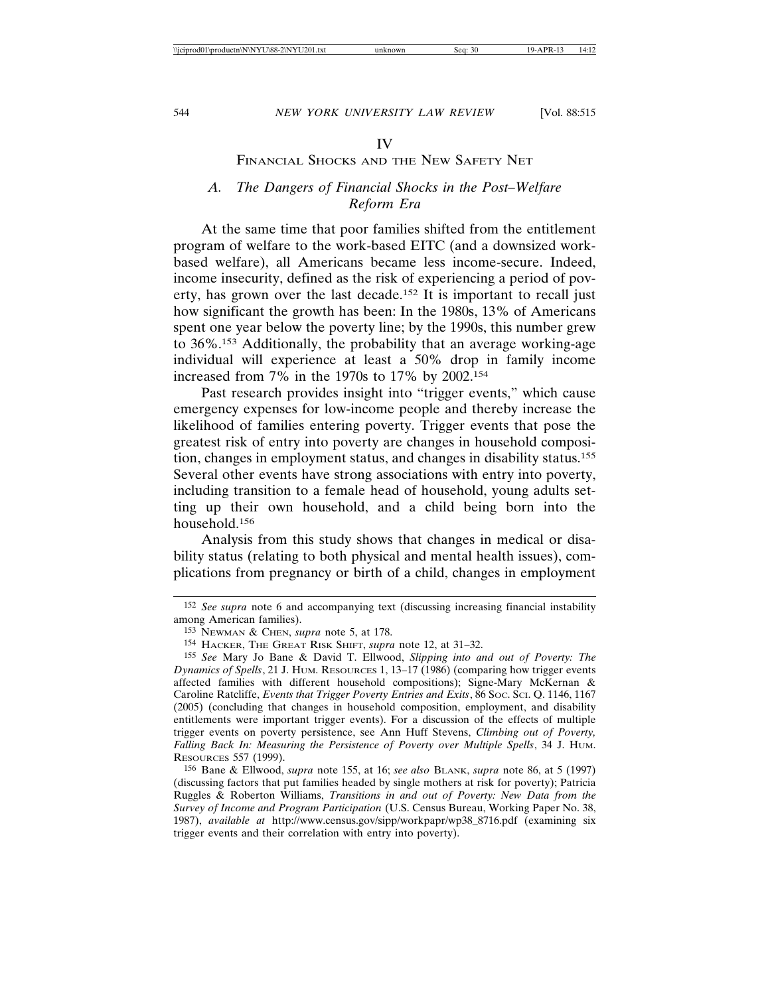#### IV

#### FINANCIAL SHOCKS AND THE NEW SAFETY NET

#### *A. The Dangers of Financial Shocks in the Post–Welfare Reform Era*

At the same time that poor families shifted from the entitlement program of welfare to the work-based EITC (and a downsized workbased welfare), all Americans became less income-secure. Indeed, income insecurity, defined as the risk of experiencing a period of poverty, has grown over the last decade.152 It is important to recall just how significant the growth has been: In the 1980s, 13% of Americans spent one year below the poverty line; by the 1990s, this number grew to 36%.153 Additionally, the probability that an average working-age individual will experience at least a 50% drop in family income increased from 7% in the 1970s to 17% by 2002.154

Past research provides insight into "trigger events," which cause emergency expenses for low-income people and thereby increase the likelihood of families entering poverty. Trigger events that pose the greatest risk of entry into poverty are changes in household composition, changes in employment status, and changes in disability status.155 Several other events have strong associations with entry into poverty, including transition to a female head of household, young adults setting up their own household, and a child being born into the household.156

Analysis from this study shows that changes in medical or disability status (relating to both physical and mental health issues), complications from pregnancy or birth of a child, changes in employment

156 Bane & Ellwood, *supra* note 155, at 16; *see also* BLANK, *supra* note 86, at 5 (1997) (discussing factors that put families headed by single mothers at risk for poverty); Patricia Ruggles & Roberton Williams, *Transitions in and out of Poverty: New Data from the Survey of Income and Program Participation* (U.S. Census Bureau, Working Paper No. 38, 1987), *available at* http://www.census.gov/sipp/workpapr/wp38\_8716.pdf (examining six trigger events and their correlation with entry into poverty).

<sup>152</sup> *See supra* note 6 and accompanying text (discussing increasing financial instability among American families).

<sup>153</sup> NEWMAN & CHEN, *supra* note 5, at 178.

<sup>154</sup> HACKER, THE GREAT RISK SHIFT, *supra* note 12, at 31–32.

<sup>155</sup> *See* Mary Jo Bane & David T. Ellwood, *Slipping into and out of Poverty: The Dynamics of Spells*, 21 J. HUM. RESOURCES 1, 13–17 (1986) (comparing how trigger events affected families with different household compositions); Signe-Mary McKernan & Caroline Ratcliffe, *Events that Trigger Poverty Entries and Exits*, 86 SOC. SCI. Q. 1146, 1167 (2005) (concluding that changes in household composition, employment, and disability entitlements were important trigger events). For a discussion of the effects of multiple trigger events on poverty persistence, see Ann Huff Stevens, *Climbing out of Poverty, Falling Back In: Measuring the Persistence of Poverty over Multiple Spells*, 34 J. HUM. RESOURCES 557 (1999).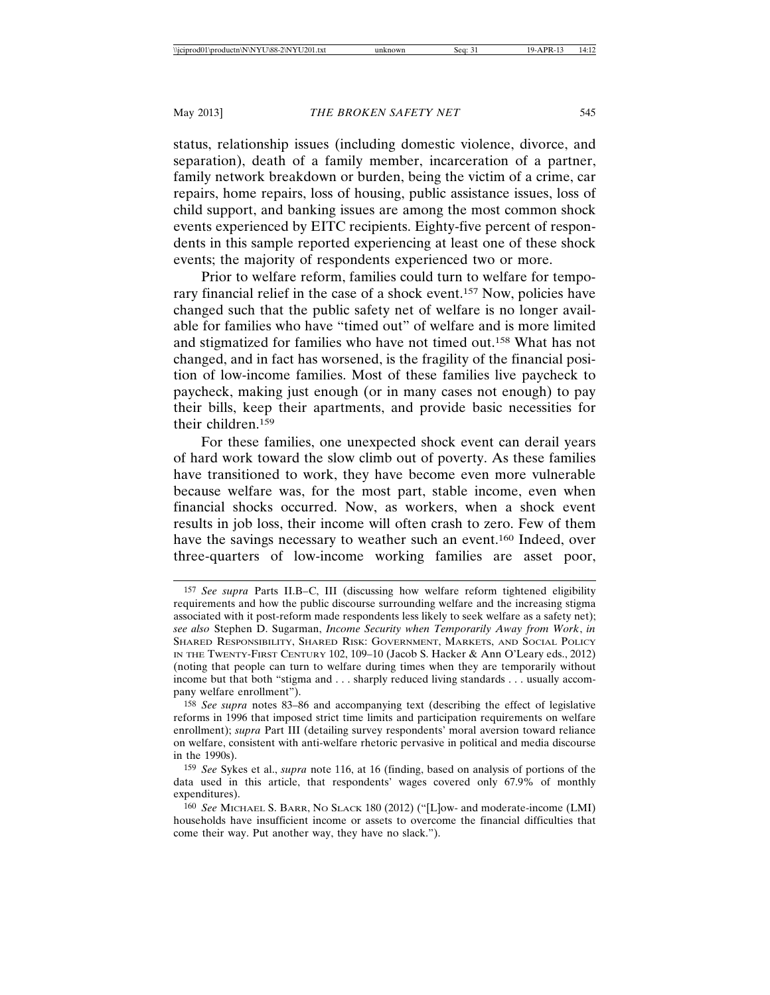status, relationship issues (including domestic violence, divorce, and separation), death of a family member, incarceration of a partner, family network breakdown or burden, being the victim of a crime, car repairs, home repairs, loss of housing, public assistance issues, loss of child support, and banking issues are among the most common shock events experienced by EITC recipients. Eighty-five percent of respondents in this sample reported experiencing at least one of these shock events; the majority of respondents experienced two or more.

Prior to welfare reform, families could turn to welfare for temporary financial relief in the case of a shock event.157 Now, policies have changed such that the public safety net of welfare is no longer available for families who have "timed out" of welfare and is more limited and stigmatized for families who have not timed out.158 What has not changed, and in fact has worsened, is the fragility of the financial position of low-income families. Most of these families live paycheck to paycheck, making just enough (or in many cases not enough) to pay their bills, keep their apartments, and provide basic necessities for their children.159

For these families, one unexpected shock event can derail years of hard work toward the slow climb out of poverty. As these families have transitioned to work, they have become even more vulnerable because welfare was, for the most part, stable income, even when financial shocks occurred. Now, as workers, when a shock event results in job loss, their income will often crash to zero. Few of them have the savings necessary to weather such an event.160 Indeed, over three-quarters of low-income working families are asset poor,

<sup>157</sup> *See supra* Parts II.B–C, III (discussing how welfare reform tightened eligibility requirements and how the public discourse surrounding welfare and the increasing stigma associated with it post-reform made respondents less likely to seek welfare as a safety net); *see also* Stephen D. Sugarman, *Income Security when Temporarily Away from Work*, *in* SHARED RESPONSIBILITY, SHARED RISK: GOVERNMENT, MARKETS, AND SOCIAL POLICY IN THE TWENTY-FIRST CENTURY 102, 109–10 (Jacob S. Hacker & Ann O'Leary eds., 2012) (noting that people can turn to welfare during times when they are temporarily without income but that both "stigma and . . . sharply reduced living standards . . . usually accompany welfare enrollment").

<sup>158</sup> *See supra* notes 83–86 and accompanying text (describing the effect of legislative reforms in 1996 that imposed strict time limits and participation requirements on welfare enrollment); *supra* Part III (detailing survey respondents' moral aversion toward reliance on welfare, consistent with anti-welfare rhetoric pervasive in political and media discourse in the 1990s).

<sup>159</sup> *See* Sykes et al., *supra* note 116, at 16 (finding, based on analysis of portions of the data used in this article, that respondents' wages covered only 67.9% of monthly expenditures).

<sup>160</sup> *See* MICHAEL S. BARR, NO SLACK 180 (2012) ("[L]ow- and moderate-income (LMI) households have insufficient income or assets to overcome the financial difficulties that come their way. Put another way, they have no slack.").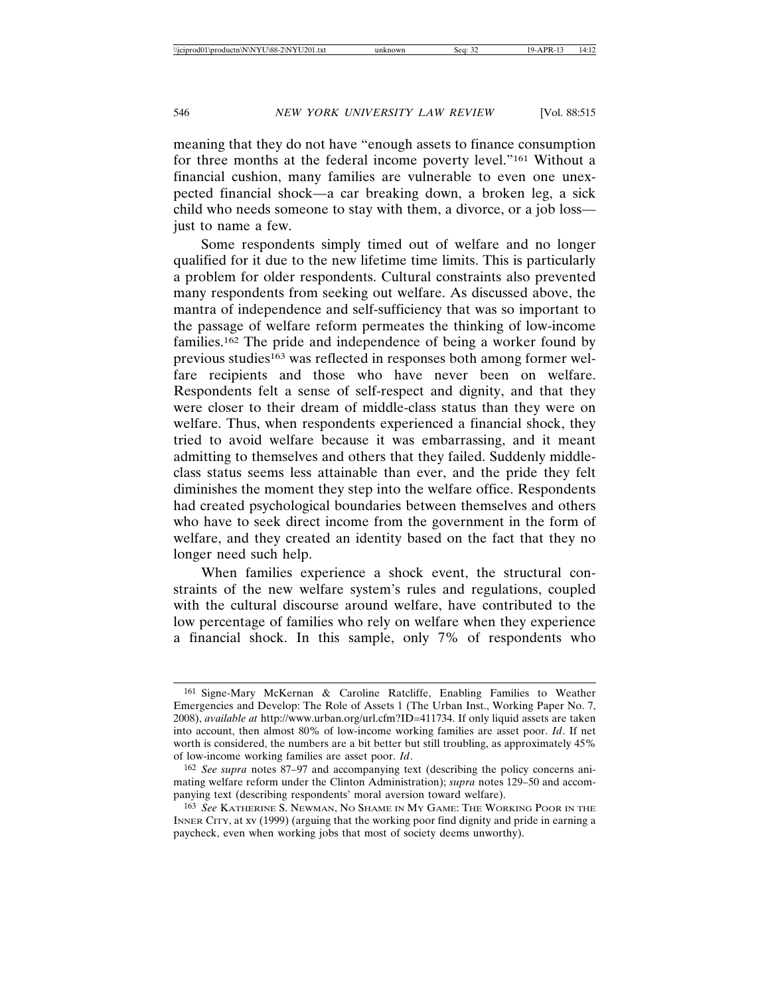meaning that they do not have "enough assets to finance consumption for three months at the federal income poverty level."161 Without a financial cushion, many families are vulnerable to even one unexpected financial shock—a car breaking down, a broken leg, a sick child who needs someone to stay with them, a divorce, or a job loss just to name a few.

Some respondents simply timed out of welfare and no longer qualified for it due to the new lifetime time limits. This is particularly a problem for older respondents. Cultural constraints also prevented many respondents from seeking out welfare. As discussed above, the mantra of independence and self-sufficiency that was so important to the passage of welfare reform permeates the thinking of low-income families.162 The pride and independence of being a worker found by previous studies<sup>163</sup> was reflected in responses both among former welfare recipients and those who have never been on welfare. Respondents felt a sense of self-respect and dignity, and that they were closer to their dream of middle-class status than they were on welfare. Thus, when respondents experienced a financial shock, they tried to avoid welfare because it was embarrassing, and it meant admitting to themselves and others that they failed. Suddenly middleclass status seems less attainable than ever, and the pride they felt diminishes the moment they step into the welfare office. Respondents had created psychological boundaries between themselves and others who have to seek direct income from the government in the form of welfare, and they created an identity based on the fact that they no longer need such help.

When families experience a shock event, the structural constraints of the new welfare system's rules and regulations, coupled with the cultural discourse around welfare, have contributed to the low percentage of families who rely on welfare when they experience a financial shock. In this sample, only 7% of respondents who

<sup>161</sup> Signe-Mary McKernan & Caroline Ratcliffe, Enabling Families to Weather Emergencies and Develop: The Role of Assets 1 (The Urban Inst., Working Paper No. 7, 2008), *available at* http://www.urban.org/url.cfm?ID=411734. If only liquid assets are taken into account, then almost 80% of low-income working families are asset poor. *Id*. If net worth is considered, the numbers are a bit better but still troubling, as approximately 45% of low-income working families are asset poor. *Id*.

<sup>162</sup> *See supra* notes 87–97 and accompanying text (describing the policy concerns animating welfare reform under the Clinton Administration); *supra* notes 129–50 and accompanying text (describing respondents' moral aversion toward welfare).

<sup>163</sup> *See* KATHERINE S. NEWMAN, NO SHAME IN MY GAME: THE WORKING POOR IN THE INNER CITY, at xv (1999) (arguing that the working poor find dignity and pride in earning a paycheck, even when working jobs that most of society deems unworthy).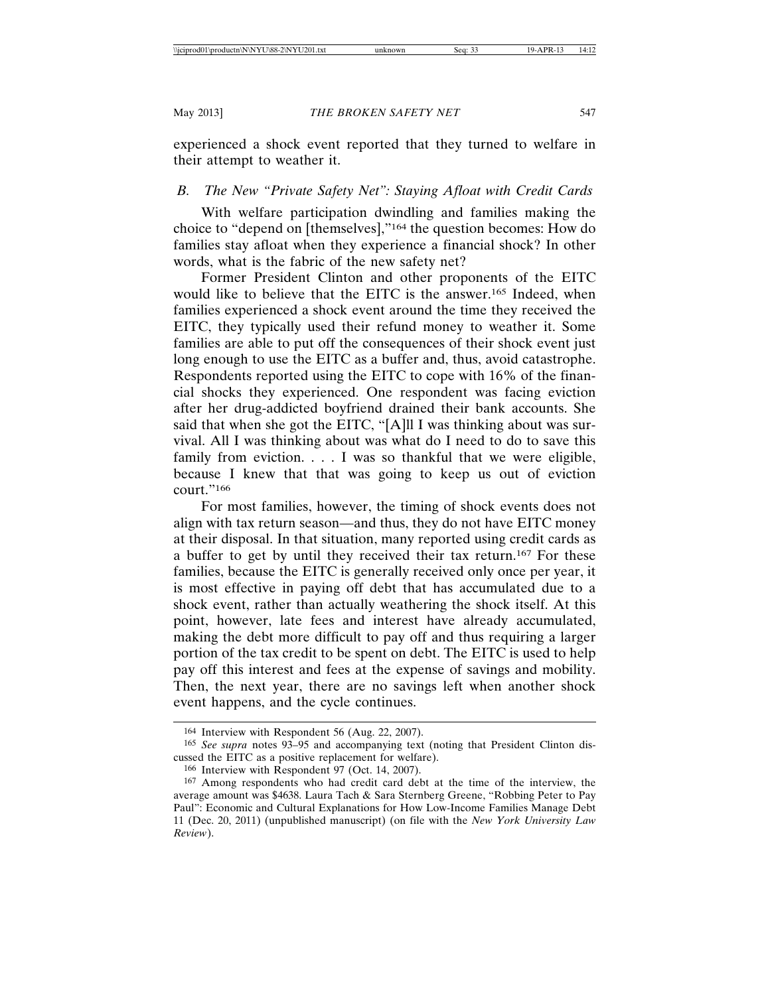experienced a shock event reported that they turned to welfare in their attempt to weather it.

# *B. The New "Private Safety Net": Staying Afloat with Credit Cards*

With welfare participation dwindling and families making the choice to "depend on [themselves],"164 the question becomes: How do families stay afloat when they experience a financial shock? In other words, what is the fabric of the new safety net?

Former President Clinton and other proponents of the EITC would like to believe that the EITC is the answer.165 Indeed, when families experienced a shock event around the time they received the EITC, they typically used their refund money to weather it. Some families are able to put off the consequences of their shock event just long enough to use the EITC as a buffer and, thus, avoid catastrophe. Respondents reported using the EITC to cope with 16% of the financial shocks they experienced. One respondent was facing eviction after her drug-addicted boyfriend drained their bank accounts. She said that when she got the EITC, "[A]ll I was thinking about was survival. All I was thinking about was what do I need to do to save this family from eviction. . . . I was so thankful that we were eligible, because I knew that that was going to keep us out of eviction court."166

For most families, however, the timing of shock events does not align with tax return season—and thus, they do not have EITC money at their disposal. In that situation, many reported using credit cards as a buffer to get by until they received their tax return.167 For these families, because the EITC is generally received only once per year, it is most effective in paying off debt that has accumulated due to a shock event, rather than actually weathering the shock itself. At this point, however, late fees and interest have already accumulated, making the debt more difficult to pay off and thus requiring a larger portion of the tax credit to be spent on debt. The EITC is used to help pay off this interest and fees at the expense of savings and mobility. Then, the next year, there are no savings left when another shock event happens, and the cycle continues.

<sup>164</sup> Interview with Respondent 56 (Aug. 22, 2007).

<sup>165</sup> *See supra* notes 93–95 and accompanying text (noting that President Clinton discussed the EITC as a positive replacement for welfare).

<sup>166</sup> Interview with Respondent 97 (Oct. 14, 2007).

<sup>167</sup> Among respondents who had credit card debt at the time of the interview, the average amount was \$4638. Laura Tach & Sara Sternberg Greene, "Robbing Peter to Pay Paul": Economic and Cultural Explanations for How Low-Income Families Manage Debt 11 (Dec. 20, 2011) (unpublished manuscript) (on file with the *New York University Law Review*).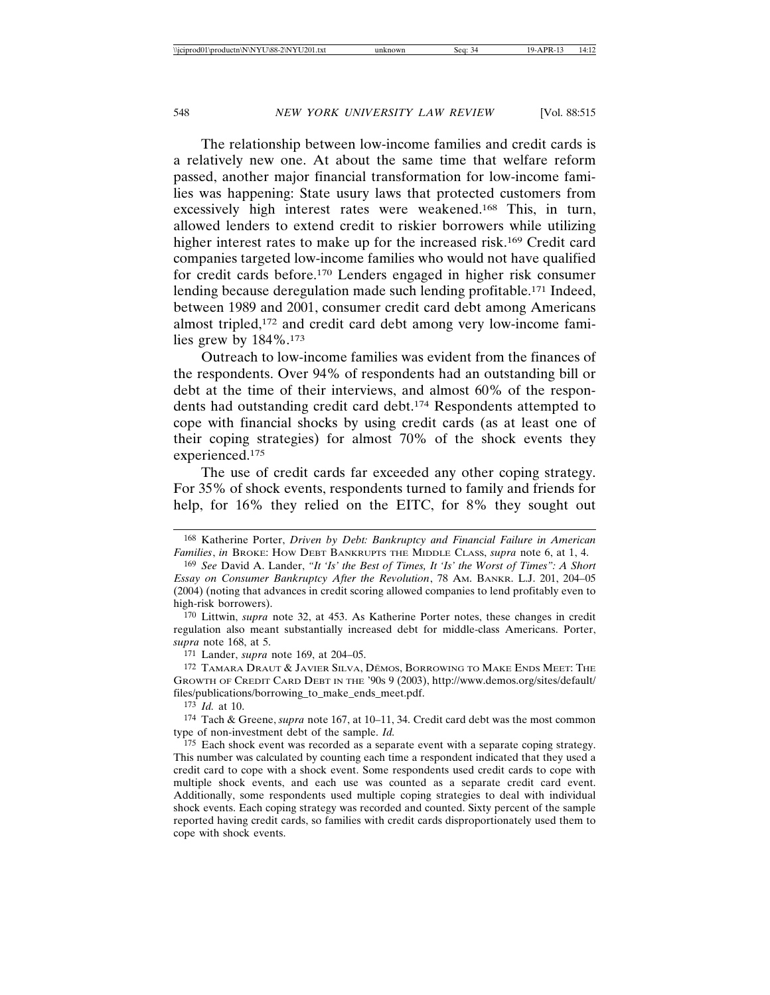The relationship between low-income families and credit cards is a relatively new one. At about the same time that welfare reform passed, another major financial transformation for low-income families was happening: State usury laws that protected customers from excessively high interest rates were weakened.168 This, in turn, allowed lenders to extend credit to riskier borrowers while utilizing higher interest rates to make up for the increased risk.169 Credit card companies targeted low-income families who would not have qualified for credit cards before.170 Lenders engaged in higher risk consumer lending because deregulation made such lending profitable.171 Indeed, between 1989 and 2001, consumer credit card debt among Americans almost tripled,172 and credit card debt among very low-income families grew by  $184\%$ .<sup>173</sup>

Outreach to low-income families was evident from the finances of the respondents. Over 94% of respondents had an outstanding bill or debt at the time of their interviews, and almost 60% of the respondents had outstanding credit card debt.174 Respondents attempted to cope with financial shocks by using credit cards (as at least one of their coping strategies) for almost 70% of the shock events they experienced.175

The use of credit cards far exceeded any other coping strategy. For 35% of shock events, respondents turned to family and friends for help, for 16% they relied on the EITC, for 8% they sought out

173 *Id.* at 10.

174 Tach & Greene, *supra* note 167, at 10–11, 34. Credit card debt was the most common type of non-investment debt of the sample. *Id.*

175 Each shock event was recorded as a separate event with a separate coping strategy. This number was calculated by counting each time a respondent indicated that they used a credit card to cope with a shock event. Some respondents used credit cards to cope with multiple shock events, and each use was counted as a separate credit card event. Additionally, some respondents used multiple coping strategies to deal with individual shock events. Each coping strategy was recorded and counted. Sixty percent of the sample reported having credit cards, so families with credit cards disproportionately used them to cope with shock events.

<sup>168</sup> Katherine Porter, *Driven by Debt: Bankruptcy and Financial Failure in American Families*, *in* BROKE: HOW DEBT BANKRUPTS THE MIDDLE CLASS, *supra* note 6, at 1, 4.

<sup>169</sup> *See* David A. Lander, *"It 'Is' the Best of Times, It 'Is' the Worst of Times": A Short Essay on Consumer Bankruptcy After the Revolution*, 78 AM. BANKR. L.J. 201, 204–05 (2004) (noting that advances in credit scoring allowed companies to lend profitably even to high-risk borrowers).

<sup>170</sup> Littwin, *supra* note 32, at 453. As Katherine Porter notes, these changes in credit regulation also meant substantially increased debt for middle-class Americans. Porter, *supra* note 168, at 5.

<sup>171</sup> Lander, *supra* note 169, at 204–05.

<sup>172</sup> TAMARA DRAUT & JAVIER SILVA, DEMOS, BORROWING TO MAKE ENDS MEET: THE GROWTH OF CREDIT CARD DEBT IN THE '90S 9 (2003), http://www.demos.org/sites/default/ files/publications/borrowing\_to\_make\_ends\_meet.pdf.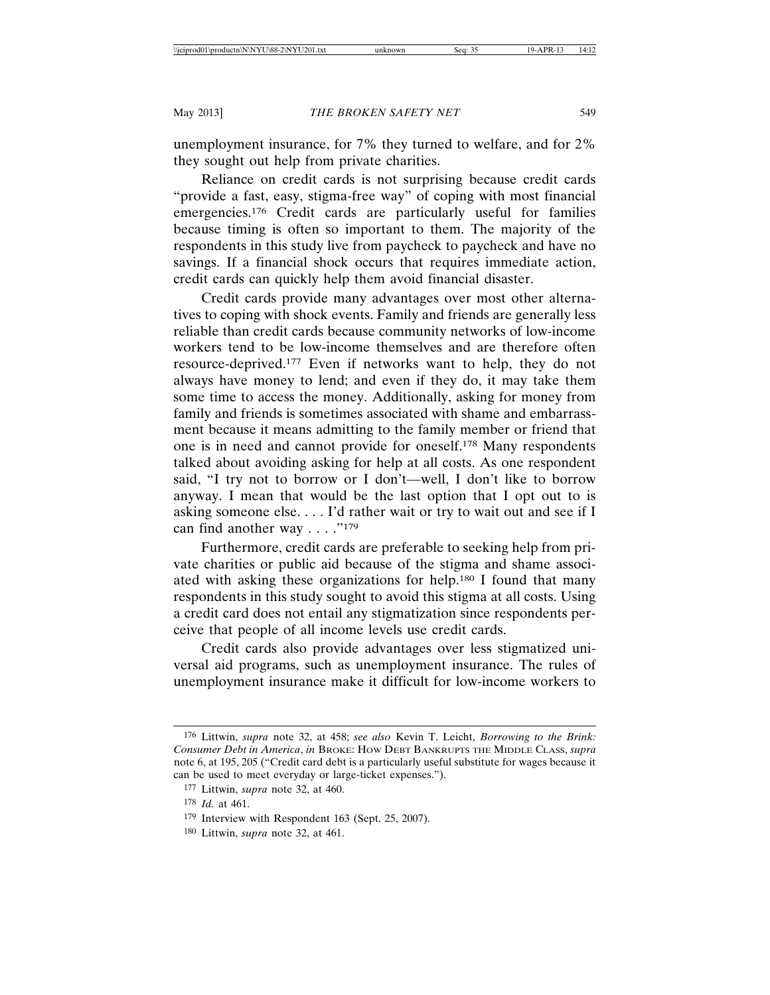unemployment insurance, for 7% they turned to welfare, and for 2% they sought out help from private charities.

Reliance on credit cards is not surprising because credit cards "provide a fast, easy, stigma-free way" of coping with most financial emergencies.176 Credit cards are particularly useful for families because timing is often so important to them. The majority of the respondents in this study live from paycheck to paycheck and have no savings. If a financial shock occurs that requires immediate action, credit cards can quickly help them avoid financial disaster.

Credit cards provide many advantages over most other alternatives to coping with shock events. Family and friends are generally less reliable than credit cards because community networks of low-income workers tend to be low-income themselves and are therefore often resource-deprived.177 Even if networks want to help, they do not always have money to lend; and even if they do, it may take them some time to access the money. Additionally, asking for money from family and friends is sometimes associated with shame and embarrassment because it means admitting to the family member or friend that one is in need and cannot provide for oneself.178 Many respondents talked about avoiding asking for help at all costs. As one respondent said, "I try not to borrow or I don't—well, I don't like to borrow anyway. I mean that would be the last option that I opt out to is asking someone else. . . . I'd rather wait or try to wait out and see if I can find another way . . . . "179

Furthermore, credit cards are preferable to seeking help from private charities or public aid because of the stigma and shame associated with asking these organizations for help.180 I found that many respondents in this study sought to avoid this stigma at all costs. Using a credit card does not entail any stigmatization since respondents perceive that people of all income levels use credit cards.

Credit cards also provide advantages over less stigmatized universal aid programs, such as unemployment insurance. The rules of unemployment insurance make it difficult for low-income workers to

<sup>176</sup> Littwin, *supra* note 32, at 458; *see also* Kevin T. Leicht, *Borrowing to the Brink: Consumer Debt in America*, *in* BROKE: HOW DEBT BANKRUPTS THE MIDDLE CLASS, *supra* note 6, at 195, 205 ("Credit card debt is a particularly useful substitute for wages because it can be used to meet everyday or large-ticket expenses.").

<sup>177</sup> Littwin, *supra* note 32, at 460.

<sup>178</sup> *Id.* at 461.

<sup>179</sup> Interview with Respondent 163 (Sept. 25, 2007).

<sup>180</sup> Littwin, *supra* note 32, at 461.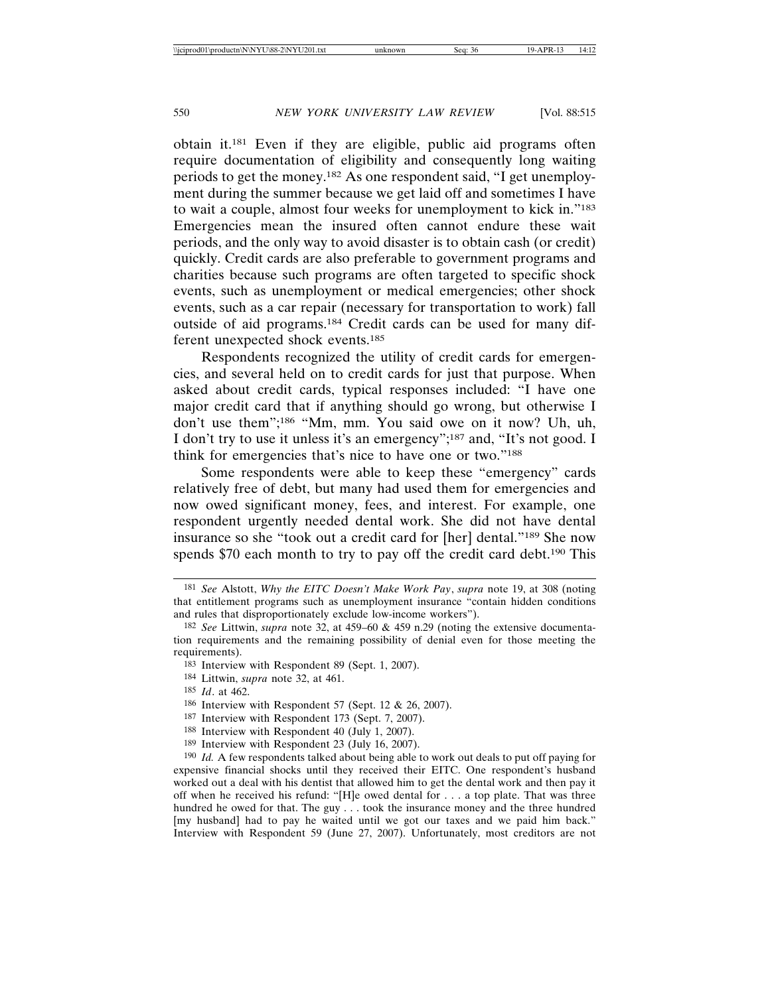obtain it.181 Even if they are eligible, public aid programs often require documentation of eligibility and consequently long waiting periods to get the money.182 As one respondent said, "I get unemployment during the summer because we get laid off and sometimes I have to wait a couple, almost four weeks for unemployment to kick in."183 Emergencies mean the insured often cannot endure these wait periods, and the only way to avoid disaster is to obtain cash (or credit) quickly. Credit cards are also preferable to government programs and charities because such programs are often targeted to specific shock events, such as unemployment or medical emergencies; other shock events, such as a car repair (necessary for transportation to work) fall outside of aid programs.184 Credit cards can be used for many different unexpected shock events.185

Respondents recognized the utility of credit cards for emergencies, and several held on to credit cards for just that purpose. When asked about credit cards, typical responses included: "I have one major credit card that if anything should go wrong, but otherwise I don't use them";186 "Mm, mm. You said owe on it now? Uh, uh, I don't try to use it unless it's an emergency";187 and, "It's not good. I think for emergencies that's nice to have one or two."188

Some respondents were able to keep these "emergency" cards relatively free of debt, but many had used them for emergencies and now owed significant money, fees, and interest. For example, one respondent urgently needed dental work. She did not have dental insurance so she "took out a credit card for [her] dental."189 She now spends \$70 each month to try to pay off the credit card debt.<sup>190</sup> This

185 *Id*. at 462.

- 187 Interview with Respondent 173 (Sept. 7, 2007).
- 188 Interview with Respondent 40 (July 1, 2007).
- 189 Interview with Respondent 23 (July 16, 2007).

<sup>181</sup> *See* Alstott, *Why the EITC Doesn't Make Work Pay*, *supra* note 19, at 308 (noting that entitlement programs such as unemployment insurance "contain hidden conditions and rules that disproportionately exclude low-income workers").

<sup>182</sup> *See* Littwin, *supra* note 32, at 459–60 & 459 n.29 (noting the extensive documentation requirements and the remaining possibility of denial even for those meeting the requirements).

<sup>183</sup> Interview with Respondent 89 (Sept. 1, 2007).

<sup>184</sup> Littwin, *supra* note 32, at 461.

<sup>186</sup> Interview with Respondent 57 (Sept. 12 & 26, 2007).

<sup>190</sup> *Id.* A few respondents talked about being able to work out deals to put off paying for expensive financial shocks until they received their EITC. One respondent's husband worked out a deal with his dentist that allowed him to get the dental work and then pay it off when he received his refund: "[H]e owed dental for . . . a top plate. That was three hundred he owed for that. The guy . . . took the insurance money and the three hundred [my husband] had to pay he waited until we got our taxes and we paid him back." Interview with Respondent 59 (June 27, 2007). Unfortunately, most creditors are not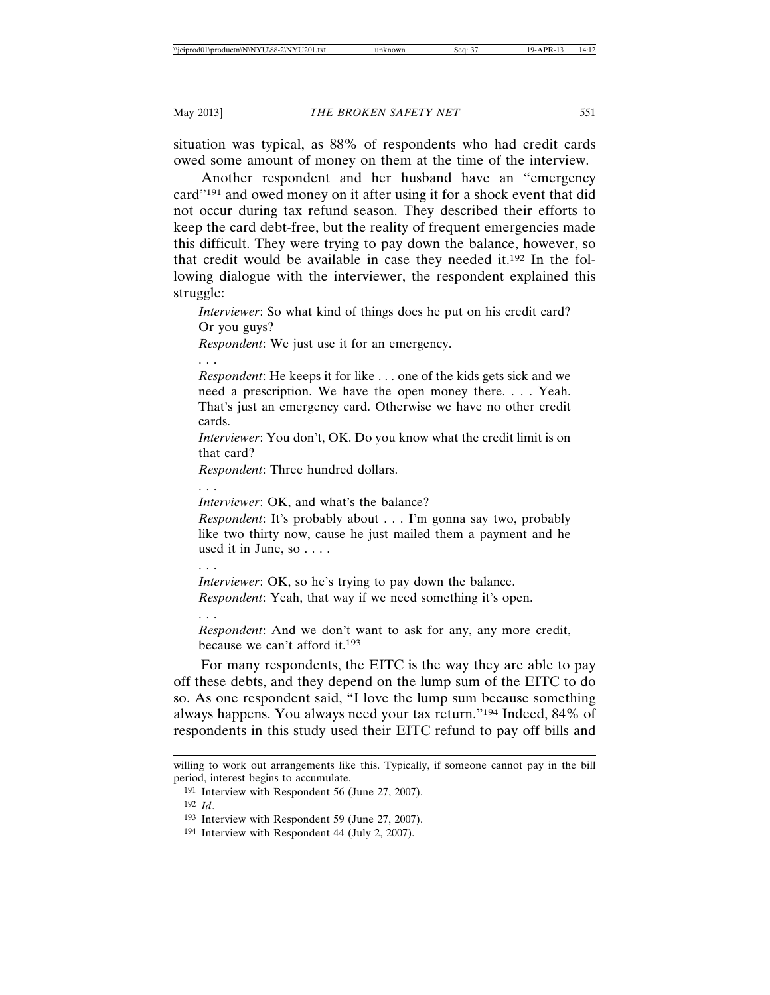situation was typical, as 88% of respondents who had credit cards owed some amount of money on them at the time of the interview.

Another respondent and her husband have an "emergency card"191 and owed money on it after using it for a shock event that did not occur during tax refund season. They described their efforts to keep the card debt-free, but the reality of frequent emergencies made this difficult. They were trying to pay down the balance, however, so that credit would be available in case they needed it.192 In the following dialogue with the interviewer, the respondent explained this struggle:

*Interviewer*: So what kind of things does he put on his credit card? Or you guys?

*Respondent*: We just use it for an emergency.

. . .

*Respondent*: He keeps it for like . . . one of the kids gets sick and we need a prescription. We have the open money there. . . . Yeah. That's just an emergency card. Otherwise we have no other credit cards.

*Interviewer*: You don't, OK. Do you know what the credit limit is on that card?

*Respondent*: Three hundred dollars.

. . .

*Interviewer*: OK, and what's the balance?

*Respondent*: It's probably about . . . I'm gonna say two, probably like two thirty now, cause he just mailed them a payment and he used it in June, so . . . .

. . .

. . .

*Interviewer*: OK, so he's trying to pay down the balance. *Respondent*: Yeah, that way if we need something it's open.

*Respondent*: And we don't want to ask for any, any more credit, because we can't afford it.193

For many respondents, the EITC is the way they are able to pay off these debts, and they depend on the lump sum of the EITC to do so. As one respondent said, "I love the lump sum because something always happens. You always need your tax return."194 Indeed, 84% of respondents in this study used their EITC refund to pay off bills and

willing to work out arrangements like this. Typically, if someone cannot pay in the bill period, interest begins to accumulate.

<sup>191</sup> Interview with Respondent 56 (June 27, 2007). 192 *Id*.

<sup>193</sup> Interview with Respondent 59 (June 27, 2007).

<sup>194</sup> Interview with Respondent 44 (July 2, 2007).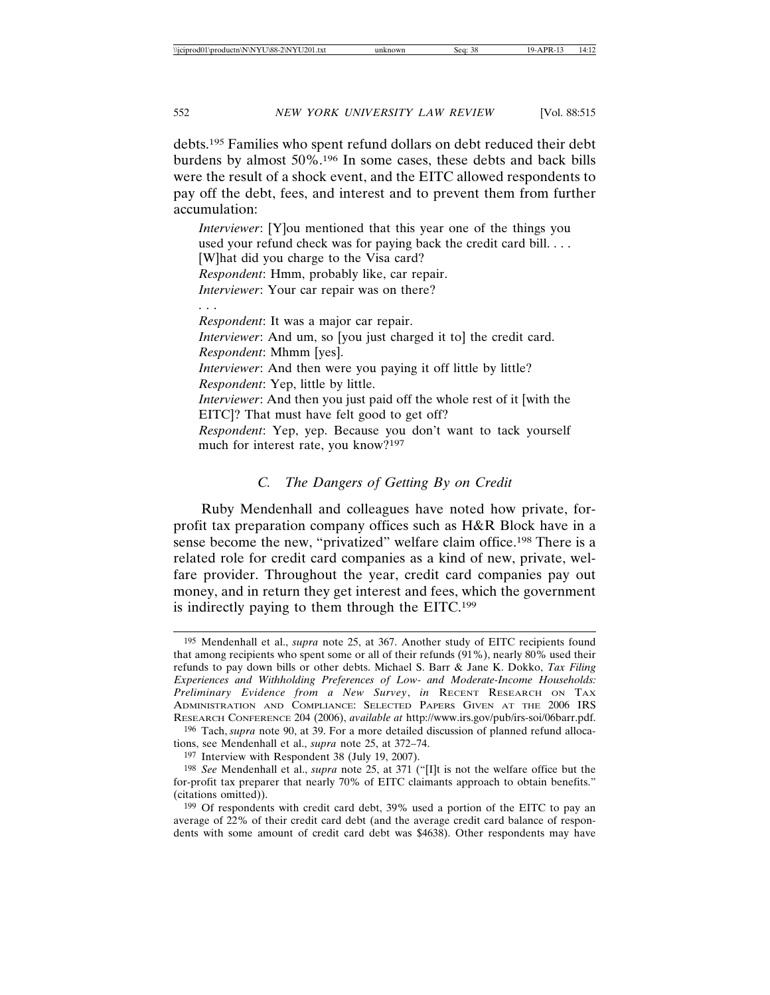debts.195 Families who spent refund dollars on debt reduced their debt burdens by almost 50%.196 In some cases, these debts and back bills were the result of a shock event, and the EITC allowed respondents to pay off the debt, fees, and interest and to prevent them from further accumulation:

*Interviewer*: [Y]ou mentioned that this year one of the things you used your refund check was for paying back the credit card bill. . . . [W]hat did you charge to the Visa card? *Respondent*: Hmm, probably like, car repair. *Interviewer*: Your car repair was on there? . . . *Respondent*: It was a major car repair. *Interviewer*: And um, so [you just charged it to] the credit card. *Respondent*: Mhmm [yes]. *Interviewer*: And then were you paying it off little by little? *Respondent*: Yep, little by little. *Interviewer*: And then you just paid off the whole rest of it [with the EITC]? That must have felt good to get off? *Respondent*: Yep, yep. Because you don't want to tack yourself much for interest rate, you know?197

## *C. The Dangers of Getting By on Credit*

Ruby Mendenhall and colleagues have noted how private, forprofit tax preparation company offices such as H&R Block have in a sense become the new, "privatized" welfare claim office.198 There is a related role for credit card companies as a kind of new, private, welfare provider. Throughout the year, credit card companies pay out money, and in return they get interest and fees, which the government is indirectly paying to them through the EITC.199

<sup>195</sup> Mendenhall et al., *supra* note 25, at 367. Another study of EITC recipients found that among recipients who spent some or all of their refunds (91%), nearly 80% used their refunds to pay down bills or other debts. Michael S. Barr & Jane K. Dokko, *Tax Filing Experiences and Withholding Preferences of Low- and Moderate-Income Households: Preliminary Evidence from a New Survey*, *in* RECENT RESEARCH ON TAX ADMINISTRATION AND COMPLIANCE: SELECTED PAPERS GIVEN AT THE 2006 IRS RESEARCH CONFERENCE 204 (2006), *available at* http://www.irs.gov/pub/irs-soi/06barr.pdf.

<sup>196</sup> Tach, *supra* note 90, at 39. For a more detailed discussion of planned refund allocations, see Mendenhall et al., *supra* note 25, at 372–74.

<sup>197</sup> Interview with Respondent 38 (July 19, 2007).

<sup>198</sup> *See* Mendenhall et al., *supra* note 25, at 371 ("[I]t is not the welfare office but the for-profit tax preparer that nearly 70% of EITC claimants approach to obtain benefits." (citations omitted)).

<sup>199</sup> Of respondents with credit card debt, 39% used a portion of the EITC to pay an average of 22% of their credit card debt (and the average credit card balance of respondents with some amount of credit card debt was \$4638). Other respondents may have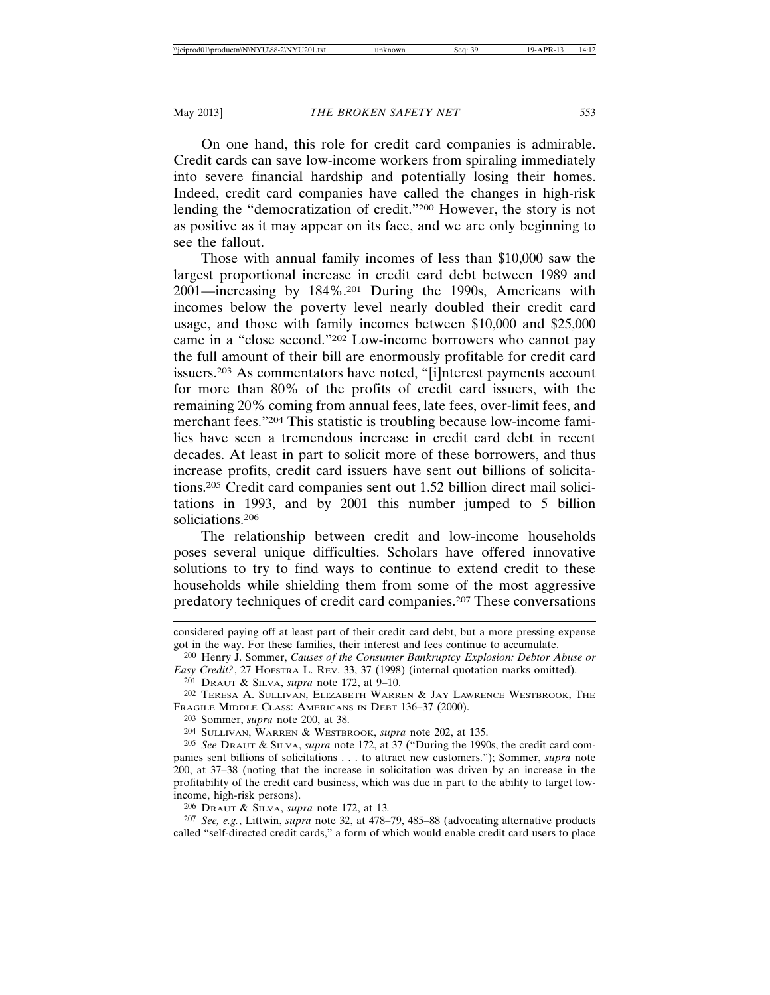On one hand, this role for credit card companies is admirable. Credit cards can save low-income workers from spiraling immediately into severe financial hardship and potentially losing their homes. Indeed, credit card companies have called the changes in high-risk lending the "democratization of credit."200 However, the story is not as positive as it may appear on its face, and we are only beginning to see the fallout.

Those with annual family incomes of less than \$10,000 saw the largest proportional increase in credit card debt between 1989 and 2001—increasing by 184%.201 During the 1990s, Americans with incomes below the poverty level nearly doubled their credit card usage, and those with family incomes between \$10,000 and \$25,000 came in a "close second."202 Low-income borrowers who cannot pay the full amount of their bill are enormously profitable for credit card issuers.203 As commentators have noted, "[i]nterest payments account for more than 80% of the profits of credit card issuers, with the remaining 20% coming from annual fees, late fees, over-limit fees, and merchant fees."204 This statistic is troubling because low-income families have seen a tremendous increase in credit card debt in recent decades. At least in part to solicit more of these borrowers, and thus increase profits, credit card issuers have sent out billions of solicitations.205 Credit card companies sent out 1.52 billion direct mail solicitations in 1993, and by 2001 this number jumped to 5 billion soliciations.206

The relationship between credit and low-income households poses several unique difficulties. Scholars have offered innovative solutions to try to find ways to continue to extend credit to these households while shielding them from some of the most aggressive predatory techniques of credit card companies.207 These conversations

201 DRAUT & SILVA, *supra* note 172, at 9–10.

203 Sommer, *supra* note 200, at 38.

206 DRAUT & SILVA, *supra* note 172, at 13*.* 

207 *See, e.g.*, Littwin, *supra* note 32, at 478–79, 485–88 (advocating alternative products called "self-directed credit cards," a form of which would enable credit card users to place

considered paying off at least part of their credit card debt, but a more pressing expense got in the way. For these families, their interest and fees continue to accumulate.

<sup>200</sup> Henry J. Sommer, *Causes of the Consumer Bankruptcy Explosion: Debtor Abuse or Easy Credit?*, 27 HOFSTRA L. REV. 33, 37 (1998) (internal quotation marks omitted).

<sup>202</sup> TERESA A. SULLIVAN, ELIZABETH WARREN & JAY LAWRENCE WESTBROOK, THE FRAGILE MIDDLE CLASS: AMERICANS IN DEBT 136–37 (2000).

<sup>204</sup> SULLIVAN, WARREN & WESTBROOK, *supra* note 202, at 135.

<sup>205</sup> *See* DRAUT & SILVA, *supra* note 172, at 37 ("During the 1990s, the credit card companies sent billions of solicitations . . . to attract new customers."); Sommer, *supra* note 200, at 37–38 (noting that the increase in solicitation was driven by an increase in the profitability of the credit card business, which was due in part to the ability to target lowincome, high-risk persons).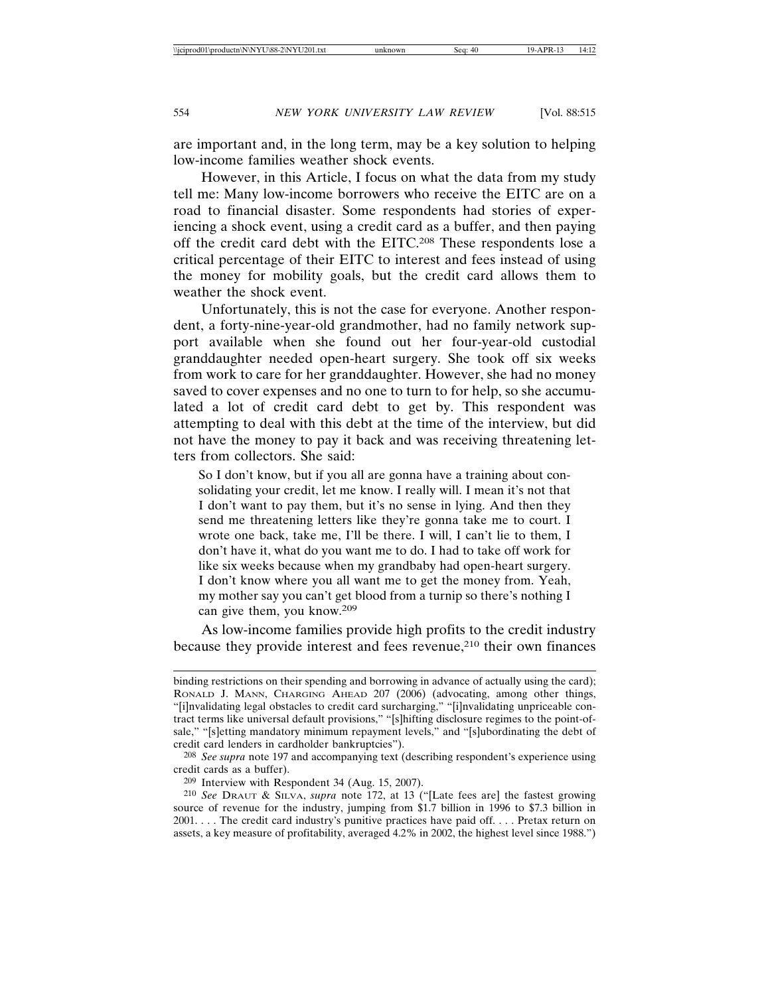are important and, in the long term, may be a key solution to helping low-income families weather shock events.

However, in this Article, I focus on what the data from my study tell me: Many low-income borrowers who receive the EITC are on a road to financial disaster. Some respondents had stories of experiencing a shock event, using a credit card as a buffer, and then paying off the credit card debt with the EITC.208 These respondents lose a critical percentage of their EITC to interest and fees instead of using the money for mobility goals, but the credit card allows them to weather the shock event.

Unfortunately, this is not the case for everyone. Another respondent, a forty-nine-year-old grandmother, had no family network support available when she found out her four-year-old custodial granddaughter needed open-heart surgery. She took off six weeks from work to care for her granddaughter. However, she had no money saved to cover expenses and no one to turn to for help, so she accumulated a lot of credit card debt to get by. This respondent was attempting to deal with this debt at the time of the interview, but did not have the money to pay it back and was receiving threatening letters from collectors. She said:

So I don't know, but if you all are gonna have a training about consolidating your credit, let me know. I really will. I mean it's not that I don't want to pay them, but it's no sense in lying. And then they send me threatening letters like they're gonna take me to court. I wrote one back, take me, I'll be there. I will, I can't lie to them, I don't have it, what do you want me to do. I had to take off work for like six weeks because when my grandbaby had open-heart surgery. I don't know where you all want me to get the money from. Yeah, my mother say you can't get blood from a turnip so there's nothing I can give them, you know.209

As low-income families provide high profits to the credit industry because they provide interest and fees revenue,<sup>210</sup> their own finances

binding restrictions on their spending and borrowing in advance of actually using the card); RONALD J. MANN, CHARGING AHEAD 207 (2006) (advocating, among other things, "[i]nvalidating legal obstacles to credit card surcharging," "[i]nvalidating unpriceable contract terms like universal default provisions," "[s]hifting disclosure regimes to the point-ofsale," "[s]etting mandatory minimum repayment levels," and "[s]ubordinating the debt of credit card lenders in cardholder bankruptcies").

<sup>208</sup> *See supra* note 197 and accompanying text (describing respondent's experience using credit cards as a buffer).

<sup>209</sup> Interview with Respondent 34 (Aug. 15, 2007).

<sup>210</sup> *See* DRAUT & SILVA, *supra* note 172, at 13 ("[Late fees are] the fastest growing source of revenue for the industry, jumping from \$1.7 billion in 1996 to \$7.3 billion in 2001. . . . The credit card industry's punitive practices have paid off. . . . Pretax return on assets, a key measure of profitability, averaged 4.2% in 2002, the highest level since 1988.")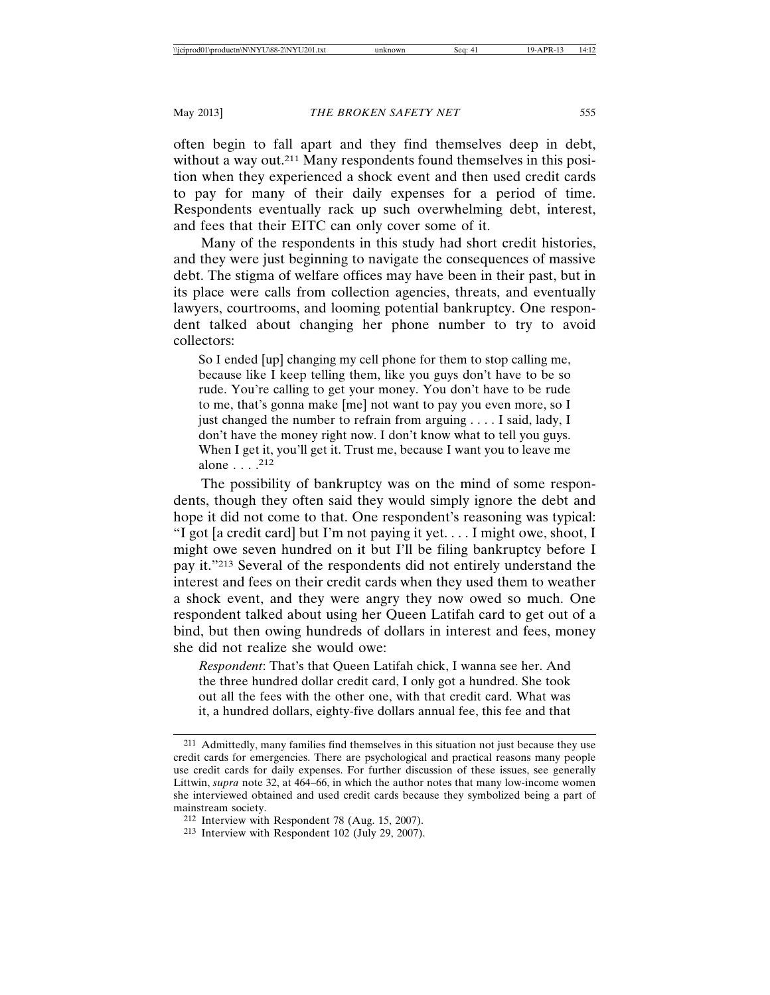often begin to fall apart and they find themselves deep in debt, without a way out.<sup>211</sup> Many respondents found themselves in this position when they experienced a shock event and then used credit cards to pay for many of their daily expenses for a period of time. Respondents eventually rack up such overwhelming debt, interest, and fees that their EITC can only cover some of it.

Many of the respondents in this study had short credit histories, and they were just beginning to navigate the consequences of massive debt. The stigma of welfare offices may have been in their past, but in its place were calls from collection agencies, threats, and eventually lawyers, courtrooms, and looming potential bankruptcy. One respondent talked about changing her phone number to try to avoid collectors:

So I ended [up] changing my cell phone for them to stop calling me, because like I keep telling them, like you guys don't have to be so rude. You're calling to get your money. You don't have to be rude to me, that's gonna make [me] not want to pay you even more, so I just changed the number to refrain from arguing . . . . I said, lady, I don't have the money right now. I don't know what to tell you guys. When I get it, you'll get it. Trust me, because I want you to leave me alone . . . .212

The possibility of bankruptcy was on the mind of some respondents, though they often said they would simply ignore the debt and hope it did not come to that. One respondent's reasoning was typical: "I got [a credit card] but I'm not paying it yet. . . . I might owe, shoot, I might owe seven hundred on it but I'll be filing bankruptcy before I pay it."213 Several of the respondents did not entirely understand the interest and fees on their credit cards when they used them to weather a shock event, and they were angry they now owed so much. One respondent talked about using her Queen Latifah card to get out of a bind, but then owing hundreds of dollars in interest and fees, money she did not realize she would owe:

*Respondent*: That's that Queen Latifah chick, I wanna see her. And the three hundred dollar credit card, I only got a hundred. She took out all the fees with the other one, with that credit card. What was it, a hundred dollars, eighty-five dollars annual fee, this fee and that

<sup>211</sup> Admittedly, many families find themselves in this situation not just because they use credit cards for emergencies. There are psychological and practical reasons many people use credit cards for daily expenses. For further discussion of these issues, see generally Littwin, *supra* note 32, at 464–66, in which the author notes that many low-income women she interviewed obtained and used credit cards because they symbolized being a part of mainstream society.

<sup>212</sup> Interview with Respondent 78 (Aug. 15, 2007).

<sup>213</sup> Interview with Respondent 102 (July 29, 2007).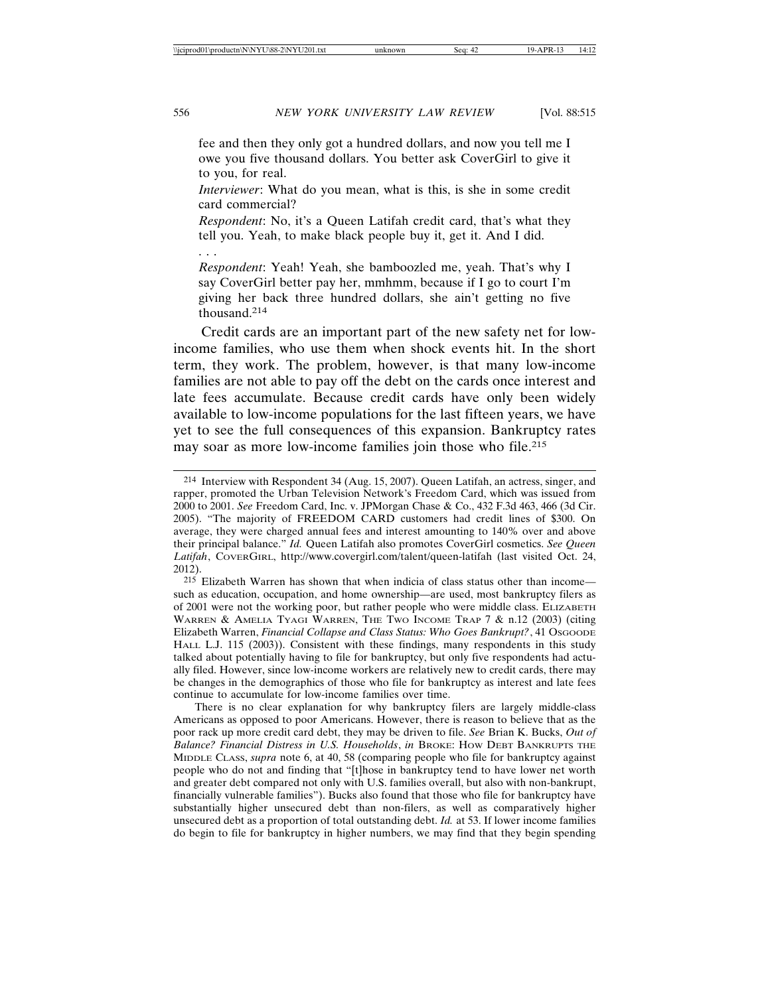fee and then they only got a hundred dollars, and now you tell me I owe you five thousand dollars. You better ask CoverGirl to give it to you, for real.

*Interviewer*: What do you mean, what is this, is she in some credit card commercial?

*Respondent*: No, it's a Queen Latifah credit card, that's what they tell you. Yeah, to make black people buy it, get it. And I did.

. . .

*Respondent*: Yeah! Yeah, she bamboozled me, yeah. That's why I say CoverGirl better pay her, mmhmm, because if I go to court I'm giving her back three hundred dollars, she ain't getting no five thousand.<sup>214</sup>

Credit cards are an important part of the new safety net for lowincome families, who use them when shock events hit. In the short term, they work. The problem, however, is that many low-income families are not able to pay off the debt on the cards once interest and late fees accumulate. Because credit cards have only been widely available to low-income populations for the last fifteen years, we have yet to see the full consequences of this expansion. Bankruptcy rates may soar as more low-income families join those who file.215

There is no clear explanation for why bankruptcy filers are largely middle-class Americans as opposed to poor Americans. However, there is reason to believe that as the poor rack up more credit card debt, they may be driven to file. *See* Brian K. Bucks, *Out of Balance? Financial Distress in U.S. Households*, *in* BROKE: HOW DEBT BANKRUPTS THE MIDDLE CLASS, *supra* note 6, at 40, 58 (comparing people who file for bankruptcy against people who do not and finding that "[t]hose in bankruptcy tend to have lower net worth and greater debt compared not only with U.S. families overall, but also with non-bankrupt, financially vulnerable families"). Bucks also found that those who file for bankruptcy have substantially higher unsecured debt than non-filers, as well as comparatively higher unsecured debt as a proportion of total outstanding debt. *Id.* at 53. If lower income families do begin to file for bankruptcy in higher numbers, we may find that they begin spending

<sup>214</sup> Interview with Respondent 34 (Aug. 15, 2007). Queen Latifah, an actress, singer, and rapper, promoted the Urban Television Network's Freedom Card, which was issued from 2000 to 2001. *See* Freedom Card, Inc. v. JPMorgan Chase & Co., 432 F.3d 463, 466 (3d Cir. 2005). "The majority of FREEDOM CARD customers had credit lines of \$300. On average, they were charged annual fees and interest amounting to 140% over and above their principal balance." *Id.* Queen Latifah also promotes CoverGirl cosmetics. *See Queen Latifah*, COVERGIRL, http://www.covergirl.com/talent/queen-latifah (last visited Oct. 24, 2012).

<sup>215</sup> Elizabeth Warren has shown that when indicia of class status other than income such as education, occupation, and home ownership—are used, most bankruptcy filers as of 2001 were not the working poor, but rather people who were middle class. ELIZABETH WARREN & AMELIA TYAGI WARREN, THE TWO INCOME TRAP 7 & n.12 (2003) (citing Elizabeth Warren, *Financial Collapse and Class Status: Who Goes Bankrupt?*, 41 OSGOODE HALL L.J. 115 (2003)). Consistent with these findings, many respondents in this study talked about potentially having to file for bankruptcy, but only five respondents had actually filed. However, since low-income workers are relatively new to credit cards, there may be changes in the demographics of those who file for bankruptcy as interest and late fees continue to accumulate for low-income families over time.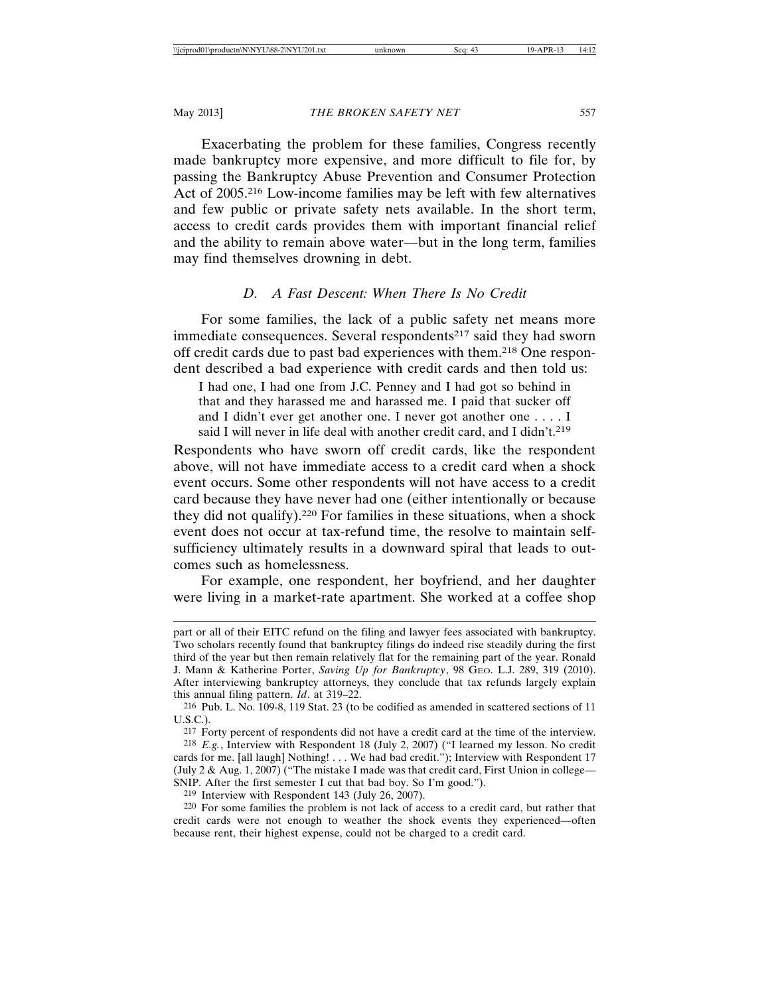Exacerbating the problem for these families, Congress recently made bankruptcy more expensive, and more difficult to file for, by passing the Bankruptcy Abuse Prevention and Consumer Protection Act of 2005.216 Low-income families may be left with few alternatives and few public or private safety nets available. In the short term, access to credit cards provides them with important financial relief and the ability to remain above water—but in the long term, families may find themselves drowning in debt.

#### *D. A Fast Descent: When There Is No Credit*

For some families, the lack of a public safety net means more immediate consequences. Several respondents<sup>217</sup> said they had sworn off credit cards due to past bad experiences with them.218 One respondent described a bad experience with credit cards and then told us:

I had one, I had one from J.C. Penney and I had got so behind in that and they harassed me and harassed me. I paid that sucker off and I didn't ever get another one. I never got another one . . . . I said I will never in life deal with another credit card, and I didn't.<sup>219</sup>

Respondents who have sworn off credit cards, like the respondent above, will not have immediate access to a credit card when a shock event occurs. Some other respondents will not have access to a credit card because they have never had one (either intentionally or because they did not qualify).220 For families in these situations, when a shock event does not occur at tax-refund time, the resolve to maintain selfsufficiency ultimately results in a downward spiral that leads to outcomes such as homelessness.

For example, one respondent, her boyfriend, and her daughter were living in a market-rate apartment. She worked at a coffee shop

217 Forty percent of respondents did not have a credit card at the time of the interview.

219 Interview with Respondent 143 (July 26, 2007).

220 For some families the problem is not lack of access to a credit card, but rather that credit cards were not enough to weather the shock events they experienced—often because rent, their highest expense, could not be charged to a credit card.

part or all of their EITC refund on the filing and lawyer fees associated with bankruptcy. Two scholars recently found that bankruptcy filings do indeed rise steadily during the first third of the year but then remain relatively flat for the remaining part of the year. Ronald J. Mann & Katherine Porter, *Saving Up for Bankruptcy*, 98 GEO. L.J. 289, 319 (2010). After interviewing bankruptcy attorneys, they conclude that tax refunds largely explain this annual filing pattern. *Id*. at 319–22.

<sup>216</sup> Pub. L. No. 109-8, 119 Stat. 23 (to be codified as amended in scattered sections of 11 U.S.C.).

<sup>218</sup> *E.g.*, Interview with Respondent 18 (July 2, 2007) ("I learned my lesson. No credit cards for me. [all laugh] Nothing! . . . We had bad credit."); Interview with Respondent 17 (July  $2 \&$  Aug. 1, 2007) ("The mistake I made was that credit card, First Union in college— SNIP. After the first semester I cut that bad boy. So I'm good.").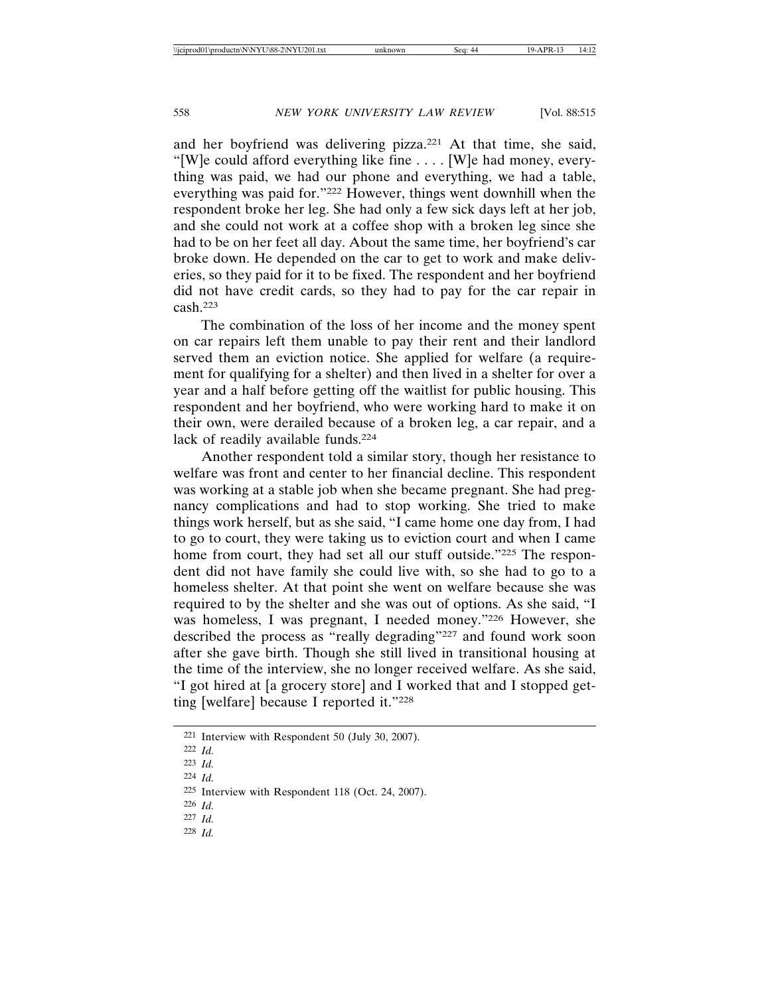and her boyfriend was delivering pizza.221 At that time, she said, "[W]e could afford everything like fine . . . . [W]e had money, everything was paid, we had our phone and everything, we had a table, everything was paid for."222 However, things went downhill when the respondent broke her leg. She had only a few sick days left at her job, and she could not work at a coffee shop with a broken leg since she had to be on her feet all day. About the same time, her boyfriend's car broke down. He depended on the car to get to work and make deliveries, so they paid for it to be fixed. The respondent and her boyfriend did not have credit cards, so they had to pay for the car repair in cash.223

The combination of the loss of her income and the money spent on car repairs left them unable to pay their rent and their landlord served them an eviction notice. She applied for welfare (a requirement for qualifying for a shelter) and then lived in a shelter for over a year and a half before getting off the waitlist for public housing. This respondent and her boyfriend, who were working hard to make it on their own, were derailed because of a broken leg, a car repair, and a lack of readily available funds.<sup>224</sup>

Another respondent told a similar story, though her resistance to welfare was front and center to her financial decline. This respondent was working at a stable job when she became pregnant. She had pregnancy complications and had to stop working. She tried to make things work herself, but as she said, "I came home one day from, I had to go to court, they were taking us to eviction court and when I came home from court, they had set all our stuff outside."225 The respondent did not have family she could live with, so she had to go to a homeless shelter. At that point she went on welfare because she was required to by the shelter and she was out of options. As she said, "I was homeless, I was pregnant, I needed money."226 However, she described the process as "really degrading"227 and found work soon after she gave birth. Though she still lived in transitional housing at the time of the interview, she no longer received welfare. As she said, "I got hired at [a grocery store] and I worked that and I stopped getting [welfare] because I reported it."228

224 *Id.*

- 226 *Id.*
- 227 *Id.*
- 228 *Id.*

<sup>221</sup> Interview with Respondent 50 (July 30, 2007).

<sup>222</sup> *Id.*

<sup>223</sup> *Id.*

<sup>225</sup> Interview with Respondent 118 (Oct. 24, 2007).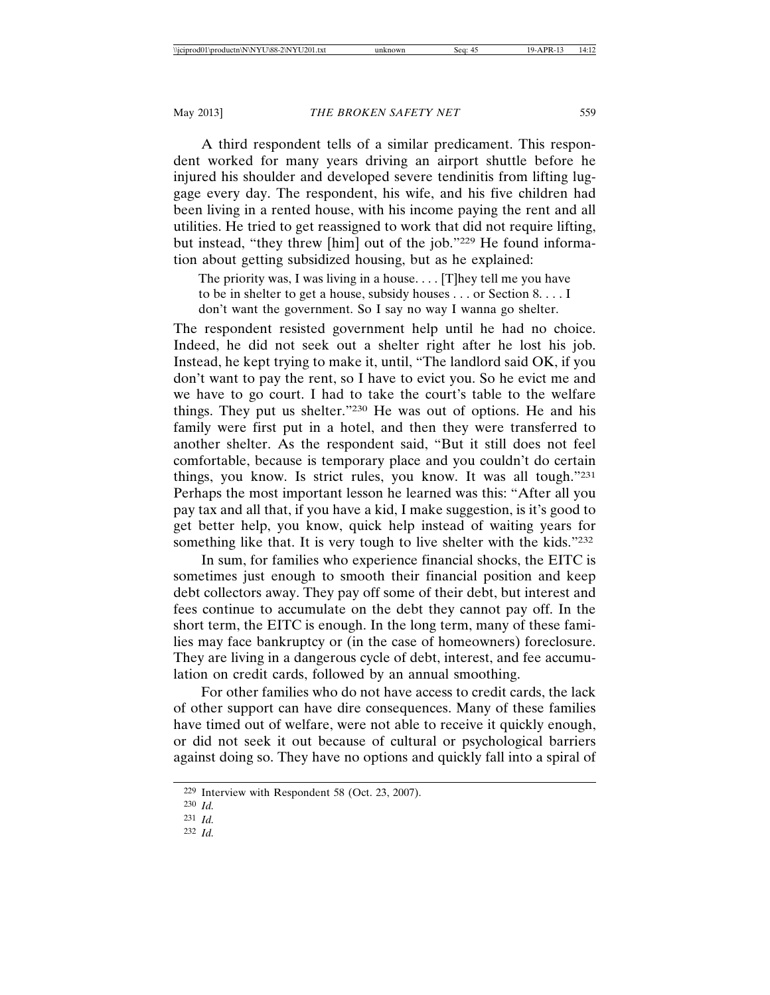A third respondent tells of a similar predicament. This respondent worked for many years driving an airport shuttle before he injured his shoulder and developed severe tendinitis from lifting luggage every day. The respondent, his wife, and his five children had been living in a rented house, with his income paying the rent and all utilities. He tried to get reassigned to work that did not require lifting, but instead, "they threw [him] out of the job."229 He found information about getting subsidized housing, but as he explained:

The priority was, I was living in a house. . . . [T]hey tell me you have to be in shelter to get a house, subsidy houses . . . or Section 8. . . . I don't want the government. So I say no way I wanna go shelter.

The respondent resisted government help until he had no choice. Indeed, he did not seek out a shelter right after he lost his job. Instead, he kept trying to make it, until, "The landlord said OK, if you don't want to pay the rent, so I have to evict you. So he evict me and we have to go court. I had to take the court's table to the welfare things. They put us shelter."230 He was out of options. He and his family were first put in a hotel, and then they were transferred to another shelter. As the respondent said, "But it still does not feel comfortable, because is temporary place and you couldn't do certain things, you know. Is strict rules, you know. It was all tough."231 Perhaps the most important lesson he learned was this: "After all you pay tax and all that, if you have a kid, I make suggestion, is it's good to get better help, you know, quick help instead of waiting years for something like that. It is very tough to live shelter with the kids."232

In sum, for families who experience financial shocks, the EITC is sometimes just enough to smooth their financial position and keep debt collectors away. They pay off some of their debt, but interest and fees continue to accumulate on the debt they cannot pay off. In the short term, the EITC is enough. In the long term, many of these families may face bankruptcy or (in the case of homeowners) foreclosure. They are living in a dangerous cycle of debt, interest, and fee accumulation on credit cards, followed by an annual smoothing.

For other families who do not have access to credit cards, the lack of other support can have dire consequences. Many of these families have timed out of welfare, were not able to receive it quickly enough, or did not seek it out because of cultural or psychological barriers against doing so. They have no options and quickly fall into a spiral of

<sup>229</sup> Interview with Respondent 58 (Oct. 23, 2007).

<sup>230</sup> *Id.*

<sup>231</sup> *Id.*

<sup>232</sup> *Id.*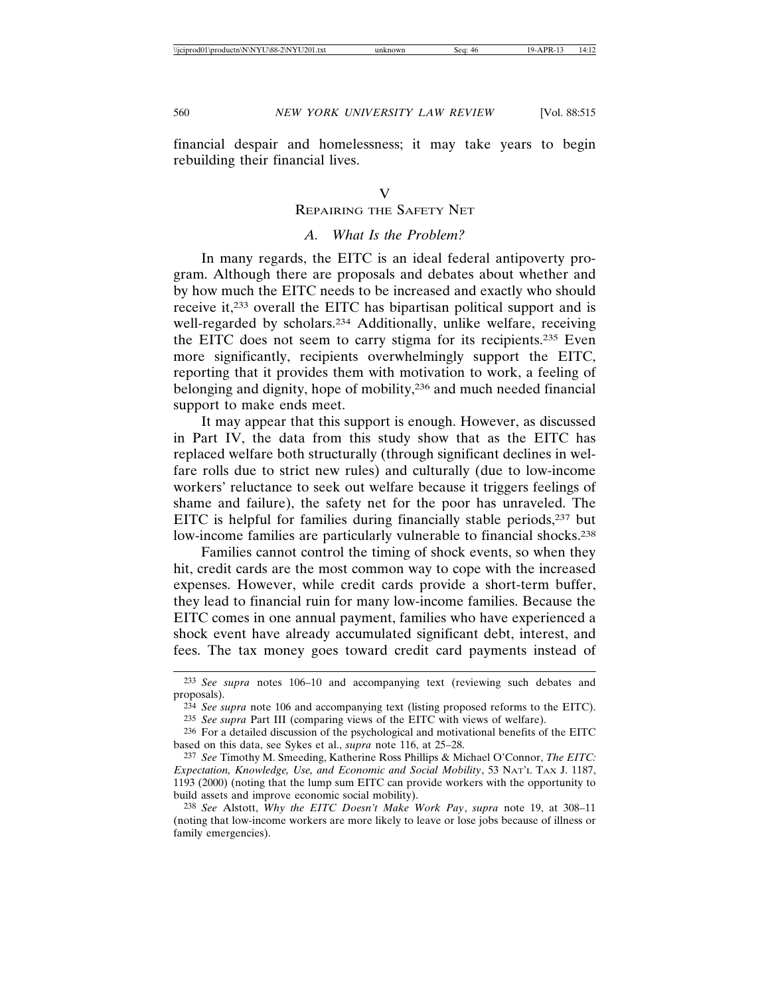financial despair and homelessness; it may take years to begin rebuilding their financial lives.

#### REPAIRING THE SAFETY NET

#### *A. What Is the Problem?*

In many regards, the EITC is an ideal federal antipoverty program. Although there are proposals and debates about whether and by how much the EITC needs to be increased and exactly who should receive it,233 overall the EITC has bipartisan political support and is well-regarded by scholars.<sup>234</sup> Additionally, unlike welfare, receiving the EITC does not seem to carry stigma for its recipients.235 Even more significantly, recipients overwhelmingly support the EITC, reporting that it provides them with motivation to work, a feeling of belonging and dignity, hope of mobility,<sup>236</sup> and much needed financial support to make ends meet.

It may appear that this support is enough. However, as discussed in Part IV, the data from this study show that as the EITC has replaced welfare both structurally (through significant declines in welfare rolls due to strict new rules) and culturally (due to low-income workers' reluctance to seek out welfare because it triggers feelings of shame and failure), the safety net for the poor has unraveled. The EITC is helpful for families during financially stable periods,237 but low-income families are particularly vulnerable to financial shocks.<sup>238</sup>

Families cannot control the timing of shock events, so when they hit, credit cards are the most common way to cope with the increased expenses. However, while credit cards provide a short-term buffer, they lead to financial ruin for many low-income families. Because the EITC comes in one annual payment, families who have experienced a shock event have already accumulated significant debt, interest, and fees. The tax money goes toward credit card payments instead of

<sup>233</sup> *See supra* notes 106–10 and accompanying text (reviewing such debates and proposals).

<sup>234</sup> *See supra* note 106 and accompanying text (listing proposed reforms to the EITC).

<sup>235</sup> *See supra* Part III (comparing views of the EITC with views of welfare).

<sup>236</sup> For a detailed discussion of the psychological and motivational benefits of the EITC based on this data, see Sykes et al., *supra* note 116, at 25–28.

<sup>237</sup> *See* Timothy M. Smeeding, Katherine Ross Phillips & Michael O'Connor, *The EITC: Expectation, Knowledge, Use, and Economic and Social Mobility*, 53 NAT'L TAX J. 1187, 1193 (2000) (noting that the lump sum EITC can provide workers with the opportunity to build assets and improve economic social mobility).

<sup>238</sup> *See* Alstott, *Why the EITC Doesn't Make Work Pay*, *supra* note 19, at 308–11 (noting that low-income workers are more likely to leave or lose jobs because of illness or family emergencies).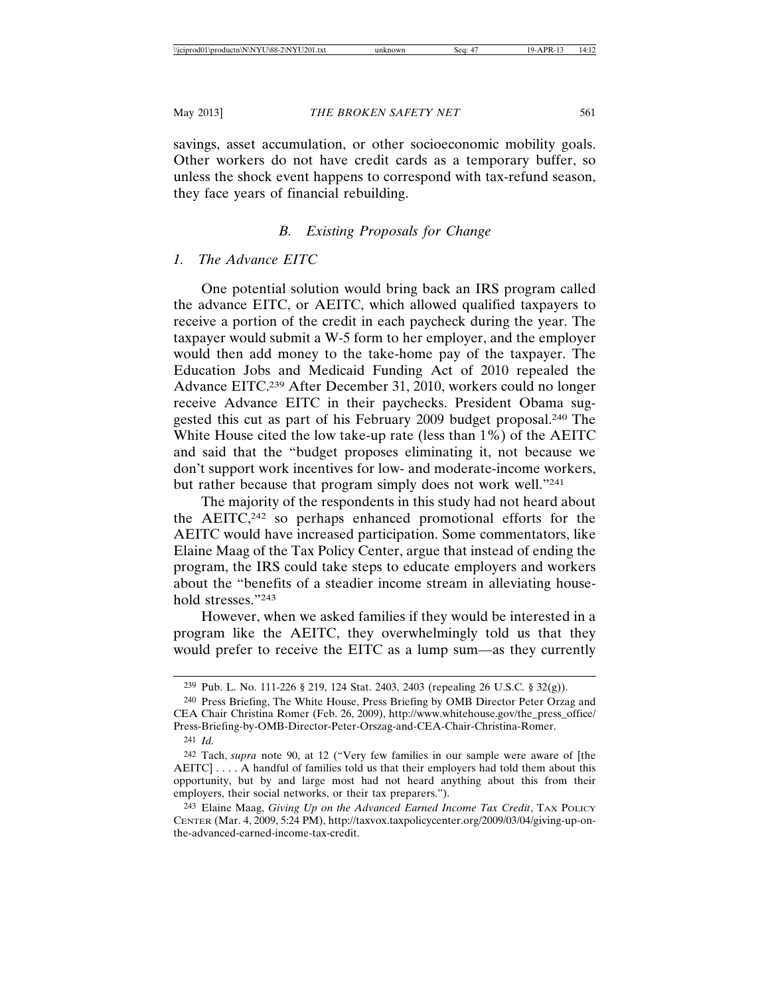savings, asset accumulation, or other socioeconomic mobility goals. Other workers do not have credit cards as a temporary buffer, so unless the shock event happens to correspond with tax-refund season, they face years of financial rebuilding.

#### *B. Existing Proposals for Change*

#### *1. The Advance EITC*

One potential solution would bring back an IRS program called the advance EITC, or AEITC, which allowed qualified taxpayers to receive a portion of the credit in each paycheck during the year. The taxpayer would submit a W-5 form to her employer, and the employer would then add money to the take-home pay of the taxpayer. The Education Jobs and Medicaid Funding Act of 2010 repealed the Advance EITC.239 After December 31, 2010, workers could no longer receive Advance EITC in their paychecks. President Obama suggested this cut as part of his February 2009 budget proposal.240 The White House cited the low take-up rate (less than 1%) of the AEITC and said that the "budget proposes eliminating it, not because we don't support work incentives for low- and moderate-income workers, but rather because that program simply does not work well."241

The majority of the respondents in this study had not heard about the AEITC,242 so perhaps enhanced promotional efforts for the AEITC would have increased participation. Some commentators, like Elaine Maag of the Tax Policy Center, argue that instead of ending the program, the IRS could take steps to educate employers and workers about the "benefits of a steadier income stream in alleviating household stresses."243

However, when we asked families if they would be interested in a program like the AEITC, they overwhelmingly told us that they would prefer to receive the EITC as a lump sum—as they currently

<sup>239</sup> Pub. L. No. 111-226 § 219, 124 Stat. 2403, 2403 (repealing 26 U.S.C. § 32(g)).

<sup>240</sup> Press Briefing, The White House, Press Briefing by OMB Director Peter Orzag and CEA Chair Christina Romer (Feb. 26, 2009), http://www.whitehouse.gov/the\_press\_office/ Press-Briefing-by-OMB-Director-Peter-Orszag-and-CEA-Chair-Christina-Romer. 241 *Id.*

<sup>242</sup> Tach, *supra* note 90, at 12 ("Very few families in our sample were aware of [the AEITC] . . . . A handful of families told us that their employers had told them about this opportunity, but by and large most had not heard anything about this from their employers, their social networks, or their tax preparers.").

<sup>243</sup> Elaine Maag, *Giving Up on the Advanced Earned Income Tax Credit*, TAX POLICY CENTER (Mar. 4, 2009, 5:24 PM), http://taxvox.taxpolicycenter.org/2009/03/04/giving-up-onthe-advanced-earned-income-tax-credit.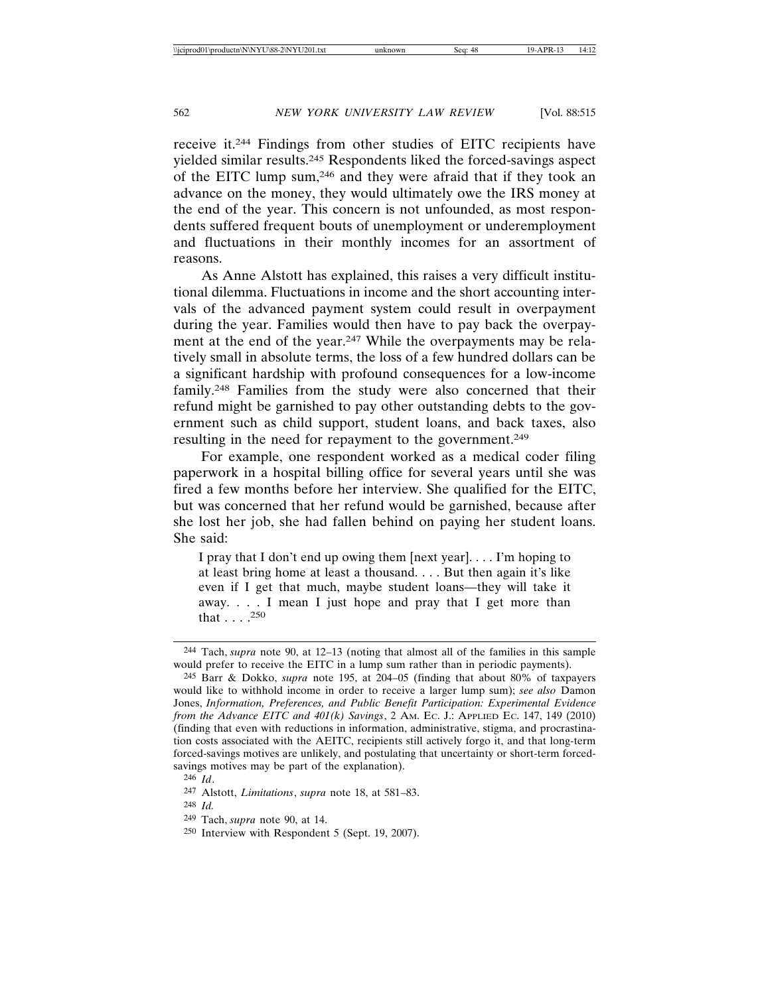receive it.244 Findings from other studies of EITC recipients have yielded similar results.245 Respondents liked the forced-savings aspect of the EITC lump sum,246 and they were afraid that if they took an advance on the money, they would ultimately owe the IRS money at the end of the year. This concern is not unfounded, as most respondents suffered frequent bouts of unemployment or underemployment and fluctuations in their monthly incomes for an assortment of reasons.

As Anne Alstott has explained, this raises a very difficult institutional dilemma. Fluctuations in income and the short accounting intervals of the advanced payment system could result in overpayment during the year. Families would then have to pay back the overpayment at the end of the year.247 While the overpayments may be relatively small in absolute terms, the loss of a few hundred dollars can be a significant hardship with profound consequences for a low-income family.248 Families from the study were also concerned that their refund might be garnished to pay other outstanding debts to the government such as child support, student loans, and back taxes, also resulting in the need for repayment to the government.249

For example, one respondent worked as a medical coder filing paperwork in a hospital billing office for several years until she was fired a few months before her interview. She qualified for the EITC, but was concerned that her refund would be garnished, because after she lost her job, she had fallen behind on paying her student loans. She said:

I pray that I don't end up owing them [next year]. . . . I'm hoping to at least bring home at least a thousand. . . . But then again it's like even if I get that much, maybe student loans—they will take it away. . . . I mean I just hope and pray that I get more than that  $\ldots$  .  $^{250}$ 

<sup>244</sup> Tach, *supra* note 90, at 12–13 (noting that almost all of the families in this sample would prefer to receive the EITC in a lump sum rather than in periodic payments).

<sup>245</sup> Barr & Dokko, *supra* note 195, at 204–05 (finding that about 80% of taxpayers would like to withhold income in order to receive a larger lump sum); *see also* Damon Jones, *Information, Preferences, and Public Benefit Participation: Experimental Evidence from the Advance EITC and 401(k) Savings*, 2 AM. EC. J.: APPLIED EC. 147, 149 (2010) (finding that even with reductions in information, administrative, stigma, and procrastination costs associated with the AEITC, recipients still actively forgo it, and that long-term forced-savings motives are unlikely, and postulating that uncertainty or short-term forcedsavings motives may be part of the explanation).

<sup>246</sup> *Id*.

<sup>247</sup> Alstott, *Limitations*, *supra* note 18, at 581–83.

<sup>248</sup> *Id.*

<sup>249</sup> Tach, *supra* note 90, at 14.

<sup>250</sup> Interview with Respondent 5 (Sept. 19, 2007).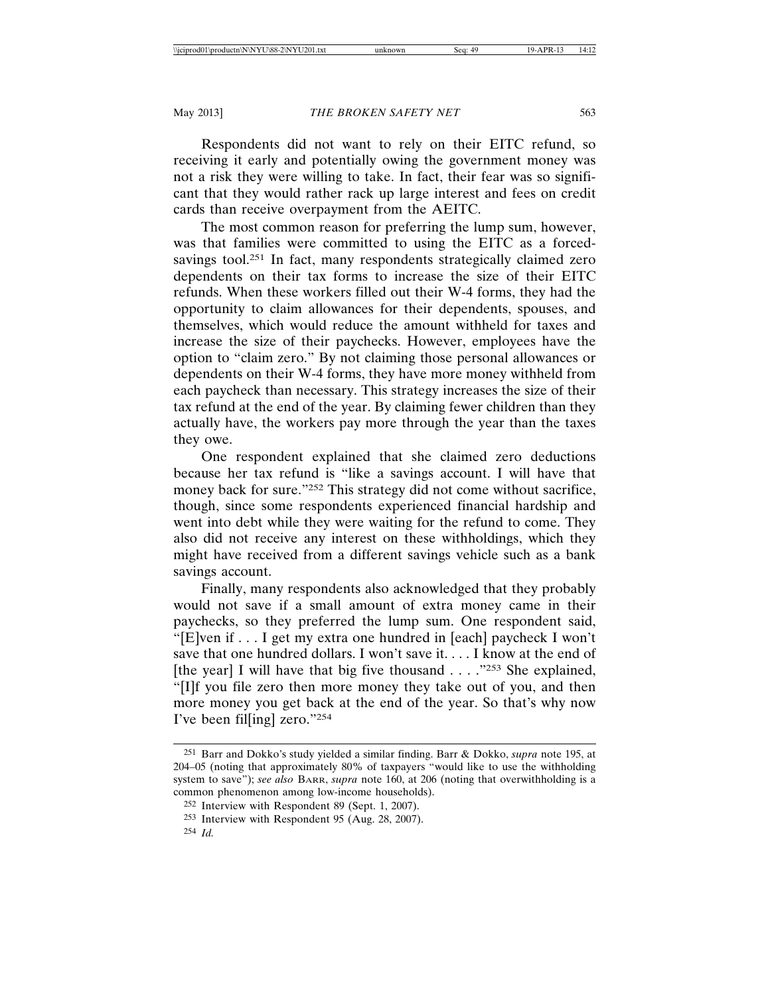Respondents did not want to rely on their EITC refund, so receiving it early and potentially owing the government money was not a risk they were willing to take. In fact, their fear was so significant that they would rather rack up large interest and fees on credit cards than receive overpayment from the AEITC.

The most common reason for preferring the lump sum, however, was that families were committed to using the EITC as a forcedsavings tool.<sup>251</sup> In fact, many respondents strategically claimed zero dependents on their tax forms to increase the size of their EITC refunds. When these workers filled out their W-4 forms, they had the opportunity to claim allowances for their dependents, spouses, and themselves, which would reduce the amount withheld for taxes and increase the size of their paychecks. However, employees have the option to "claim zero." By not claiming those personal allowances or dependents on their W-4 forms, they have more money withheld from each paycheck than necessary. This strategy increases the size of their tax refund at the end of the year. By claiming fewer children than they actually have, the workers pay more through the year than the taxes they owe.

One respondent explained that she claimed zero deductions because her tax refund is "like a savings account. I will have that money back for sure."252 This strategy did not come without sacrifice, though, since some respondents experienced financial hardship and went into debt while they were waiting for the refund to come. They also did not receive any interest on these withholdings, which they might have received from a different savings vehicle such as a bank savings account.

Finally, many respondents also acknowledged that they probably would not save if a small amount of extra money came in their paychecks, so they preferred the lump sum. One respondent said, "[E]ven if . . . I get my extra one hundred in [each] paycheck I won't save that one hundred dollars. I won't save it. . . . I know at the end of [the year] I will have that big five thousand  $\ldots$  ."253 She explained, "[I]f you file zero then more money they take out of you, and then more money you get back at the end of the year. So that's why now I've been fil[ing] zero."254

<sup>251</sup> Barr and Dokko's study yielded a similar finding. Barr & Dokko, *supra* note 195, at 204–05 (noting that approximately 80% of taxpayers "would like to use the withholding system to save"); *see also* BARR, *supra* note 160, at 206 (noting that overwithholding is a common phenomenon among low-income households).

<sup>252</sup> Interview with Respondent 89 (Sept. 1, 2007).

<sup>253</sup> Interview with Respondent 95 (Aug. 28, 2007).

<sup>254</sup> *Id.*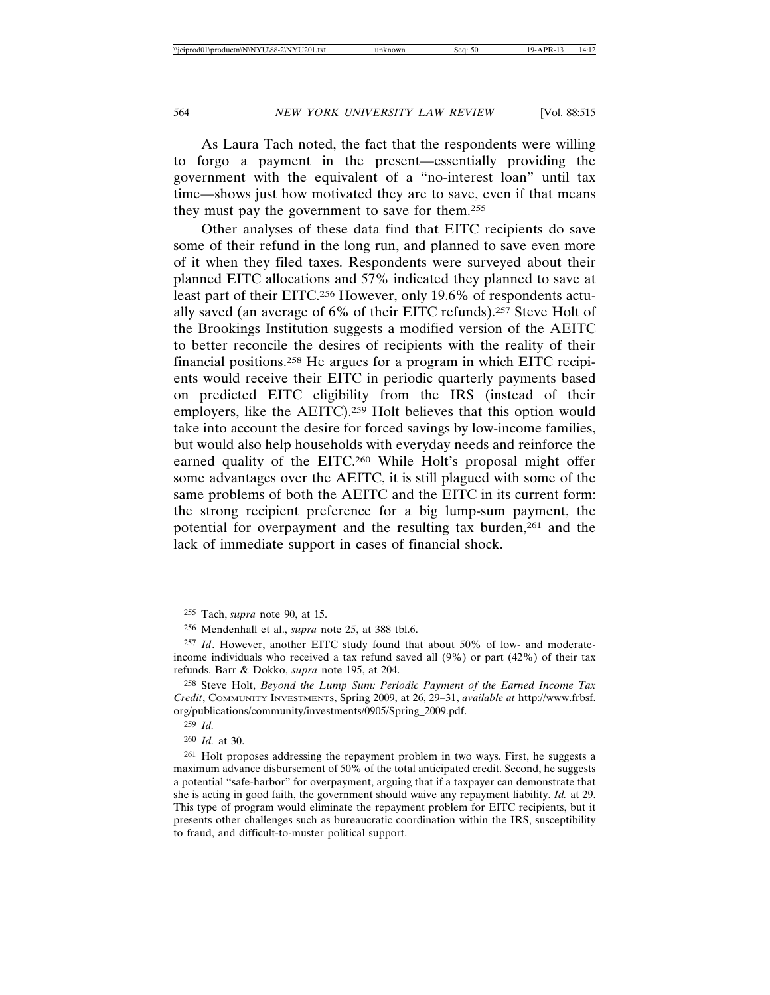As Laura Tach noted, the fact that the respondents were willing to forgo a payment in the present—essentially providing the government with the equivalent of a "no-interest loan" until tax time—shows just how motivated they are to save, even if that means they must pay the government to save for them.255

Other analyses of these data find that EITC recipients do save some of their refund in the long run, and planned to save even more of it when they filed taxes. Respondents were surveyed about their planned EITC allocations and 57% indicated they planned to save at least part of their EITC.256 However, only 19.6% of respondents actually saved (an average of 6% of their EITC refunds).257 Steve Holt of the Brookings Institution suggests a modified version of the AEITC to better reconcile the desires of recipients with the reality of their financial positions.258 He argues for a program in which EITC recipients would receive their EITC in periodic quarterly payments based on predicted EITC eligibility from the IRS (instead of their employers, like the AEITC).259 Holt believes that this option would take into account the desire for forced savings by low-income families, but would also help households with everyday needs and reinforce the earned quality of the EITC.260 While Holt's proposal might offer some advantages over the AEITC, it is still plagued with some of the same problems of both the AEITC and the EITC in its current form: the strong recipient preference for a big lump-sum payment, the potential for overpayment and the resulting tax burden,<sup>261</sup> and the lack of immediate support in cases of financial shock.

260 *Id.* at 30.

<sup>255</sup> Tach, *supra* note 90, at 15.

<sup>256</sup> Mendenhall et al., *supra* note 25, at 388 tbl.6.

<sup>257</sup> *Id*. However, another EITC study found that about 50% of low- and moderateincome individuals who received a tax refund saved all (9%) or part (42%) of their tax refunds. Barr & Dokko, *supra* note 195, at 204.

<sup>258</sup> Steve Holt, *Beyond the Lump Sum: Periodic Payment of the Earned Income Tax Credit*, COMMUNITY INVESTMENTS, Spring 2009, at 26, 29–31, *available at* http://www.frbsf. org/publications/community/investments/0905/Spring\_2009.pdf.

<sup>259</sup> *Id.*

<sup>261</sup> Holt proposes addressing the repayment problem in two ways. First, he suggests a maximum advance disbursement of 50% of the total anticipated credit. Second, he suggests a potential "safe-harbor" for overpayment, arguing that if a taxpayer can demonstrate that she is acting in good faith, the government should waive any repayment liability. *Id.* at 29. This type of program would eliminate the repayment problem for EITC recipients, but it presents other challenges such as bureaucratic coordination within the IRS, susceptibility to fraud, and difficult-to-muster political support.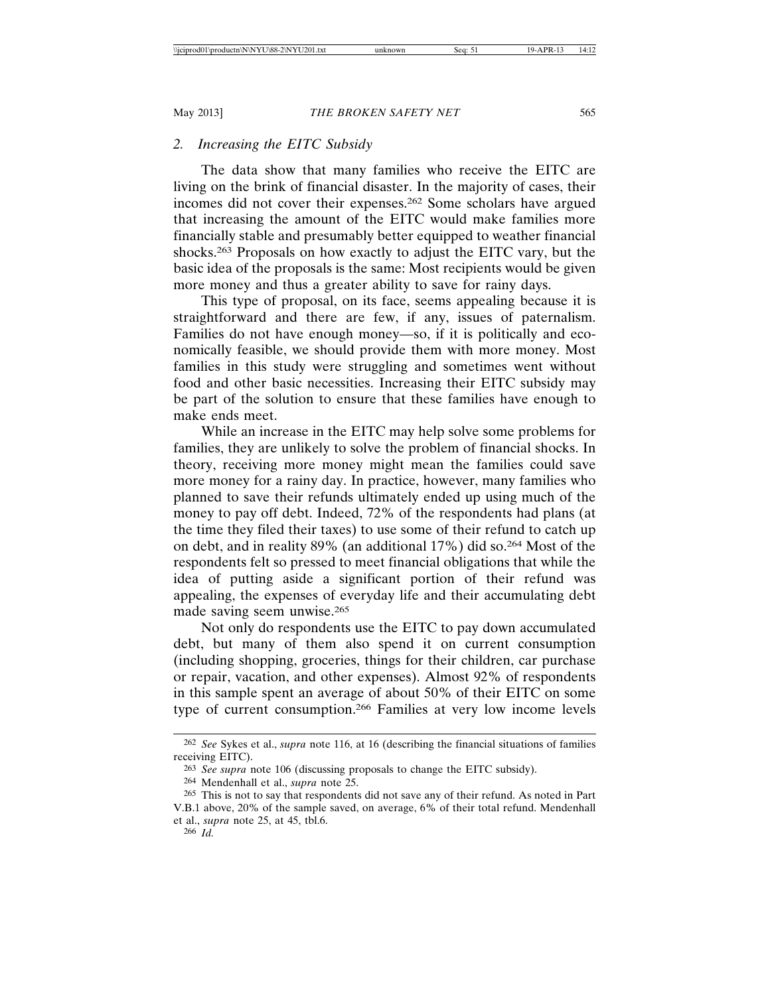### *2. Increasing the EITC Subsidy*

The data show that many families who receive the EITC are living on the brink of financial disaster. In the majority of cases, their incomes did not cover their expenses.262 Some scholars have argued that increasing the amount of the EITC would make families more financially stable and presumably better equipped to weather financial shocks.263 Proposals on how exactly to adjust the EITC vary, but the basic idea of the proposals is the same: Most recipients would be given more money and thus a greater ability to save for rainy days.

This type of proposal, on its face, seems appealing because it is straightforward and there are few, if any, issues of paternalism. Families do not have enough money—so, if it is politically and economically feasible, we should provide them with more money. Most families in this study were struggling and sometimes went without food and other basic necessities. Increasing their EITC subsidy may be part of the solution to ensure that these families have enough to make ends meet.

While an increase in the EITC may help solve some problems for families, they are unlikely to solve the problem of financial shocks. In theory, receiving more money might mean the families could save more money for a rainy day. In practice, however, many families who planned to save their refunds ultimately ended up using much of the money to pay off debt. Indeed, 72% of the respondents had plans (at the time they filed their taxes) to use some of their refund to catch up on debt, and in reality 89% (an additional 17%) did so.264 Most of the respondents felt so pressed to meet financial obligations that while the idea of putting aside a significant portion of their refund was appealing, the expenses of everyday life and their accumulating debt made saving seem unwise.265

Not only do respondents use the EITC to pay down accumulated debt, but many of them also spend it on current consumption (including shopping, groceries, things for their children, car purchase or repair, vacation, and other expenses). Almost 92% of respondents in this sample spent an average of about 50% of their EITC on some type of current consumption.266 Families at very low income levels

<sup>262</sup> *See* Sykes et al., *supra* note 116, at 16 (describing the financial situations of families receiving EITC).

<sup>263</sup> *See supra* note 106 (discussing proposals to change the EITC subsidy).

<sup>264</sup> Mendenhall et al., *supra* note 25.

<sup>265</sup> This is not to say that respondents did not save any of their refund. As noted in Part V.B.1 above, 20% of the sample saved, on average, 6% of their total refund. Mendenhall et al., *supra* note 25, at 45, tbl.6.

<sup>266</sup> *Id.*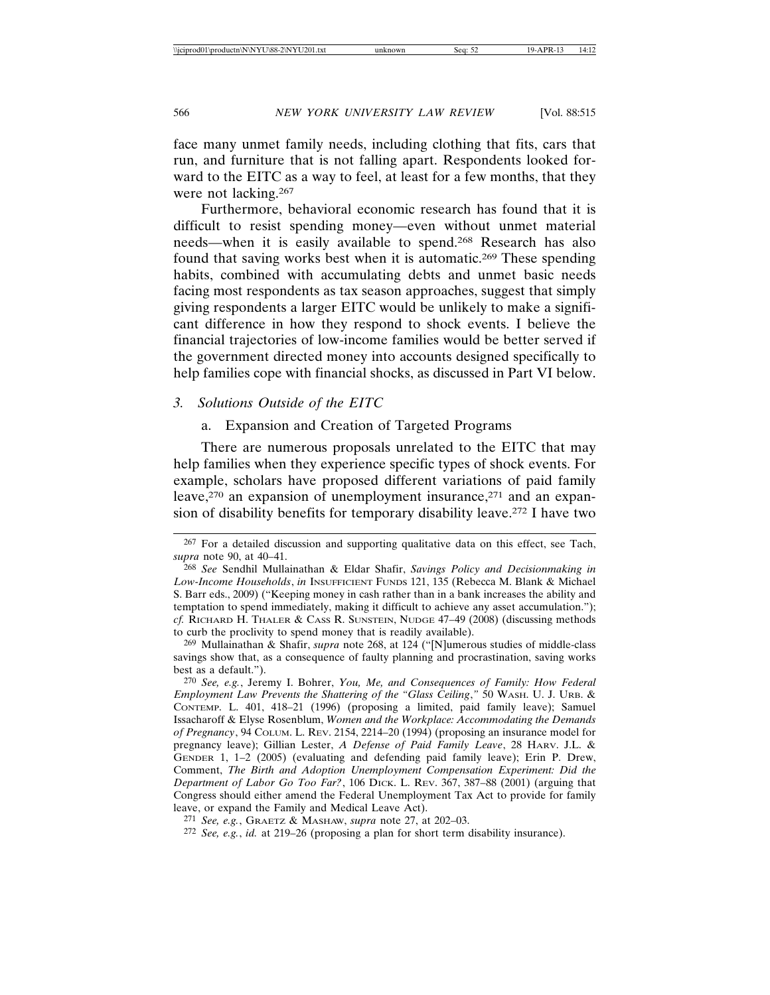face many unmet family needs, including clothing that fits, cars that run, and furniture that is not falling apart. Respondents looked forward to the EITC as a way to feel, at least for a few months, that they were not lacking.267

Furthermore, behavioral economic research has found that it is difficult to resist spending money—even without unmet material needs—when it is easily available to spend.268 Research has also found that saving works best when it is automatic.269 These spending habits, combined with accumulating debts and unmet basic needs facing most respondents as tax season approaches, suggest that simply giving respondents a larger EITC would be unlikely to make a significant difference in how they respond to shock events. I believe the financial trajectories of low-income families would be better served if the government directed money into accounts designed specifically to help families cope with financial shocks, as discussed in Part VI below.

### *3. Solutions Outside of the EITC*

### a. Expansion and Creation of Targeted Programs

There are numerous proposals unrelated to the EITC that may help families when they experience specific types of shock events. For example, scholars have proposed different variations of paid family leave,<sup>270</sup> an expansion of unemployment insurance,<sup>271</sup> and an expansion of disability benefits for temporary disability leave.272 I have two

269 Mullainathan & Shafir, *supra* note 268, at 124 ("[N]umerous studies of middle-class savings show that, as a consequence of faulty planning and procrastination, saving works best as a default.").

<sup>267</sup> For a detailed discussion and supporting qualitative data on this effect, see Tach, *supra* note 90, at 40–41.

<sup>268</sup> *See* Sendhil Mullainathan & Eldar Shafir, *Savings Policy and Decisionmaking in Low-Income Households*, *in* INSUFFICIENT FUNDS 121, 135 (Rebecca M. Blank & Michael S. Barr eds., 2009) ("Keeping money in cash rather than in a bank increases the ability and temptation to spend immediately, making it difficult to achieve any asset accumulation."); *cf.* RICHARD H. THALER & CASS R. SUNSTEIN, NUDGE 47–49 (2008) (discussing methods to curb the proclivity to spend money that is readily available).

<sup>270</sup> *See, e.g.*, Jeremy I. Bohrer, *You, Me, and Consequences of Family: How Federal Employment Law Prevents the Shattering of the "Glass Ceiling*,*"* 50 WASH. U. J. URB. & CONTEMP. L. 401, 418–21 (1996) (proposing a limited, paid family leave); Samuel Issacharoff & Elyse Rosenblum, *Women and the Workplace: Accommodating the Demands of Pregnancy*, 94 COLUM. L. REV. 2154, 2214–20 (1994) (proposing an insurance model for pregnancy leave); Gillian Lester, *A Defense of Paid Family Leave*, 28 HARV. J.L. & GENDER 1, 1–2 (2005) (evaluating and defending paid family leave); Erin P. Drew, Comment, *The Birth and Adoption Unemployment Compensation Experiment: Did the Department of Labor Go Too Far?*, 106 DICK. L. REV. 367, 387–88 (2001) (arguing that Congress should either amend the Federal Unemployment Tax Act to provide for family leave, or expand the Family and Medical Leave Act).

<sup>271</sup> *See, e.g.*, GRAETZ & MASHAW, *supra* note 27, at 202–03.

<sup>272</sup> *See, e.g.*, *id.* at 219–26 (proposing a plan for short term disability insurance).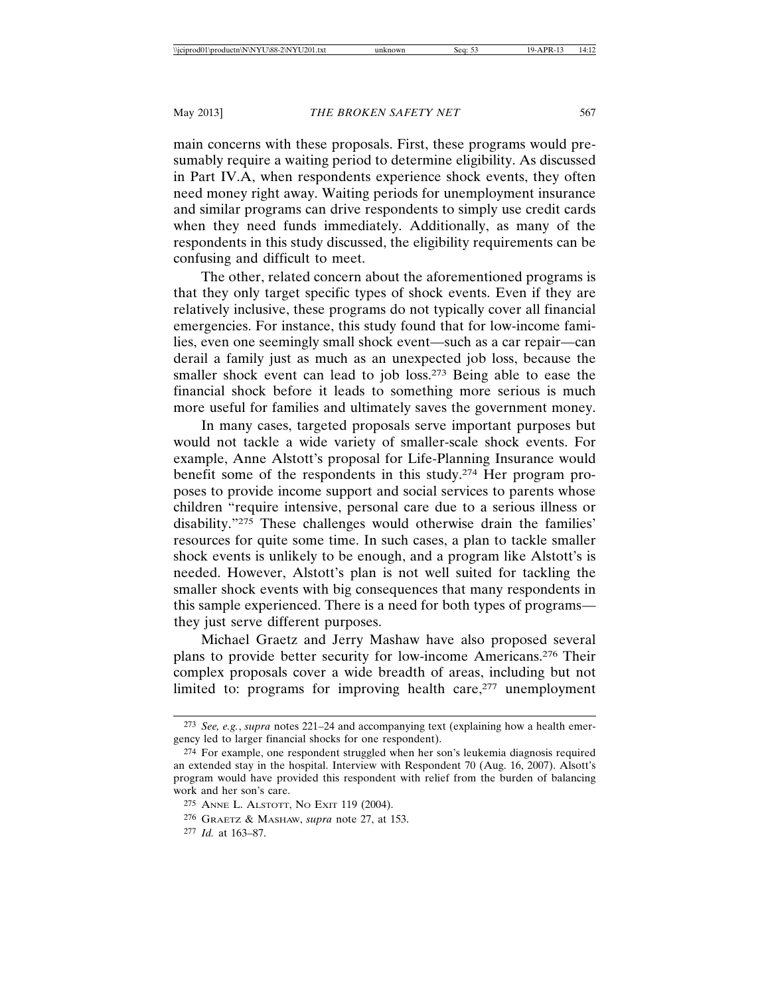main concerns with these proposals. First, these programs would presumably require a waiting period to determine eligibility. As discussed in Part IV.A, when respondents experience shock events, they often need money right away. Waiting periods for unemployment insurance and similar programs can drive respondents to simply use credit cards when they need funds immediately. Additionally, as many of the respondents in this study discussed, the eligibility requirements can be confusing and difficult to meet.

The other, related concern about the aforementioned programs is that they only target specific types of shock events. Even if they are relatively inclusive, these programs do not typically cover all financial emergencies. For instance, this study found that for low-income families, even one seemingly small shock event—such as a car repair—can derail a family just as much as an unexpected job loss, because the smaller shock event can lead to job loss.<sup>273</sup> Being able to ease the financial shock before it leads to something more serious is much more useful for families and ultimately saves the government money.

In many cases, targeted proposals serve important purposes but would not tackle a wide variety of smaller-scale shock events. For example, Anne Alstott's proposal for Life-Planning Insurance would benefit some of the respondents in this study.274 Her program proposes to provide income support and social services to parents whose children "require intensive, personal care due to a serious illness or disability."275 These challenges would otherwise drain the families' resources for quite some time. In such cases, a plan to tackle smaller shock events is unlikely to be enough, and a program like Alstott's is needed. However, Alstott's plan is not well suited for tackling the smaller shock events with big consequences that many respondents in this sample experienced. There is a need for both types of programs they just serve different purposes.

Michael Graetz and Jerry Mashaw have also proposed several plans to provide better security for low-income Americans.276 Their complex proposals cover a wide breadth of areas, including but not limited to: programs for improving health care,<sup>277</sup> unemployment

<sup>273</sup> *See, e.g.*, *supra* notes 221–24 and accompanying text (explaining how a health emergency led to larger financial shocks for one respondent).

<sup>274</sup> For example, one respondent struggled when her son's leukemia diagnosis required an extended stay in the hospital. Interview with Respondent 70 (Aug. 16, 2007). Alsott's program would have provided this respondent with relief from the burden of balancing work and her son's care.

<sup>275</sup> ANNE L. ALSTOTT, NO EXIT 119 (2004).

<sup>276</sup> GRAETZ & MASHAW, *supra* note 27, at 153.

<sup>277</sup> *Id.* at 163–87.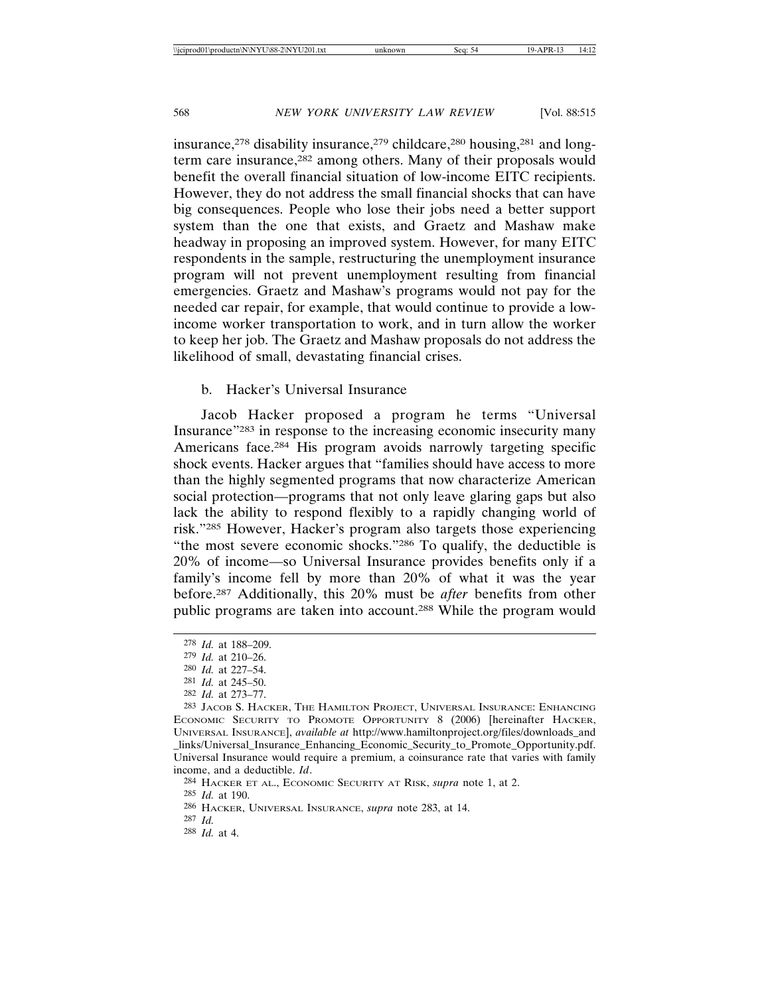insurance,<sup>278</sup> disability insurance,<sup>279</sup> childcare,<sup>280</sup> housing,<sup>281</sup> and longterm care insurance,<sup>282</sup> among others. Many of their proposals would benefit the overall financial situation of low-income EITC recipients. However, they do not address the small financial shocks that can have big consequences. People who lose their jobs need a better support system than the one that exists, and Graetz and Mashaw make headway in proposing an improved system. However, for many EITC respondents in the sample, restructuring the unemployment insurance program will not prevent unemployment resulting from financial emergencies. Graetz and Mashaw's programs would not pay for the needed car repair, for example, that would continue to provide a lowincome worker transportation to work, and in turn allow the worker to keep her job. The Graetz and Mashaw proposals do not address the likelihood of small, devastating financial crises.

#### b. Hacker's Universal Insurance

Jacob Hacker proposed a program he terms "Universal Insurance"283 in response to the increasing economic insecurity many Americans face.284 His program avoids narrowly targeting specific shock events. Hacker argues that "families should have access to more than the highly segmented programs that now characterize American social protection—programs that not only leave glaring gaps but also lack the ability to respond flexibly to a rapidly changing world of risk."285 However, Hacker's program also targets those experiencing "the most severe economic shocks."286 To qualify, the deductible is 20% of income—so Universal Insurance provides benefits only if a family's income fell by more than 20% of what it was the year before.287 Additionally, this 20% must be *after* benefits from other public programs are taken into account.288 While the program would

<sup>278</sup> *Id.* at 188–209.

<sup>279</sup> *Id.* at 210–26.

<sup>280</sup> *Id.* at 227–54.

<sup>281</sup> *Id.* at 245–50.

<sup>282</sup> *Id.* at 273–77.

<sup>283</sup> JACOB S. HACKER, THE HAMILTON PROJECT, UNIVERSAL INSURANCE: ENHANCING ECONOMIC SECURITY TO PROMOTE OPPORTUNITY 8 (2006) [hereinafter HACKER, UNIVERSAL INSURANCE], *available at* http://www.hamiltonproject.org/files/downloads\_and \_links/Universal\_Insurance\_Enhancing\_Economic\_Security\_to\_Promote\_Opportunity.pdf. Universal Insurance would require a premium, a coinsurance rate that varies with family income, and a deductible. *Id*.

<sup>284</sup> HACKER ET AL., ECONOMIC SECURITY AT RISK, *supra* note 1, at 2.

<sup>285</sup> *Id.* at 190.

<sup>286</sup> HACKER, UNIVERSAL INSURANCE, *supra* note 283, at 14.

<sup>287</sup> *Id.*

<sup>288</sup> *Id.* at 4.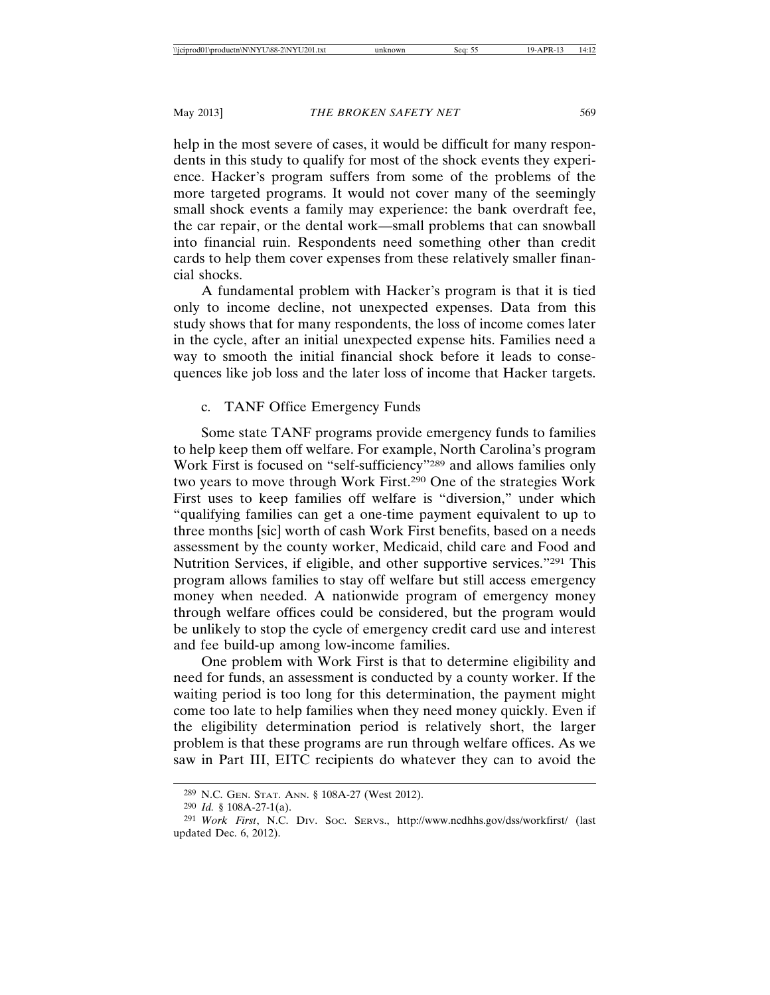help in the most severe of cases, it would be difficult for many respondents in this study to qualify for most of the shock events they experience. Hacker's program suffers from some of the problems of the more targeted programs. It would not cover many of the seemingly small shock events a family may experience: the bank overdraft fee, the car repair, or the dental work—small problems that can snowball into financial ruin. Respondents need something other than credit cards to help them cover expenses from these relatively smaller financial shocks.

A fundamental problem with Hacker's program is that it is tied only to income decline, not unexpected expenses. Data from this study shows that for many respondents, the loss of income comes later in the cycle, after an initial unexpected expense hits. Families need a way to smooth the initial financial shock before it leads to consequences like job loss and the later loss of income that Hacker targets.

## c. TANF Office Emergency Funds

Some state TANF programs provide emergency funds to families to help keep them off welfare. For example, North Carolina's program Work First is focused on "self-sufficiency"289 and allows families only two years to move through Work First.290 One of the strategies Work First uses to keep families off welfare is "diversion," under which "qualifying families can get a one-time payment equivalent to up to three months [sic] worth of cash Work First benefits, based on a needs assessment by the county worker, Medicaid, child care and Food and Nutrition Services, if eligible, and other supportive services."291 This program allows families to stay off welfare but still access emergency money when needed. A nationwide program of emergency money through welfare offices could be considered, but the program would be unlikely to stop the cycle of emergency credit card use and interest and fee build-up among low-income families.

One problem with Work First is that to determine eligibility and need for funds, an assessment is conducted by a county worker. If the waiting period is too long for this determination, the payment might come too late to help families when they need money quickly. Even if the eligibility determination period is relatively short, the larger problem is that these programs are run through welfare offices. As we saw in Part III, EITC recipients do whatever they can to avoid the

<sup>289</sup> N.C. GEN. STAT. ANN. § 108A-27 (West 2012).

<sup>290</sup> *Id.* § 108A-27-1(a).

<sup>291</sup> *Work First*, N.C. DIV. SOC. SERVS., http://www.ncdhhs.gov/dss/workfirst/ (last updated Dec. 6, 2012).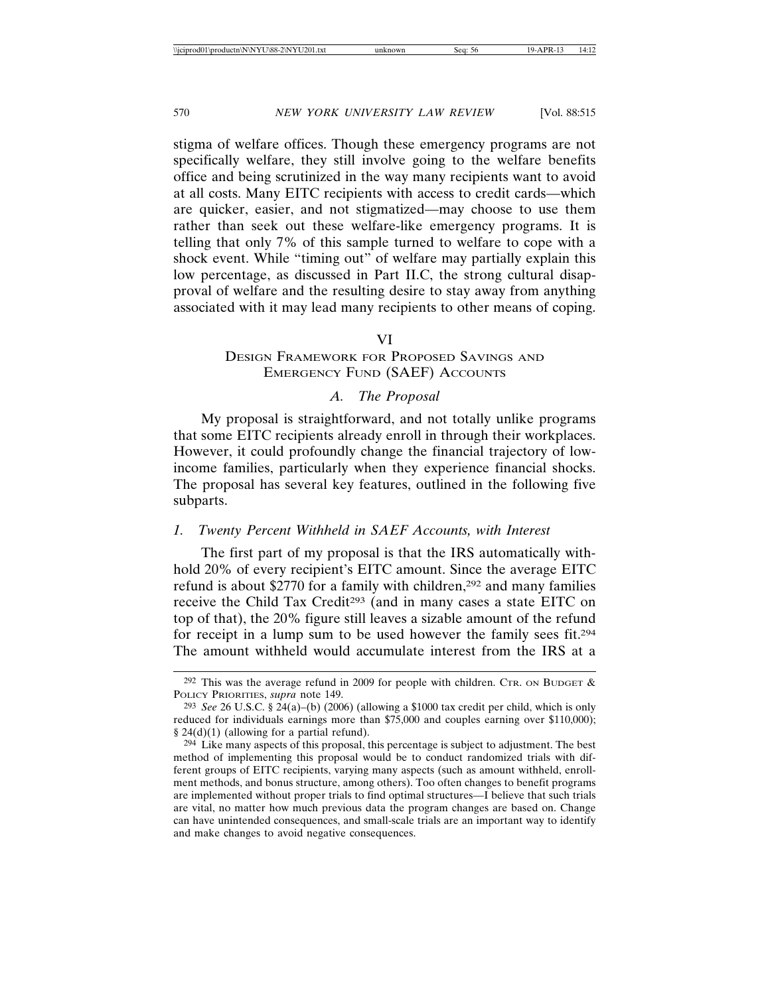stigma of welfare offices. Though these emergency programs are not specifically welfare, they still involve going to the welfare benefits office and being scrutinized in the way many recipients want to avoid at all costs. Many EITC recipients with access to credit cards—which are quicker, easier, and not stigmatized—may choose to use them rather than seek out these welfare-like emergency programs. It is telling that only 7% of this sample turned to welfare to cope with a shock event. While "timing out" of welfare may partially explain this low percentage, as discussed in Part II.C, the strong cultural disapproval of welfare and the resulting desire to stay away from anything associated with it may lead many recipients to other means of coping.

#### VI

### DESIGN FRAMEWORK FOR PROPOSED SAVINGS AND EMERGENCY FUND (SAEF) ACCOUNTS

#### *A. The Proposal*

My proposal is straightforward, and not totally unlike programs that some EITC recipients already enroll in through their workplaces. However, it could profoundly change the financial trajectory of lowincome families, particularly when they experience financial shocks. The proposal has several key features, outlined in the following five subparts.

## *1. Twenty Percent Withheld in SAEF Accounts, with Interest*

The first part of my proposal is that the IRS automatically withhold 20% of every recipient's EITC amount. Since the average EITC refund is about \$2770 for a family with children,<sup>292</sup> and many families receive the Child Tax Credit293 (and in many cases a state EITC on top of that), the 20% figure still leaves a sizable amount of the refund for receipt in a lump sum to be used however the family sees fit.294 The amount withheld would accumulate interest from the IRS at a

<sup>&</sup>lt;sup>292</sup> This was the average refund in 2009 for people with children. CTR. ON BUDGET  $\&$ POLICY PRIORITIES, *supra* note 149.

<sup>293</sup> *See* 26 U.S.C. § 24(a)–(b) (2006) (allowing a \$1000 tax credit per child, which is only reduced for individuals earnings more than \$75,000 and couples earning over \$110,000); § 24(d)(1) (allowing for a partial refund).

<sup>294</sup> Like many aspects of this proposal, this percentage is subject to adjustment. The best method of implementing this proposal would be to conduct randomized trials with different groups of EITC recipients, varying many aspects (such as amount withheld, enrollment methods, and bonus structure, among others). Too often changes to benefit programs are implemented without proper trials to find optimal structures—I believe that such trials are vital, no matter how much previous data the program changes are based on. Change can have unintended consequences, and small-scale trials are an important way to identify and make changes to avoid negative consequences.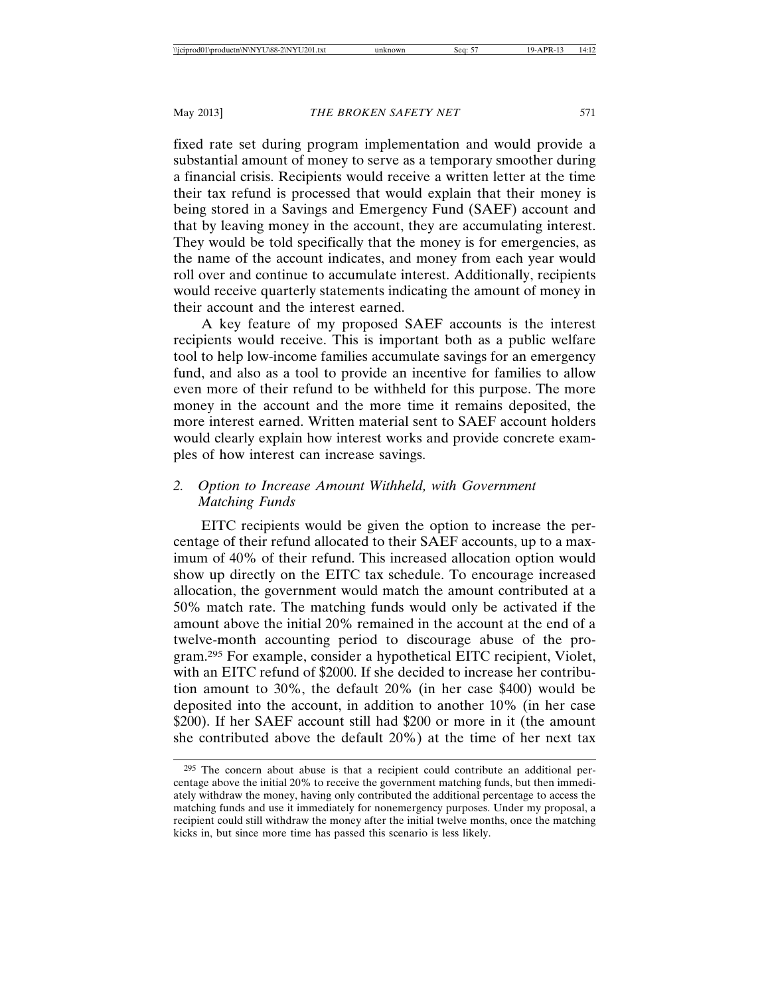fixed rate set during program implementation and would provide a substantial amount of money to serve as a temporary smoother during a financial crisis. Recipients would receive a written letter at the time their tax refund is processed that would explain that their money is being stored in a Savings and Emergency Fund (SAEF) account and that by leaving money in the account, they are accumulating interest. They would be told specifically that the money is for emergencies, as the name of the account indicates, and money from each year would roll over and continue to accumulate interest. Additionally, recipients would receive quarterly statements indicating the amount of money in their account and the interest earned.

A key feature of my proposed SAEF accounts is the interest recipients would receive. This is important both as a public welfare tool to help low-income families accumulate savings for an emergency fund, and also as a tool to provide an incentive for families to allow even more of their refund to be withheld for this purpose. The more money in the account and the more time it remains deposited, the more interest earned. Written material sent to SAEF account holders would clearly explain how interest works and provide concrete examples of how interest can increase savings.

## *2. Option to Increase Amount Withheld, with Government Matching Funds*

EITC recipients would be given the option to increase the percentage of their refund allocated to their SAEF accounts, up to a maximum of 40% of their refund. This increased allocation option would show up directly on the EITC tax schedule. To encourage increased allocation, the government would match the amount contributed at a 50% match rate. The matching funds would only be activated if the amount above the initial 20% remained in the account at the end of a twelve-month accounting period to discourage abuse of the program.295 For example, consider a hypothetical EITC recipient, Violet, with an EITC refund of \$2000. If she decided to increase her contribution amount to 30%, the default 20% (in her case \$400) would be deposited into the account, in addition to another 10% (in her case \$200). If her SAEF account still had \$200 or more in it (the amount she contributed above the default 20%) at the time of her next tax

<sup>295</sup> The concern about abuse is that a recipient could contribute an additional percentage above the initial 20% to receive the government matching funds, but then immediately withdraw the money, having only contributed the additional percentage to access the matching funds and use it immediately for nonemergency purposes. Under my proposal, a recipient could still withdraw the money after the initial twelve months, once the matching kicks in, but since more time has passed this scenario is less likely.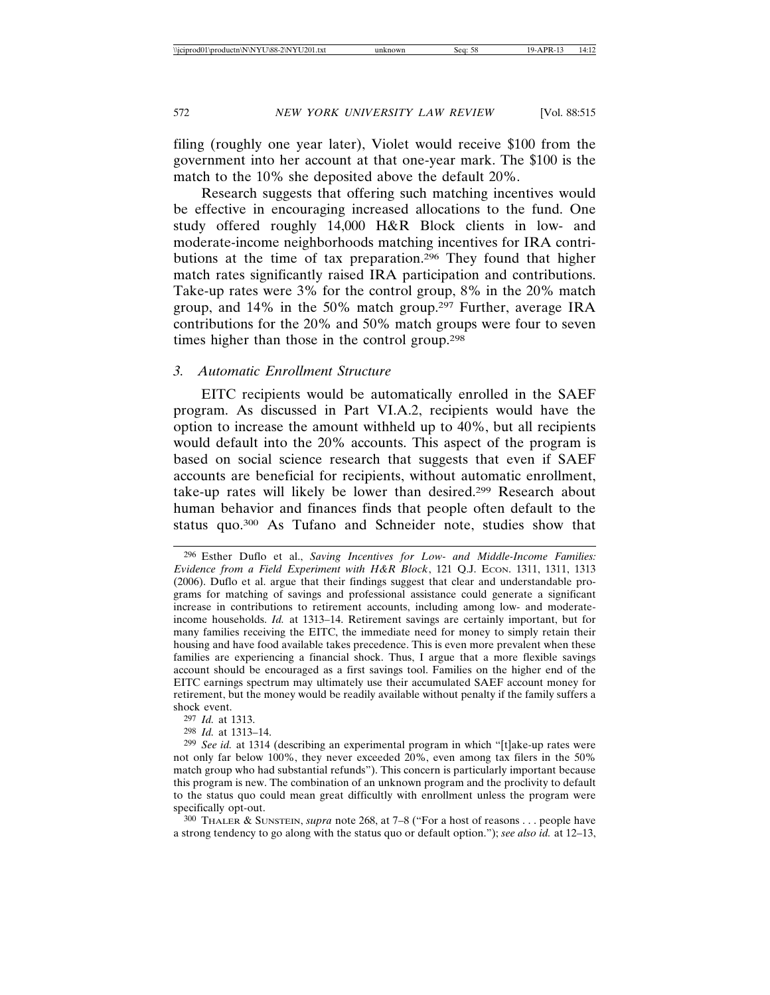filing (roughly one year later), Violet would receive \$100 from the government into her account at that one-year mark. The \$100 is the match to the 10% she deposited above the default 20%.

Research suggests that offering such matching incentives would be effective in encouraging increased allocations to the fund. One study offered roughly 14,000 H&R Block clients in low- and moderate-income neighborhoods matching incentives for IRA contributions at the time of tax preparation.296 They found that higher match rates significantly raised IRA participation and contributions. Take-up rates were 3% for the control group, 8% in the 20% match group, and 14% in the 50% match group.297 Further, average IRA contributions for the 20% and 50% match groups were four to seven times higher than those in the control group.298

#### *3. Automatic Enrollment Structure*

EITC recipients would be automatically enrolled in the SAEF program. As discussed in Part VI.A.2, recipients would have the option to increase the amount withheld up to 40%, but all recipients would default into the 20% accounts. This aspect of the program is based on social science research that suggests that even if SAEF accounts are beneficial for recipients, without automatic enrollment, take-up rates will likely be lower than desired.299 Research about human behavior and finances finds that people often default to the status quo.300 As Tufano and Schneider note, studies show that

298 *Id.* at 1313–14.

300 THALER & SUNSTEIN, *supra* note 268, at 7–8 ("For a host of reasons . . . people have a strong tendency to go along with the status quo or default option."); *see also id.* at 12–13,

<sup>296</sup> Esther Duflo et al., *Saving Incentives for Low- and Middle-Income Families: Evidence from a Field Experiment with H&R Block*, 121 Q.J. ECON. 1311, 1311, 1313 (2006). Duflo et al. argue that their findings suggest that clear and understandable programs for matching of savings and professional assistance could generate a significant increase in contributions to retirement accounts, including among low- and moderateincome households. *Id.* at 1313–14. Retirement savings are certainly important, but for many families receiving the EITC, the immediate need for money to simply retain their housing and have food available takes precedence. This is even more prevalent when these families are experiencing a financial shock. Thus, I argue that a more flexible savings account should be encouraged as a first savings tool. Families on the higher end of the EITC earnings spectrum may ultimately use their accumulated SAEF account money for retirement, but the money would be readily available without penalty if the family suffers a shock event.

<sup>297</sup> *Id.* at 1313.

<sup>299</sup> *See id.* at 1314 (describing an experimental program in which "[t]ake-up rates were not only far below 100%, they never exceeded 20%, even among tax filers in the 50% match group who had substantial refunds"). This concern is particularly important because this program is new. The combination of an unknown program and the proclivity to default to the status quo could mean great difficultly with enrollment unless the program were specifically opt-out.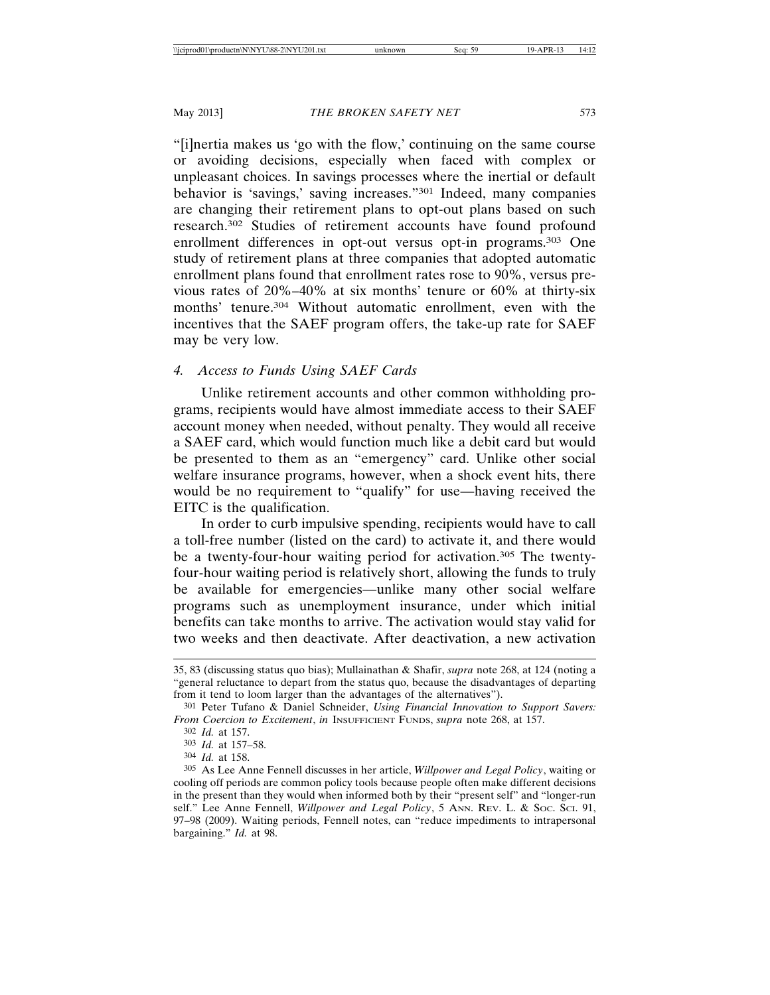"[i]nertia makes us 'go with the flow,' continuing on the same course or avoiding decisions, especially when faced with complex or unpleasant choices. In savings processes where the inertial or default behavior is 'savings,' saving increases."301 Indeed, many companies are changing their retirement plans to opt-out plans based on such research.302 Studies of retirement accounts have found profound enrollment differences in opt-out versus opt-in programs.<sup>303</sup> One study of retirement plans at three companies that adopted automatic enrollment plans found that enrollment rates rose to 90%, versus previous rates of 20%–40% at six months' tenure or 60% at thirty-six months' tenure.<sup>304</sup> Without automatic enrollment, even with the incentives that the SAEF program offers, the take-up rate for SAEF may be very low.

#### *4. Access to Funds Using SAEF Cards*

Unlike retirement accounts and other common withholding programs, recipients would have almost immediate access to their SAEF account money when needed, without penalty. They would all receive a SAEF card, which would function much like a debit card but would be presented to them as an "emergency" card. Unlike other social welfare insurance programs, however, when a shock event hits, there would be no requirement to "qualify" for use—having received the EITC is the qualification.

In order to curb impulsive spending, recipients would have to call a toll-free number (listed on the card) to activate it, and there would be a twenty-four-hour waiting period for activation.305 The twentyfour-hour waiting period is relatively short, allowing the funds to truly be available for emergencies—unlike many other social welfare programs such as unemployment insurance, under which initial benefits can take months to arrive. The activation would stay valid for two weeks and then deactivate. After deactivation, a new activation

- 303 *Id.* at 157–58.
- 304 *Id.* at 158.

<sup>35, 83 (</sup>discussing status quo bias); Mullainathan & Shafir, *supra* note 268, at 124 (noting a "general reluctance to depart from the status quo, because the disadvantages of departing from it tend to loom larger than the advantages of the alternatives").

<sup>301</sup> Peter Tufano & Daniel Schneider, *Using Financial Innovation to Support Savers: From Coercion to Excitement*, *in* INSUFFICIENT FUNDS, *supra* note 268, at 157.

<sup>302</sup> *Id.* at 157.

<sup>305</sup> As Lee Anne Fennell discusses in her article, *Willpower and Legal Policy*, waiting or cooling off periods are common policy tools because people often make different decisions in the present than they would when informed both by their "present self" and "longer-run self." Lee Anne Fennell, *Willpower and Legal Policy*, 5 ANN. REV. L. & Soc. Sci. 91, 97–98 (2009). Waiting periods, Fennell notes, can "reduce impediments to intrapersonal bargaining." *Id.* at 98.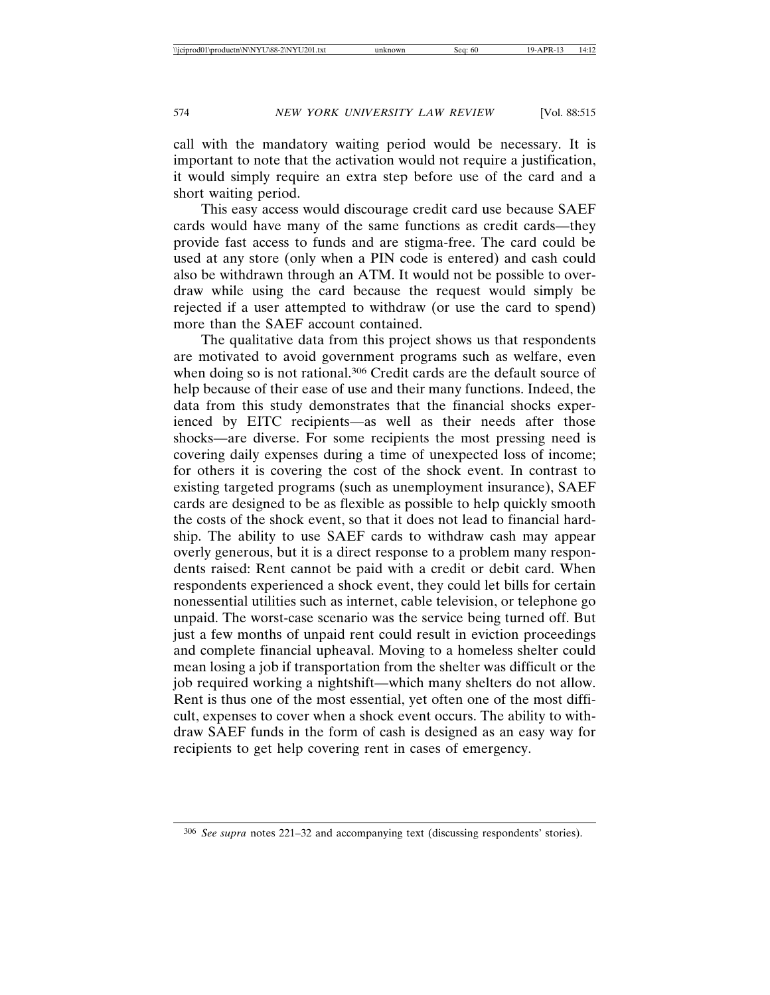call with the mandatory waiting period would be necessary. It is important to note that the activation would not require a justification, it would simply require an extra step before use of the card and a short waiting period.

This easy access would discourage credit card use because SAEF cards would have many of the same functions as credit cards—they provide fast access to funds and are stigma-free. The card could be used at any store (only when a PIN code is entered) and cash could also be withdrawn through an ATM. It would not be possible to overdraw while using the card because the request would simply be rejected if a user attempted to withdraw (or use the card to spend) more than the SAEF account contained.

The qualitative data from this project shows us that respondents are motivated to avoid government programs such as welfare, even when doing so is not rational.<sup>306</sup> Credit cards are the default source of help because of their ease of use and their many functions. Indeed, the data from this study demonstrates that the financial shocks experienced by EITC recipients—as well as their needs after those shocks—are diverse. For some recipients the most pressing need is covering daily expenses during a time of unexpected loss of income; for others it is covering the cost of the shock event. In contrast to existing targeted programs (such as unemployment insurance), SAEF cards are designed to be as flexible as possible to help quickly smooth the costs of the shock event, so that it does not lead to financial hardship. The ability to use SAEF cards to withdraw cash may appear overly generous, but it is a direct response to a problem many respondents raised: Rent cannot be paid with a credit or debit card. When respondents experienced a shock event, they could let bills for certain nonessential utilities such as internet, cable television, or telephone go unpaid. The worst-case scenario was the service being turned off. But just a few months of unpaid rent could result in eviction proceedings and complete financial upheaval. Moving to a homeless shelter could mean losing a job if transportation from the shelter was difficult or the job required working a nightshift—which many shelters do not allow. Rent is thus one of the most essential, yet often one of the most difficult, expenses to cover when a shock event occurs. The ability to withdraw SAEF funds in the form of cash is designed as an easy way for recipients to get help covering rent in cases of emergency.

<sup>306</sup> *See supra* notes 221–32 and accompanying text (discussing respondents' stories).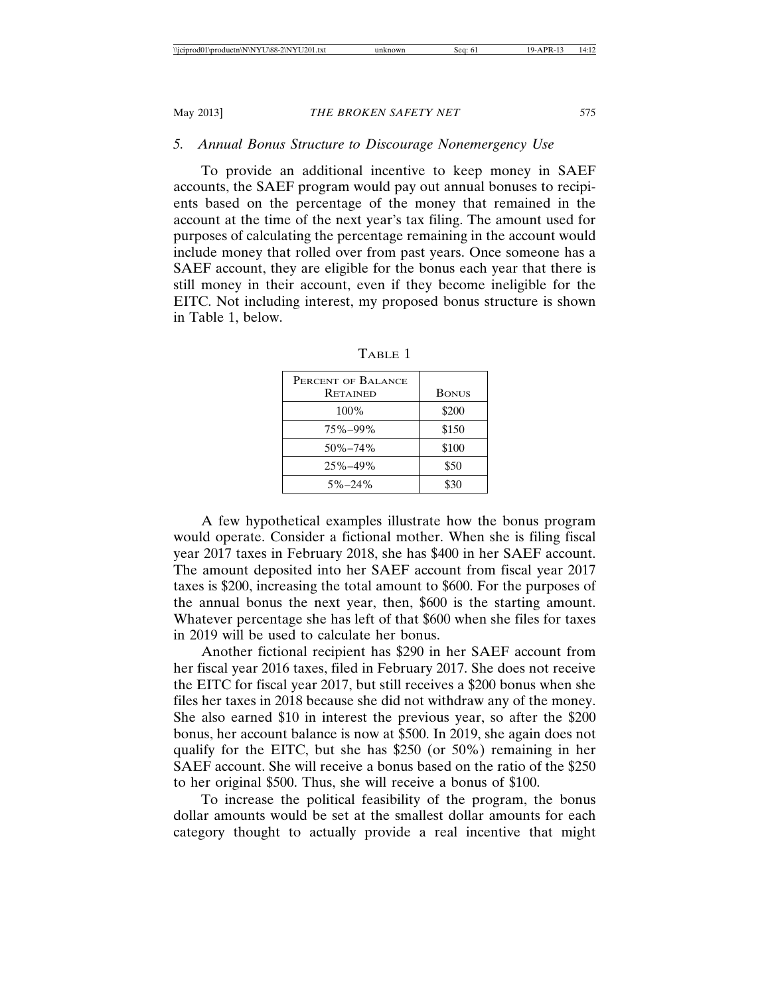#### *5. Annual Bonus Structure to Discourage Nonemergency Use*

To provide an additional incentive to keep money in SAEF accounts, the SAEF program would pay out annual bonuses to recipients based on the percentage of the money that remained in the account at the time of the next year's tax filing. The amount used for purposes of calculating the percentage remaining in the account would include money that rolled over from past years. Once someone has a SAEF account, they are eligible for the bonus each year that there is still money in their account, even if they become ineligible for the EITC. Not including interest, my proposed bonus structure is shown in Table 1, below.

| PERCENT OF BALANCE |              |
|--------------------|--------------|
| <b>RETAINED</b>    | <b>BONUS</b> |
| $100\%$            | \$200        |
| 75%-99%            | \$150        |
| $50\% - 74\%$      | \$100        |
| 25%-49%            | \$50         |
| $5\% - 24\%$       | \$30         |

TABLE 1

A few hypothetical examples illustrate how the bonus program would operate. Consider a fictional mother. When she is filing fiscal year 2017 taxes in February 2018, she has \$400 in her SAEF account. The amount deposited into her SAEF account from fiscal year 2017 taxes is \$200, increasing the total amount to \$600. For the purposes of the annual bonus the next year, then, \$600 is the starting amount. Whatever percentage she has left of that \$600 when she files for taxes in 2019 will be used to calculate her bonus.

Another fictional recipient has \$290 in her SAEF account from her fiscal year 2016 taxes, filed in February 2017. She does not receive the EITC for fiscal year 2017, but still receives a \$200 bonus when she files her taxes in 2018 because she did not withdraw any of the money. She also earned \$10 in interest the previous year, so after the \$200 bonus, her account balance is now at \$500. In 2019, she again does not qualify for the EITC, but she has \$250 (or 50%) remaining in her SAEF account. She will receive a bonus based on the ratio of the \$250 to her original \$500. Thus, she will receive a bonus of \$100.

To increase the political feasibility of the program, the bonus dollar amounts would be set at the smallest dollar amounts for each category thought to actually provide a real incentive that might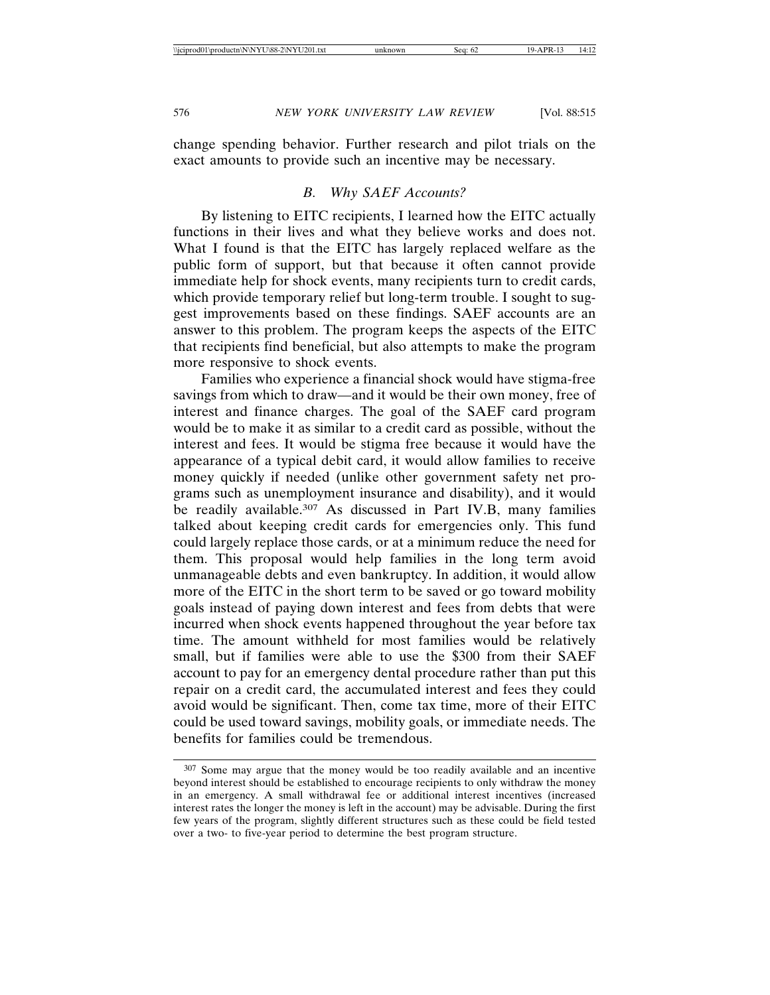change spending behavior. Further research and pilot trials on the exact amounts to provide such an incentive may be necessary.

#### *B. Why SAEF Accounts?*

By listening to EITC recipients, I learned how the EITC actually functions in their lives and what they believe works and does not. What I found is that the EITC has largely replaced welfare as the public form of support, but that because it often cannot provide immediate help for shock events, many recipients turn to credit cards, which provide temporary relief but long-term trouble. I sought to suggest improvements based on these findings. SAEF accounts are an answer to this problem. The program keeps the aspects of the EITC that recipients find beneficial, but also attempts to make the program more responsive to shock events.

Families who experience a financial shock would have stigma-free savings from which to draw—and it would be their own money, free of interest and finance charges. The goal of the SAEF card program would be to make it as similar to a credit card as possible, without the interest and fees. It would be stigma free because it would have the appearance of a typical debit card, it would allow families to receive money quickly if needed (unlike other government safety net programs such as unemployment insurance and disability), and it would be readily available.<sup>307</sup> As discussed in Part IV.B, many families talked about keeping credit cards for emergencies only. This fund could largely replace those cards, or at a minimum reduce the need for them. This proposal would help families in the long term avoid unmanageable debts and even bankruptcy. In addition, it would allow more of the EITC in the short term to be saved or go toward mobility goals instead of paying down interest and fees from debts that were incurred when shock events happened throughout the year before tax time. The amount withheld for most families would be relatively small, but if families were able to use the \$300 from their SAEF account to pay for an emergency dental procedure rather than put this repair on a credit card, the accumulated interest and fees they could avoid would be significant. Then, come tax time, more of their EITC could be used toward savings, mobility goals, or immediate needs. The benefits for families could be tremendous.

<sup>307</sup> Some may argue that the money would be too readily available and an incentive beyond interest should be established to encourage recipients to only withdraw the money in an emergency. A small withdrawal fee or additional interest incentives (increased interest rates the longer the money is left in the account) may be advisable. During the first few years of the program, slightly different structures such as these could be field tested over a two- to five-year period to determine the best program structure.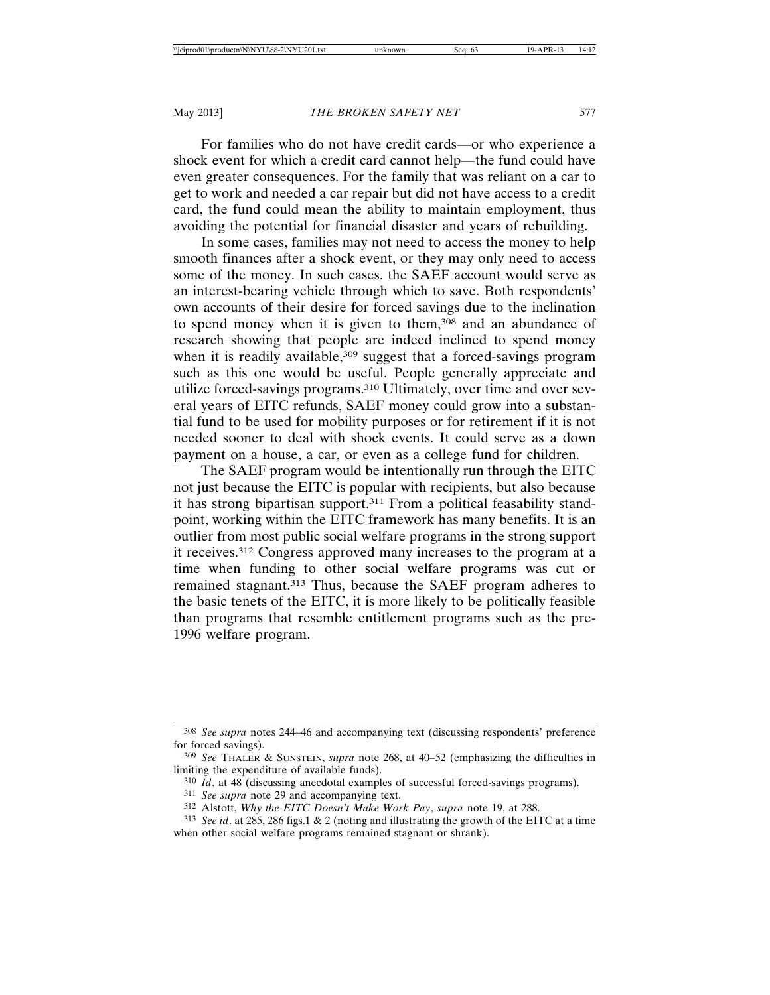For families who do not have credit cards—or who experience a shock event for which a credit card cannot help—the fund could have even greater consequences. For the family that was reliant on a car to get to work and needed a car repair but did not have access to a credit card, the fund could mean the ability to maintain employment, thus avoiding the potential for financial disaster and years of rebuilding.

In some cases, families may not need to access the money to help smooth finances after a shock event, or they may only need to access some of the money. In such cases, the SAEF account would serve as an interest-bearing vehicle through which to save. Both respondents' own accounts of their desire for forced savings due to the inclination to spend money when it is given to them,<sup>308</sup> and an abundance of research showing that people are indeed inclined to spend money when it is readily available,<sup>309</sup> suggest that a forced-savings program such as this one would be useful. People generally appreciate and utilize forced-savings programs.310 Ultimately, over time and over several years of EITC refunds, SAEF money could grow into a substantial fund to be used for mobility purposes or for retirement if it is not needed sooner to deal with shock events. It could serve as a down payment on a house, a car, or even as a college fund for children.

The SAEF program would be intentionally run through the EITC not just because the EITC is popular with recipients, but also because it has strong bipartisan support.311 From a political feasability standpoint, working within the EITC framework has many benefits. It is an outlier from most public social welfare programs in the strong support it receives.312 Congress approved many increases to the program at a time when funding to other social welfare programs was cut or remained stagnant.313 Thus, because the SAEF program adheres to the basic tenets of the EITC, it is more likely to be politically feasible than programs that resemble entitlement programs such as the pre-1996 welfare program.

<sup>308</sup> *See supra* notes 244–46 and accompanying text (discussing respondents' preference for forced savings).

<sup>309</sup> *See* THALER & SUNSTEIN, *supra* note 268, at 40–52 (emphasizing the difficulties in limiting the expenditure of available funds).

<sup>310</sup> *Id*. at 48 (discussing anecdotal examples of successful forced-savings programs).

<sup>311</sup> *See supra* note 29 and accompanying text.

<sup>312</sup> Alstott, *Why the EITC Doesn't Make Work Pay*, *supra* note 19, at 288.

<sup>313</sup> *See id*. at 285, 286 figs.1 & 2 (noting and illustrating the growth of the EITC at a time when other social welfare programs remained stagnant or shrank).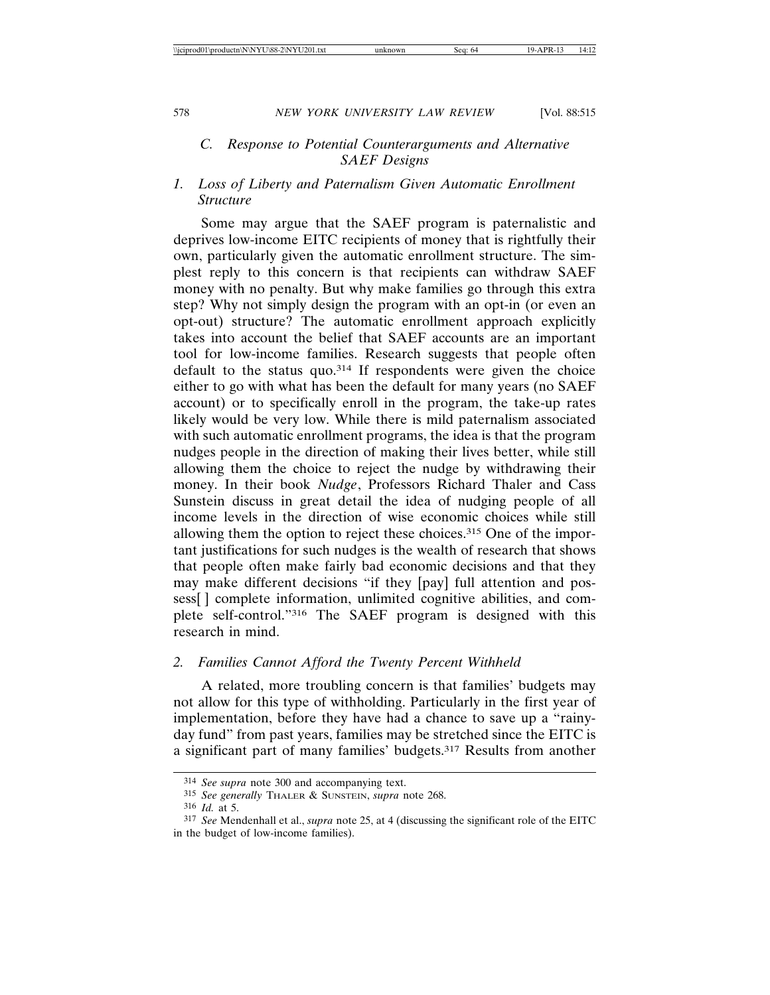## *C. Response to Potential Counterarguments and Alternative SAEF Designs*

## *1. Loss of Liberty and Paternalism Given Automatic Enrollment Structure*

Some may argue that the SAEF program is paternalistic and deprives low-income EITC recipients of money that is rightfully their own, particularly given the automatic enrollment structure. The simplest reply to this concern is that recipients can withdraw SAEF money with no penalty. But why make families go through this extra step? Why not simply design the program with an opt-in (or even an opt-out) structure? The automatic enrollment approach explicitly takes into account the belief that SAEF accounts are an important tool for low-income families. Research suggests that people often default to the status quo.314 If respondents were given the choice either to go with what has been the default for many years (no SAEF account) or to specifically enroll in the program, the take-up rates likely would be very low. While there is mild paternalism associated with such automatic enrollment programs, the idea is that the program nudges people in the direction of making their lives better, while still allowing them the choice to reject the nudge by withdrawing their money. In their book *Nudge*, Professors Richard Thaler and Cass Sunstein discuss in great detail the idea of nudging people of all income levels in the direction of wise economic choices while still allowing them the option to reject these choices.315 One of the important justifications for such nudges is the wealth of research that shows that people often make fairly bad economic decisions and that they may make different decisions "if they [pay] full attention and possess[ ] complete information, unlimited cognitive abilities, and complete self-control."316 The SAEF program is designed with this research in mind.

### *2. Families Cannot Afford the Twenty Percent Withheld*

A related, more troubling concern is that families' budgets may not allow for this type of withholding. Particularly in the first year of implementation, before they have had a chance to save up a "rainyday fund" from past years, families may be stretched since the EITC is a significant part of many families' budgets.317 Results from another

<sup>314</sup> *See supra* note 300 and accompanying text.

<sup>315</sup> *See generally* THALER & SUNSTEIN, *supra* note 268.

<sup>316</sup> *Id.* at 5.

<sup>317</sup> *See* Mendenhall et al., *supra* note 25, at 4 (discussing the significant role of the EITC in the budget of low-income families).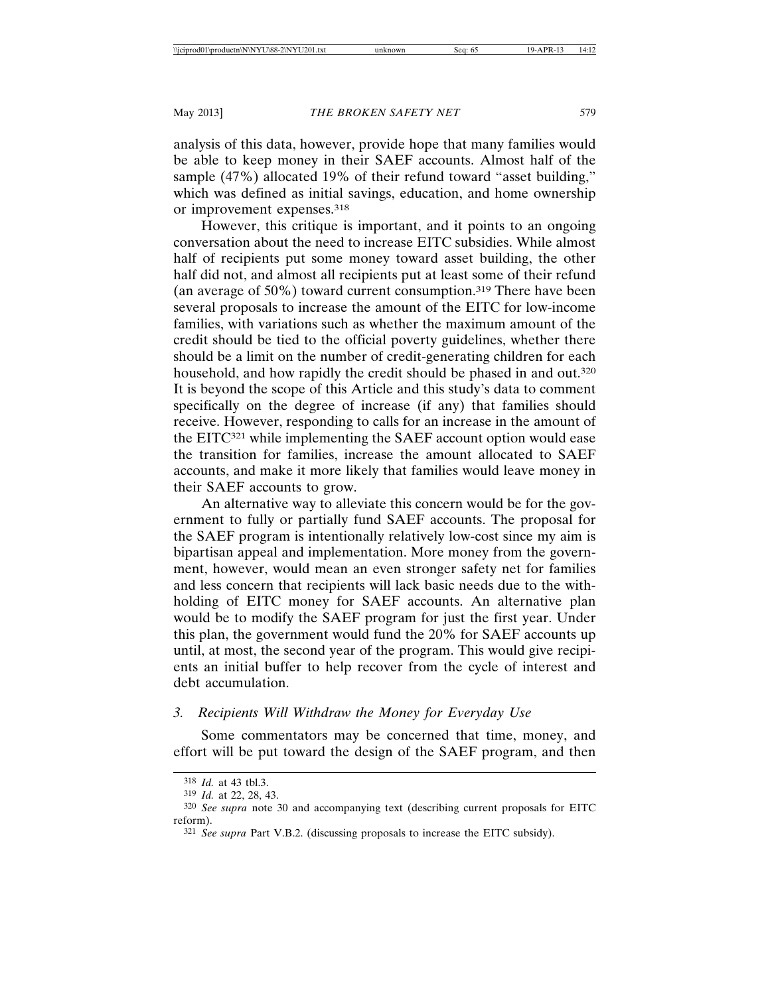analysis of this data, however, provide hope that many families would be able to keep money in their SAEF accounts. Almost half of the sample (47%) allocated 19% of their refund toward "asset building," which was defined as initial savings, education, and home ownership or improvement expenses.318

However, this critique is important, and it points to an ongoing conversation about the need to increase EITC subsidies. While almost half of recipients put some money toward asset building, the other half did not, and almost all recipients put at least some of their refund (an average of 50%) toward current consumption.319 There have been several proposals to increase the amount of the EITC for low-income families, with variations such as whether the maximum amount of the credit should be tied to the official poverty guidelines, whether there should be a limit on the number of credit-generating children for each household, and how rapidly the credit should be phased in and out.<sup>320</sup> It is beyond the scope of this Article and this study's data to comment specifically on the degree of increase (if any) that families should receive. However, responding to calls for an increase in the amount of the EITC321 while implementing the SAEF account option would ease the transition for families, increase the amount allocated to SAEF accounts, and make it more likely that families would leave money in their SAEF accounts to grow.

An alternative way to alleviate this concern would be for the government to fully or partially fund SAEF accounts. The proposal for the SAEF program is intentionally relatively low-cost since my aim is bipartisan appeal and implementation. More money from the government, however, would mean an even stronger safety net for families and less concern that recipients will lack basic needs due to the withholding of EITC money for SAEF accounts. An alternative plan would be to modify the SAEF program for just the first year. Under this plan, the government would fund the 20% for SAEF accounts up until, at most, the second year of the program. This would give recipients an initial buffer to help recover from the cycle of interest and debt accumulation.

## *3. Recipients Will Withdraw the Money for Everyday Use*

Some commentators may be concerned that time, money, and effort will be put toward the design of the SAEF program, and then

<sup>318</sup> *Id.* at 43 tbl.3.

<sup>319</sup> *Id.* at 22, 28, 43.

<sup>320</sup> *See supra* note 30 and accompanying text (describing current proposals for EITC reform).

<sup>321</sup> *See supra* Part V.B.2. (discussing proposals to increase the EITC subsidy).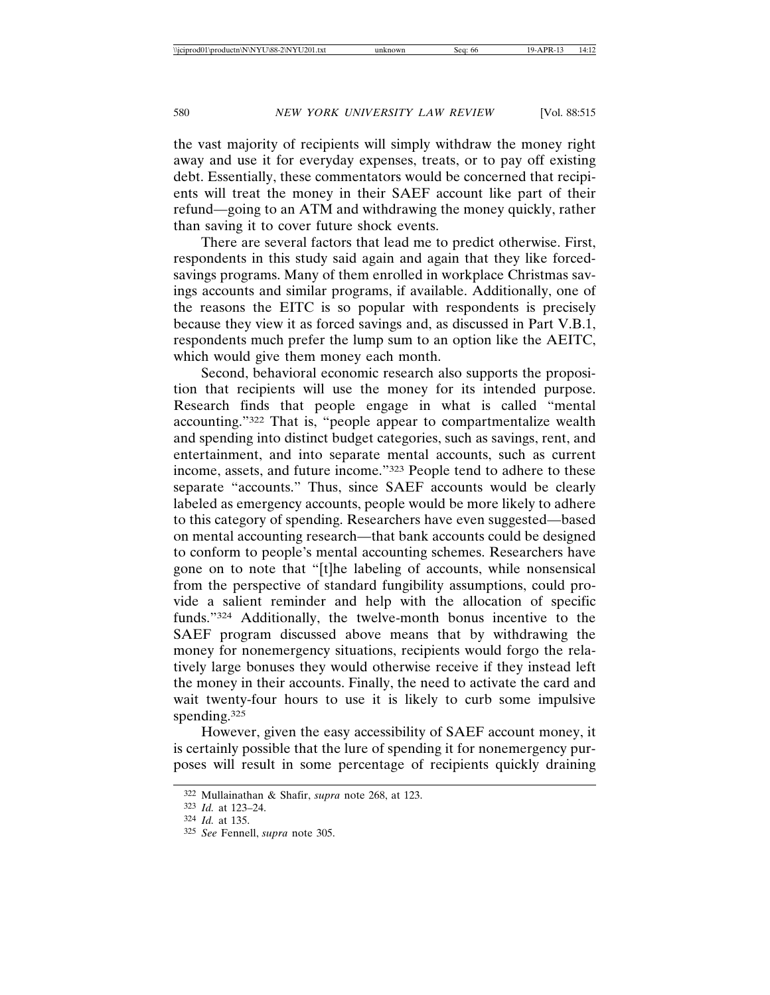the vast majority of recipients will simply withdraw the money right away and use it for everyday expenses, treats, or to pay off existing debt. Essentially, these commentators would be concerned that recipients will treat the money in their SAEF account like part of their refund—going to an ATM and withdrawing the money quickly, rather than saving it to cover future shock events.

There are several factors that lead me to predict otherwise. First, respondents in this study said again and again that they like forcedsavings programs. Many of them enrolled in workplace Christmas savings accounts and similar programs, if available. Additionally, one of the reasons the EITC is so popular with respondents is precisely because they view it as forced savings and, as discussed in Part V.B.1, respondents much prefer the lump sum to an option like the AEITC, which would give them money each month.

Second, behavioral economic research also supports the proposition that recipients will use the money for its intended purpose. Research finds that people engage in what is called "mental accounting."322 That is, "people appear to compartmentalize wealth and spending into distinct budget categories, such as savings, rent, and entertainment, and into separate mental accounts, such as current income, assets, and future income."323 People tend to adhere to these separate "accounts." Thus, since SAEF accounts would be clearly labeled as emergency accounts, people would be more likely to adhere to this category of spending. Researchers have even suggested—based on mental accounting research—that bank accounts could be designed to conform to people's mental accounting schemes. Researchers have gone on to note that "[t]he labeling of accounts, while nonsensical from the perspective of standard fungibility assumptions, could provide a salient reminder and help with the allocation of specific funds."324 Additionally, the twelve-month bonus incentive to the SAEF program discussed above means that by withdrawing the money for nonemergency situations, recipients would forgo the relatively large bonuses they would otherwise receive if they instead left the money in their accounts. Finally, the need to activate the card and wait twenty-four hours to use it is likely to curb some impulsive spending.325

However, given the easy accessibility of SAEF account money, it is certainly possible that the lure of spending it for nonemergency purposes will result in some percentage of recipients quickly draining

<sup>322</sup> Mullainathan & Shafir, *supra* note 268, at 123.

<sup>323</sup> *Id.* at 123–24.

<sup>324</sup> *Id.* at 135.

<sup>325</sup> *See* Fennell, *supra* note 305.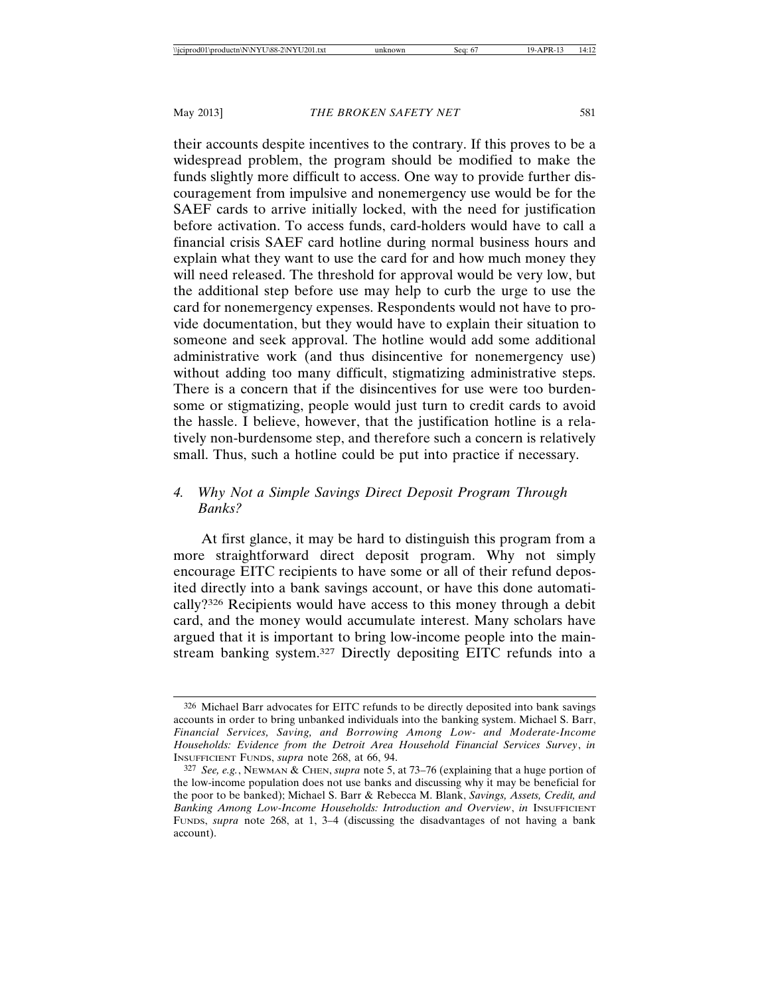their accounts despite incentives to the contrary. If this proves to be a widespread problem, the program should be modified to make the funds slightly more difficult to access. One way to provide further discouragement from impulsive and nonemergency use would be for the SAEF cards to arrive initially locked, with the need for justification before activation. To access funds, card-holders would have to call a financial crisis SAEF card hotline during normal business hours and explain what they want to use the card for and how much money they will need released. The threshold for approval would be very low, but the additional step before use may help to curb the urge to use the card for nonemergency expenses. Respondents would not have to provide documentation, but they would have to explain their situation to someone and seek approval. The hotline would add some additional administrative work (and thus disincentive for nonemergency use) without adding too many difficult, stigmatizing administrative steps. There is a concern that if the disincentives for use were too burdensome or stigmatizing, people would just turn to credit cards to avoid the hassle. I believe, however, that the justification hotline is a relatively non-burdensome step, and therefore such a concern is relatively small. Thus, such a hotline could be put into practice if necessary.

## *4. Why Not a Simple Savings Direct Deposit Program Through Banks?*

At first glance, it may be hard to distinguish this program from a more straightforward direct deposit program. Why not simply encourage EITC recipients to have some or all of their refund deposited directly into a bank savings account, or have this done automatically?326 Recipients would have access to this money through a debit card, and the money would accumulate interest. Many scholars have argued that it is important to bring low-income people into the mainstream banking system.327 Directly depositing EITC refunds into a

<sup>326</sup> Michael Barr advocates for EITC refunds to be directly deposited into bank savings accounts in order to bring unbanked individuals into the banking system. Michael S. Barr, *Financial Services, Saving, and Borrowing Among Low- and Moderate-Income Households: Evidence from the Detroit Area Household Financial Services Survey*, *in* INSUFFICIENT FUNDS, *supra* note 268, at 66, 94.

<sup>327</sup> *See, e.g.*, NEWMAN & CHEN, *supra* note 5, at 73–76 (explaining that a huge portion of the low-income population does not use banks and discussing why it may be beneficial for the poor to be banked); Michael S. Barr & Rebecca M. Blank, *Savings, Assets, Credit, and Banking Among Low-Income Households: Introduction and Overview*, *in* INSUFFICIENT FUNDS, *supra* note 268, at 1, 3–4 (discussing the disadvantages of not having a bank account).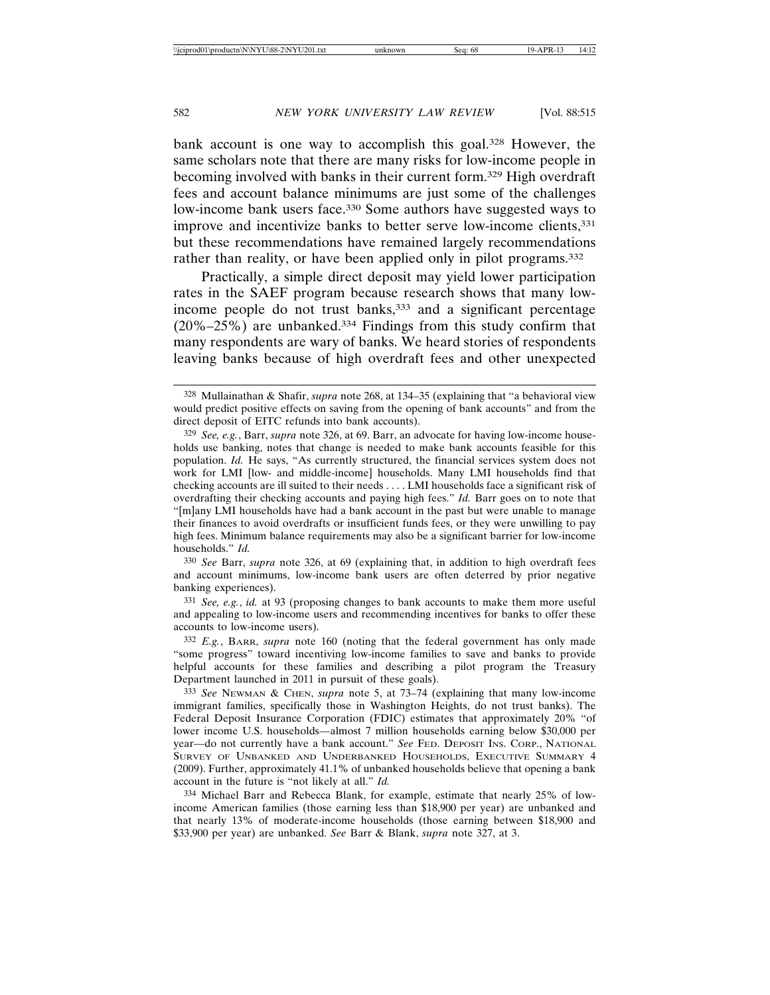bank account is one way to accomplish this goal.<sup>328</sup> However, the same scholars note that there are many risks for low-income people in becoming involved with banks in their current form.329 High overdraft fees and account balance minimums are just some of the challenges low-income bank users face.<sup>330</sup> Some authors have suggested ways to improve and incentivize banks to better serve low-income clients, 331 but these recommendations have remained largely recommendations rather than reality, or have been applied only in pilot programs.<sup>332</sup>

Practically, a simple direct deposit may yield lower participation rates in the SAEF program because research shows that many lowincome people do not trust banks,<sup>333</sup> and a significant percentage (20%–25%) are unbanked.334 Findings from this study confirm that many respondents are wary of banks. We heard stories of respondents leaving banks because of high overdraft fees and other unexpected

330 *See* Barr, *supra* note 326, at 69 (explaining that, in addition to high overdraft fees and account minimums, low-income bank users are often deterred by prior negative banking experiences).

331 *See, e.g.*, *id.* at 93 (proposing changes to bank accounts to make them more useful and appealing to low-income users and recommending incentives for banks to offer these accounts to low-income users).

332 *E.g.*, BARR, *supra* note 160 (noting that the federal government has only made "some progress" toward incentiving low-income families to save and banks to provide helpful accounts for these families and describing a pilot program the Treasury Department launched in 2011 in pursuit of these goals).

333 *See* NEWMAN & CHEN, *supra* note 5, at 73–74 (explaining that many low-income immigrant families, specifically those in Washington Heights, do not trust banks). The Federal Deposit Insurance Corporation (FDIC) estimates that approximately 20% "of lower income U.S. households—almost 7 million households earning below \$30,000 per year—do not currently have a bank account." *See* FED. DEPOSIT INS. CORP., NATIONAL SURVEY OF UNBANKED AND UNDERBANKED HOUSEHOLDS, EXECUTIVE SUMMARY 4 (2009). Further, approximately 41.1% of unbanked households believe that opening a bank account in the future is "not likely at all." *Id.*

334 Michael Barr and Rebecca Blank, for example, estimate that nearly 25% of lowincome American families (those earning less than \$18,900 per year) are unbanked and that nearly 13% of moderate-income households (those earning between \$18,900 and \$33,900 per year) are unbanked. *See* Barr & Blank, *supra* note 327, at 3.

<sup>328</sup> Mullainathan & Shafir, *supra* note 268, at 134–35 (explaining that "a behavioral view would predict positive effects on saving from the opening of bank accounts" and from the direct deposit of EITC refunds into bank accounts).

<sup>329</sup> *See, e.g.*, Barr, *supra* note 326, at 69. Barr, an advocate for having low-income households use banking, notes that change is needed to make bank accounts feasible for this population. *Id.* He says, "As currently structured, the financial services system does not work for LMI [low- and middle-income] households. Many LMI households find that checking accounts are ill suited to their needs . . . . LMI households face a significant risk of overdrafting their checking accounts and paying high fees." *Id.* Barr goes on to note that "[m]any LMI households have had a bank account in the past but were unable to manage their finances to avoid overdrafts or insufficient funds fees, or they were unwilling to pay high fees. Minimum balance requirements may also be a significant barrier for low-income households." *Id.*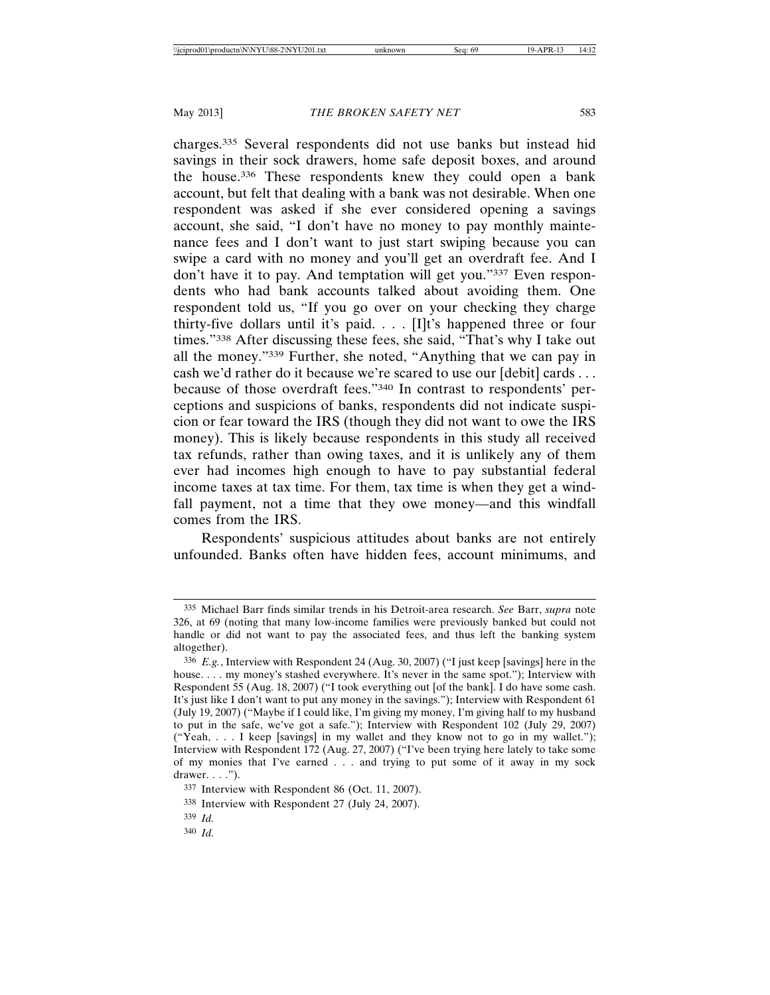charges.335 Several respondents did not use banks but instead hid savings in their sock drawers, home safe deposit boxes, and around the house.336 These respondents knew they could open a bank account, but felt that dealing with a bank was not desirable. When one respondent was asked if she ever considered opening a savings account, she said, "I don't have no money to pay monthly maintenance fees and I don't want to just start swiping because you can swipe a card with no money and you'll get an overdraft fee. And I don't have it to pay. And temptation will get you."337 Even respondents who had bank accounts talked about avoiding them. One respondent told us, "If you go over on your checking they charge thirty-five dollars until it's paid. . . . [I]t's happened three or four times."338 After discussing these fees, she said, "That's why I take out all the money."339 Further, she noted, "Anything that we can pay in cash we'd rather do it because we're scared to use our [debit] cards . . . because of those overdraft fees."340 In contrast to respondents' perceptions and suspicions of banks, respondents did not indicate suspicion or fear toward the IRS (though they did not want to owe the IRS money). This is likely because respondents in this study all received tax refunds, rather than owing taxes, and it is unlikely any of them ever had incomes high enough to have to pay substantial federal income taxes at tax time. For them, tax time is when they get a windfall payment, not a time that they owe money—and this windfall comes from the IRS.

Respondents' suspicious attitudes about banks are not entirely unfounded. Banks often have hidden fees, account minimums, and

<sup>335</sup> Michael Barr finds similar trends in his Detroit-area research. *See* Barr, *supra* note 326, at 69 (noting that many low-income families were previously banked but could not handle or did not want to pay the associated fees, and thus left the banking system altogether).

<sup>336</sup> *E.g.*, Interview with Respondent 24 (Aug. 30, 2007) ("I just keep [savings] here in the house. . . . my money's stashed everywhere. It's never in the same spot."); Interview with Respondent 55 (Aug. 18, 2007) ("I took everything out [of the bank]. I do have some cash. It's just like I don't want to put any money in the savings."); Interview with Respondent 61 (July 19, 2007) ("Maybe if I could like, I'm giving my money, I'm giving half to my husband to put in the safe, we've got a safe."); Interview with Respondent 102 (July 29, 2007) ("Yeah, . . . I keep [savings] in my wallet and they know not to go in my wallet."); Interview with Respondent 172 (Aug. 27, 2007) ("I've been trying here lately to take some of my monies that I've earned . . . and trying to put some of it away in my sock drawer.  $\dots$ .").

<sup>337</sup> Interview with Respondent 86 (Oct. 11, 2007).

<sup>338</sup> Interview with Respondent 27 (July 24, 2007).

<sup>339</sup> *Id.*

<sup>340</sup> *Id.*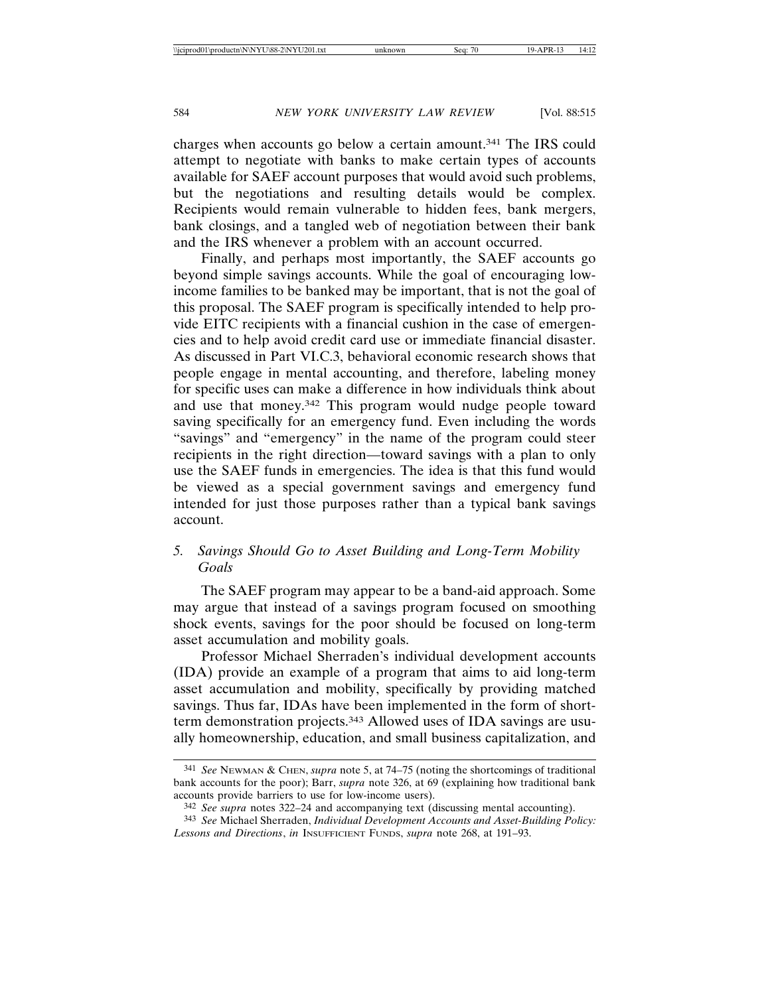charges when accounts go below a certain amount.341 The IRS could attempt to negotiate with banks to make certain types of accounts available for SAEF account purposes that would avoid such problems, but the negotiations and resulting details would be complex. Recipients would remain vulnerable to hidden fees, bank mergers, bank closings, and a tangled web of negotiation between their bank and the IRS whenever a problem with an account occurred.

Finally, and perhaps most importantly, the SAEF accounts go beyond simple savings accounts. While the goal of encouraging lowincome families to be banked may be important, that is not the goal of this proposal. The SAEF program is specifically intended to help provide EITC recipients with a financial cushion in the case of emergencies and to help avoid credit card use or immediate financial disaster. As discussed in Part VI.C.3, behavioral economic research shows that people engage in mental accounting, and therefore, labeling money for specific uses can make a difference in how individuals think about and use that money.342 This program would nudge people toward saving specifically for an emergency fund. Even including the words "savings" and "emergency" in the name of the program could steer recipients in the right direction—toward savings with a plan to only use the SAEF funds in emergencies. The idea is that this fund would be viewed as a special government savings and emergency fund intended for just those purposes rather than a typical bank savings account.

## *5. Savings Should Go to Asset Building and Long-Term Mobility Goals*

The SAEF program may appear to be a band-aid approach. Some may argue that instead of a savings program focused on smoothing shock events, savings for the poor should be focused on long-term asset accumulation and mobility goals.

Professor Michael Sherraden's individual development accounts (IDA) provide an example of a program that aims to aid long-term asset accumulation and mobility, specifically by providing matched savings. Thus far, IDAs have been implemented in the form of shortterm demonstration projects.343 Allowed uses of IDA savings are usually homeownership, education, and small business capitalization, and

<sup>341</sup> *See* NEWMAN & CHEN, *supra* note 5, at 74–75 (noting the shortcomings of traditional bank accounts for the poor); Barr, *supra* note 326, at 69 (explaining how traditional bank accounts provide barriers to use for low-income users).

<sup>342</sup> *See supra* notes 322–24 and accompanying text (discussing mental accounting).

<sup>343</sup> *See* Michael Sherraden, *Individual Development Accounts and Asset-Building Policy: Lessons and Directions*, *in* INSUFFICIENT FUNDS, *supra* note 268, at 191–93.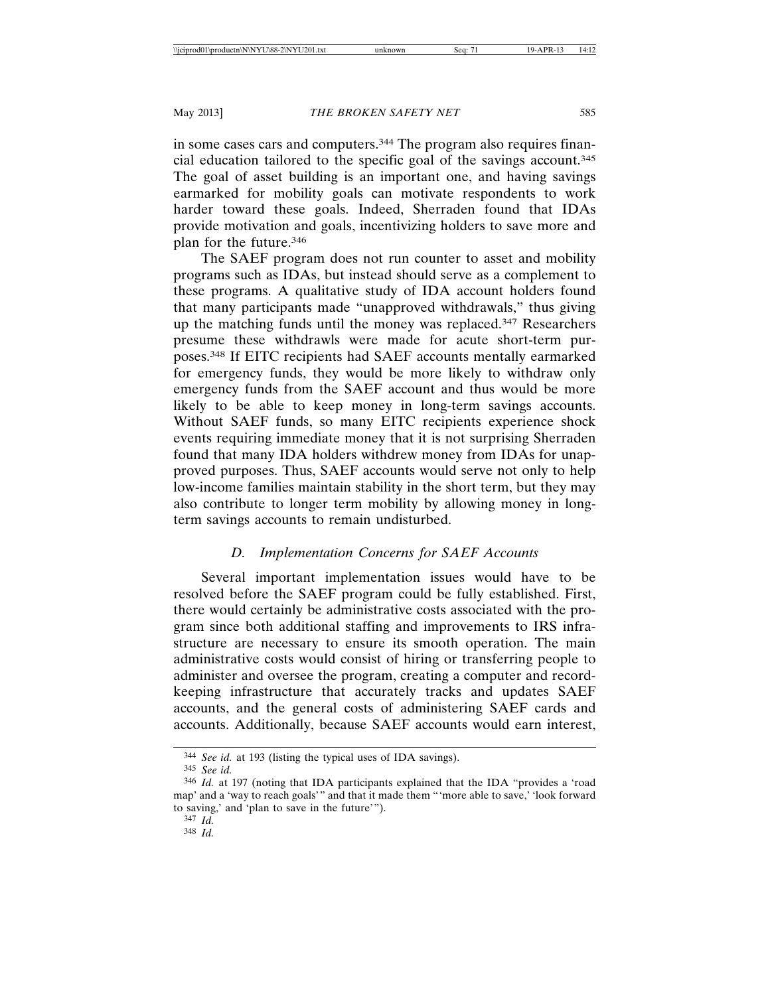in some cases cars and computers.344 The program also requires financial education tailored to the specific goal of the savings account.345 The goal of asset building is an important one, and having savings earmarked for mobility goals can motivate respondents to work harder toward these goals. Indeed, Sherraden found that IDAs provide motivation and goals, incentivizing holders to save more and plan for the future.346

The SAEF program does not run counter to asset and mobility programs such as IDAs, but instead should serve as a complement to these programs. A qualitative study of IDA account holders found that many participants made "unapproved withdrawals," thus giving up the matching funds until the money was replaced.347 Researchers presume these withdrawls were made for acute short-term purposes.348 If EITC recipients had SAEF accounts mentally earmarked for emergency funds, they would be more likely to withdraw only emergency funds from the SAEF account and thus would be more likely to be able to keep money in long-term savings accounts. Without SAEF funds, so many EITC recipients experience shock events requiring immediate money that it is not surprising Sherraden found that many IDA holders withdrew money from IDAs for unapproved purposes. Thus, SAEF accounts would serve not only to help low-income families maintain stability in the short term, but they may also contribute to longer term mobility by allowing money in longterm savings accounts to remain undisturbed.

# *D. Implementation Concerns for SAEF Accounts*

Several important implementation issues would have to be resolved before the SAEF program could be fully established. First, there would certainly be administrative costs associated with the program since both additional staffing and improvements to IRS infrastructure are necessary to ensure its smooth operation. The main administrative costs would consist of hiring or transferring people to administer and oversee the program, creating a computer and recordkeeping infrastructure that accurately tracks and updates SAEF accounts, and the general costs of administering SAEF cards and accounts. Additionally, because SAEF accounts would earn interest,

<sup>344</sup> *See id.* at 193 (listing the typical uses of IDA savings).

<sup>345</sup> *See id.*

<sup>346</sup> *Id.* at 197 (noting that IDA participants explained that the IDA "provides a 'road map' and a 'way to reach goals'" and that it made them "'more able to save,' 'look forward to saving,' and 'plan to save in the future'").

<sup>347</sup> *Id.*

<sup>348</sup> *Id.*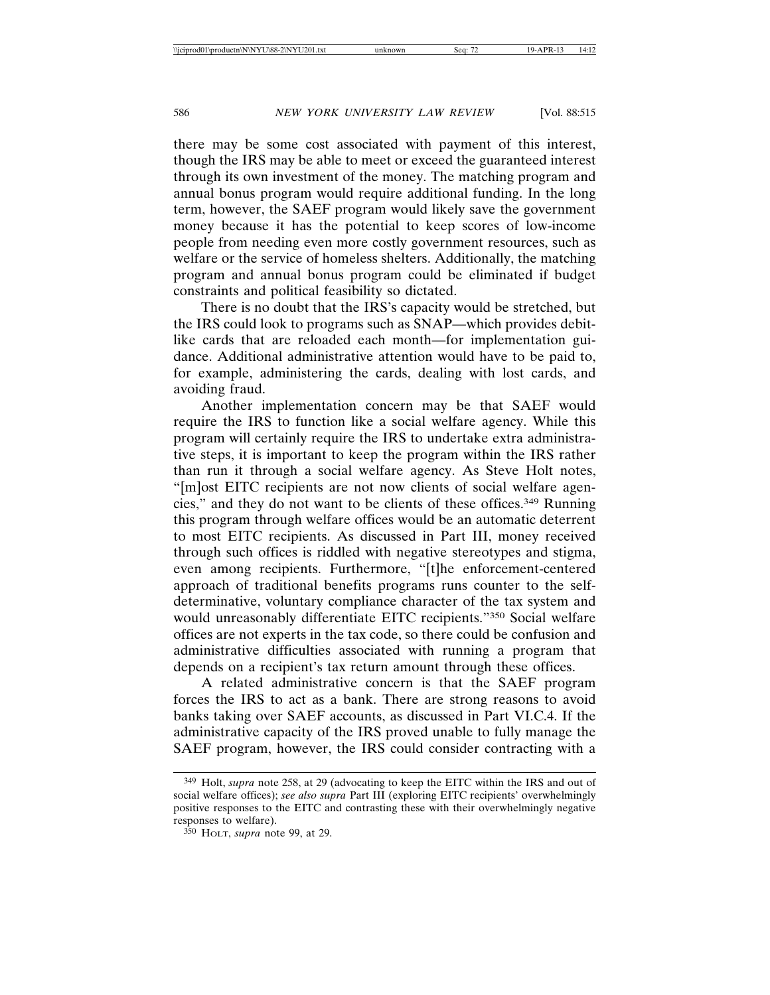there may be some cost associated with payment of this interest, though the IRS may be able to meet or exceed the guaranteed interest through its own investment of the money. The matching program and annual bonus program would require additional funding. In the long term, however, the SAEF program would likely save the government money because it has the potential to keep scores of low-income people from needing even more costly government resources, such as welfare or the service of homeless shelters. Additionally, the matching program and annual bonus program could be eliminated if budget constraints and political feasibility so dictated.

There is no doubt that the IRS's capacity would be stretched, but the IRS could look to programs such as SNAP—which provides debitlike cards that are reloaded each month—for implementation guidance. Additional administrative attention would have to be paid to, for example, administering the cards, dealing with lost cards, and avoiding fraud.

Another implementation concern may be that SAEF would require the IRS to function like a social welfare agency. While this program will certainly require the IRS to undertake extra administrative steps, it is important to keep the program within the IRS rather than run it through a social welfare agency. As Steve Holt notes, "[m]ost EITC recipients are not now clients of social welfare agencies," and they do not want to be clients of these offices.349 Running this program through welfare offices would be an automatic deterrent to most EITC recipients. As discussed in Part III, money received through such offices is riddled with negative stereotypes and stigma, even among recipients. Furthermore, "[t]he enforcement-centered approach of traditional benefits programs runs counter to the selfdeterminative, voluntary compliance character of the tax system and would unreasonably differentiate EITC recipients."350 Social welfare offices are not experts in the tax code, so there could be confusion and administrative difficulties associated with running a program that depends on a recipient's tax return amount through these offices.

A related administrative concern is that the SAEF program forces the IRS to act as a bank. There are strong reasons to avoid banks taking over SAEF accounts, as discussed in Part VI.C.4. If the administrative capacity of the IRS proved unable to fully manage the SAEF program, however, the IRS could consider contracting with a

<sup>349</sup> Holt, *supra* note 258, at 29 (advocating to keep the EITC within the IRS and out of social welfare offices); *see also supra* Part III (exploring EITC recipients' overwhelmingly positive responses to the EITC and contrasting these with their overwhelmingly negative responses to welfare).

<sup>350</sup> HOLT, *supra* note 99, at 29.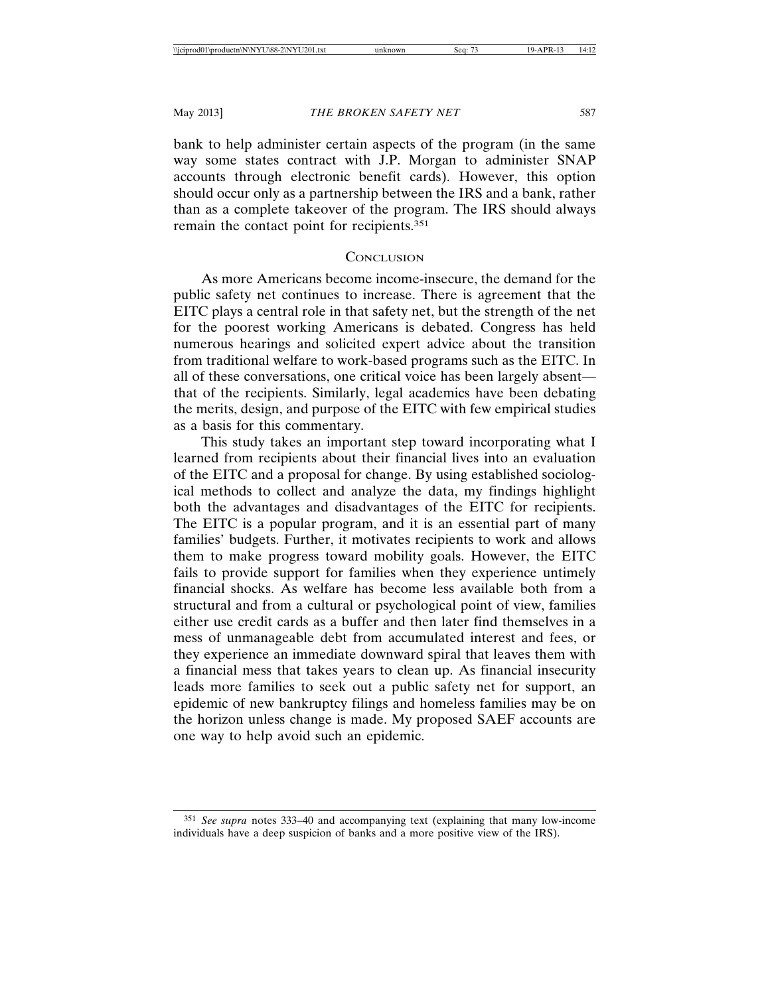bank to help administer certain aspects of the program (in the same way some states contract with J.P. Morgan to administer SNAP accounts through electronic benefit cards). However, this option should occur only as a partnership between the IRS and a bank, rather than as a complete takeover of the program. The IRS should always remain the contact point for recipients.351

## **CONCLUSION**

As more Americans become income-insecure, the demand for the public safety net continues to increase. There is agreement that the EITC plays a central role in that safety net, but the strength of the net for the poorest working Americans is debated. Congress has held numerous hearings and solicited expert advice about the transition from traditional welfare to work-based programs such as the EITC. In all of these conversations, one critical voice has been largely absent that of the recipients. Similarly, legal academics have been debating the merits, design, and purpose of the EITC with few empirical studies as a basis for this commentary.

This study takes an important step toward incorporating what I learned from recipients about their financial lives into an evaluation of the EITC and a proposal for change. By using established sociological methods to collect and analyze the data, my findings highlight both the advantages and disadvantages of the EITC for recipients. The EITC is a popular program, and it is an essential part of many families' budgets. Further, it motivates recipients to work and allows them to make progress toward mobility goals. However, the EITC fails to provide support for families when they experience untimely financial shocks. As welfare has become less available both from a structural and from a cultural or psychological point of view, families either use credit cards as a buffer and then later find themselves in a mess of unmanageable debt from accumulated interest and fees, or they experience an immediate downward spiral that leaves them with a financial mess that takes years to clean up. As financial insecurity leads more families to seek out a public safety net for support, an epidemic of new bankruptcy filings and homeless families may be on the horizon unless change is made. My proposed SAEF accounts are one way to help avoid such an epidemic.

<sup>351</sup> *See supra* notes 333–40 and accompanying text (explaining that many low-income individuals have a deep suspicion of banks and a more positive view of the IRS).